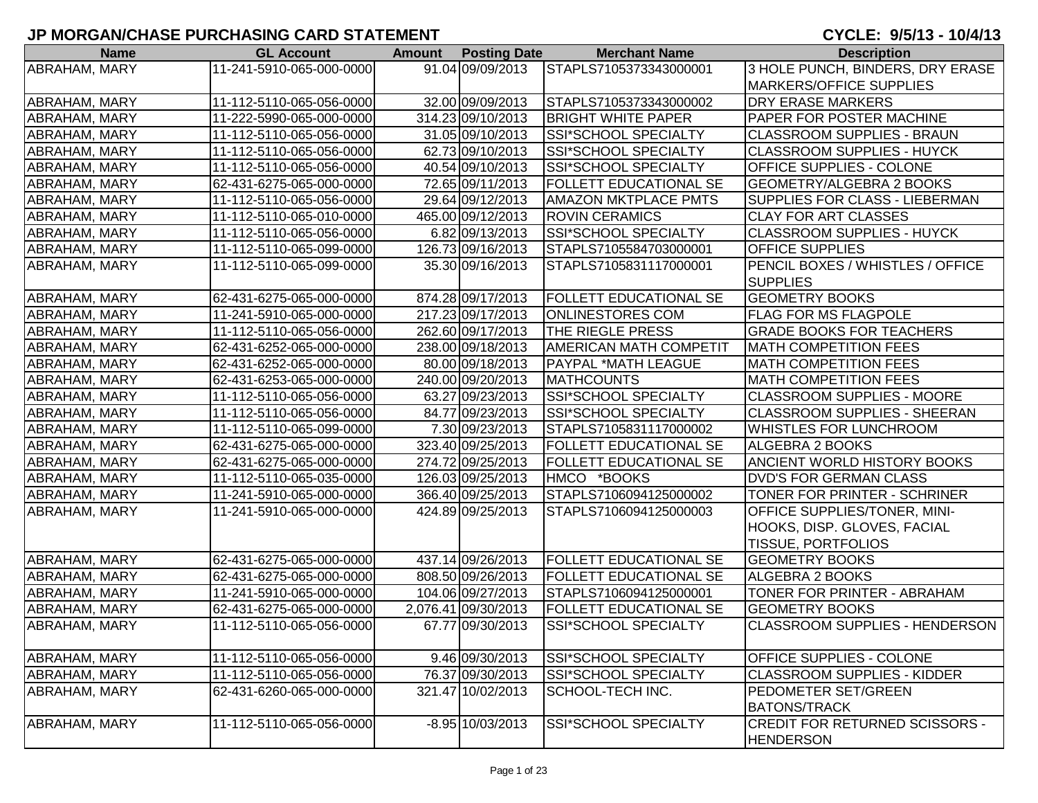| <b>Name</b>          | <b>GL Account</b>        | <b>Amount</b> | <b>Posting Date</b> | <b>Merchant Name</b>          | <b>Description</b>                    |
|----------------------|--------------------------|---------------|---------------------|-------------------------------|---------------------------------------|
| <b>ABRAHAM, MARY</b> | 11-241-5910-065-000-0000 |               | 91.04 09/09/2013    | STAPLS7105373343000001        | 3 HOLE PUNCH, BINDERS, DRY ERASE      |
|                      |                          |               |                     |                               | <b>MARKERS/OFFICE SUPPLIES</b>        |
| ABRAHAM, MARY        | 11-112-5110-065-056-0000 |               | 32.00 09/09/2013    | STAPLS7105373343000002        | <b>DRY ERASE MARKERS</b>              |
| <b>ABRAHAM, MARY</b> | 11-222-5990-065-000-0000 |               | 314.23 09/10/2013   | <b>BRIGHT WHITE PAPER</b>     | PAPER FOR POSTER MACHINE              |
| ABRAHAM, MARY        | 11-112-5110-065-056-0000 |               | 31.05 09/10/2013    | SSI*SCHOOL SPECIALTY          | <b>CLASSROOM SUPPLIES - BRAUN</b>     |
| ABRAHAM, MARY        | 11-112-5110-065-056-0000 |               | 62.73 09/10/2013    | SSI*SCHOOL SPECIALTY          | <b>CLASSROOM SUPPLIES - HUYCK</b>     |
| ABRAHAM, MARY        | 11-112-5110-065-056-0000 |               | 40.54 09/10/2013    | SSI*SCHOOL SPECIALTY          | <b>OFFICE SUPPLIES - COLONE</b>       |
| ABRAHAM, MARY        | 62-431-6275-065-000-0000 |               | 72.65 09/11/2013    | <b>FOLLETT EDUCATIONAL SE</b> | <b>GEOMETRY/ALGEBRA 2 BOOKS</b>       |
| ABRAHAM, MARY        | 11-112-5110-065-056-0000 |               | 29.64 09/12/2013    | <b>AMAZON MKTPLACE PMTS</b>   | <b>SUPPLIES FOR CLASS - LIEBERMAN</b> |
| ABRAHAM, MARY        | 11-112-5110-065-010-0000 |               | 465.00 09/12/2013   | <b>ROVIN CERAMICS</b>         | <b>CLAY FOR ART CLASSES</b>           |
| ABRAHAM, MARY        | 11-112-5110-065-056-0000 |               | 6.82 09/13/2013     | SSI*SCHOOL SPECIALTY          | <b>CLASSROOM SUPPLIES - HUYCK</b>     |
| ABRAHAM, MARY        | 11-112-5110-065-099-0000 |               | 126.73 09/16/2013   | STAPLS7105584703000001        | <b>OFFICE SUPPLIES</b>                |
| ABRAHAM, MARY        | 11-112-5110-065-099-0000 |               | 35.30 09/16/2013    | STAPLS7105831117000001        | PENCIL BOXES / WHISTLES / OFFICE      |
|                      |                          |               |                     |                               | <b>SUPPLIES</b>                       |
| <b>ABRAHAM, MARY</b> | 62-431-6275-065-000-0000 |               | 874.28 09/17/2013   | <b>FOLLETT EDUCATIONAL SE</b> | <b>GEOMETRY BOOKS</b>                 |
| <b>ABRAHAM, MARY</b> | 11-241-5910-065-000-0000 |               | 217.23 09/17/2013   | <b>ONLINESTORES COM</b>       | <b>FLAG FOR MS FLAGPOLE</b>           |
| ABRAHAM, MARY        | 11-112-5110-065-056-0000 |               | 262.60 09/17/2013   | THE RIEGLE PRESS              | <b>GRADE BOOKS FOR TEACHERS</b>       |
| <b>ABRAHAM, MARY</b> | 62-431-6252-065-000-0000 |               | 238.00 09/18/2013   | <b>AMERICAN MATH COMPETIT</b> | <b>MATH COMPETITION FEES</b>          |
| ABRAHAM, MARY        | 62-431-6252-065-000-0000 |               | 80.00 09/18/2013    | <b>PAYPAL *MATH LEAGUE</b>    | <b>MATH COMPETITION FEES</b>          |
| <b>ABRAHAM, MARY</b> | 62-431-6253-065-000-0000 |               | 240.00 09/20/2013   | <b>MATHCOUNTS</b>             | <b>MATH COMPETITION FEES</b>          |
| ABRAHAM, MARY        | 11-112-5110-065-056-0000 |               | 63.27 09/23/2013    | SSI*SCHOOL SPECIALTY          | <b>CLASSROOM SUPPLIES - MOORE</b>     |
| ABRAHAM, MARY        | 11-112-5110-065-056-0000 |               | 84.77 09/23/2013    | SSI*SCHOOL SPECIALTY          | <b>CLASSROOM SUPPLIES - SHEERAN</b>   |
| <b>ABRAHAM, MARY</b> | 11-112-5110-065-099-0000 |               | 7.30 09/23/2013     | STAPLS7105831117000002        | WHISTLES FOR LUNCHROOM                |
| ABRAHAM, MARY        | 62-431-6275-065-000-0000 |               | 323.40 09/25/2013   | <b>FOLLETT EDUCATIONAL SE</b> | <b>ALGEBRA 2 BOOKS</b>                |
| <b>ABRAHAM, MARY</b> | 62-431-6275-065-000-0000 |               | 274.72 09/25/2013   | <b>FOLLETT EDUCATIONAL SE</b> | <b>ANCIENT WORLD HISTORY BOOKS</b>    |
| ABRAHAM, MARY        | 11-112-5110-065-035-0000 |               | 126.03 09/25/2013   | HMCO *BOOKS                   | <b>DVD'S FOR GERMAN CLASS</b>         |
| ABRAHAM, MARY        | 11-241-5910-065-000-0000 |               | 366.40 09/25/2013   | STAPLS7106094125000002        | TONER FOR PRINTER - SCHRINER          |
| <b>ABRAHAM, MARY</b> | 11-241-5910-065-000-0000 |               | 424.89 09/25/2013   | STAPLS7106094125000003        | <b>OFFICE SUPPLIES/TONER, MINI-</b>   |
|                      |                          |               |                     |                               | HOOKS, DISP. GLOVES, FACIAL           |
|                      |                          |               |                     |                               | <b>TISSUE, PORTFOLIOS</b>             |
| <b>ABRAHAM, MARY</b> | 62-431-6275-065-000-0000 |               | 437.14 09/26/2013   | <b>FOLLETT EDUCATIONAL SE</b> | <b>GEOMETRY BOOKS</b>                 |
| <b>ABRAHAM, MARY</b> | 62-431-6275-065-000-0000 |               | 808.50 09/26/2013   | <b>FOLLETT EDUCATIONAL SE</b> | ALGEBRA 2 BOOKS                       |
| ABRAHAM, MARY        | 11-241-5910-065-000-0000 |               | 104.06 09/27/2013   | STAPLS7106094125000001        | <b>TONER FOR PRINTER - ABRAHAM</b>    |
| ABRAHAM, MARY        | 62-431-6275-065-000-0000 |               | 2,076.41 09/30/2013 | <b>FOLLETT EDUCATIONAL SE</b> | <b>GEOMETRY BOOKS</b>                 |
| <b>ABRAHAM, MARY</b> | 11-112-5110-065-056-0000 |               | 67.77 09/30/2013    | SSI*SCHOOL SPECIALTY          | <b>CLASSROOM SUPPLIES - HENDERSON</b> |
|                      |                          |               |                     |                               |                                       |
| <b>ABRAHAM, MARY</b> | 11-112-5110-065-056-0000 |               | 9.46 09/30/2013     | <b>SSI*SCHOOL SPECIALTY</b>   | <b>OFFICE SUPPLIES - COLONE</b>       |
| ABRAHAM, MARY        | 11-112-5110-065-056-0000 |               | 76.37 09/30/2013    | SSI*SCHOOL SPECIALTY          | <b>CLASSROOM SUPPLIES - KIDDER</b>    |
| ABRAHAM, MARY        | 62-431-6260-065-000-0000 |               | 321.47 10/02/2013   | <b>SCHOOL-TECH INC.</b>       | <b>PEDOMETER SET/GREEN</b>            |
|                      |                          |               |                     |                               | <b>BATONS/TRACK</b>                   |
| ABRAHAM, MARY        | 11-112-5110-065-056-0000 |               | $-8.95$ 10/03/2013  | <b>SSI*SCHOOL SPECIALTY</b>   | CREDIT FOR RETURNED SCISSORS -        |
|                      |                          |               |                     |                               | <b>HENDERSON</b>                      |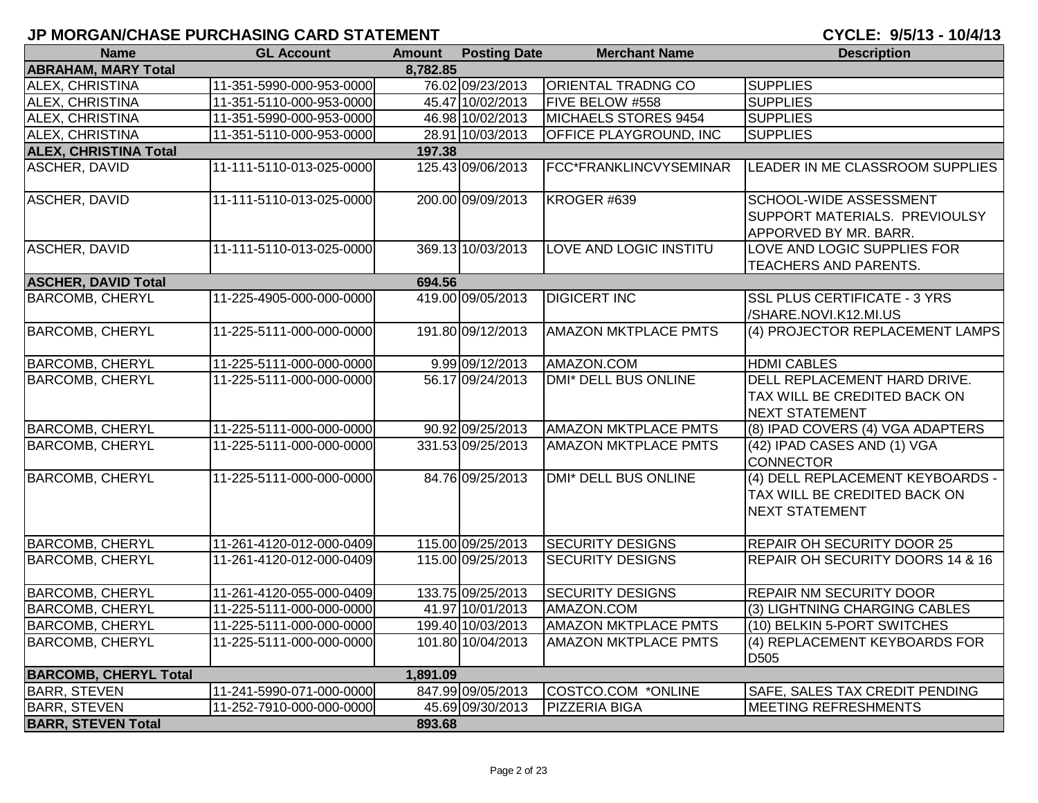| <b>Name</b>                  | <b>GL Account</b>        | <b>Amount</b> | <b>Posting Date</b> | <b>Merchant Name</b>          | <b>Description</b>                                                                        |
|------------------------------|--------------------------|---------------|---------------------|-------------------------------|-------------------------------------------------------------------------------------------|
| <b>ABRAHAM, MARY Total</b>   |                          | 8,782.85      |                     |                               |                                                                                           |
| ALEX, CHRISTINA              | 11-351-5990-000-953-0000 |               | 76.02 09/23/2013    | <b>ORIENTAL TRADNG CO</b>     | <b>SUPPLIES</b>                                                                           |
| ALEX, CHRISTINA              | 11-351-5110-000-953-0000 |               | 45.47 10/02/2013    | FIVE BELOW #558               | <b>SUPPLIES</b>                                                                           |
| ALEX, CHRISTINA              | 11-351-5990-000-953-0000 |               | 46.98 10/02/2013    | <b>MICHAELS STORES 9454</b>   | <b>SUPPLIES</b>                                                                           |
| ALEX, CHRISTINA              | 11-351-5110-000-953-0000 |               | 28.91 10/03/2013    | <b>OFFICE PLAYGROUND, INC</b> | <b>SUPPLIES</b>                                                                           |
| <b>ALEX, CHRISTINA Total</b> |                          | 197.38        |                     |                               |                                                                                           |
| <b>ASCHER, DAVID</b>         | 11-111-5110-013-025-0000 |               | 125.43 09/06/2013   | FCC*FRANKLINCVYSEMINAR        | LEADER IN ME CLASSROOM SUPPLIES                                                           |
| <b>ASCHER, DAVID</b>         | 11-111-5110-013-025-0000 |               | 200.00 09/09/2013   | KROGER #639                   | <b>SCHOOL-WIDE ASSESSMENT</b><br>SUPPORT MATERIALS. PREVIOULSY<br>APPORVED BY MR. BARR.   |
| <b>ASCHER, DAVID</b>         | 11-111-5110-013-025-0000 |               | 369.13 10/03/2013   | LOVE AND LOGIC INSTITU        | LOVE AND LOGIC SUPPLIES FOR<br><b>TEACHERS AND PARENTS.</b>                               |
| <b>ASCHER, DAVID Total</b>   |                          | 694.56        |                     |                               |                                                                                           |
| <b>BARCOMB, CHERYL</b>       | 11-225-4905-000-000-0000 |               | 419.00 09/05/2013   | <b>DIGICERT INC</b>           | <b>SSL PLUS CERTIFICATE - 3 YRS</b><br>/SHARE.NOVI.K12.MI.US                              |
| <b>BARCOMB, CHERYL</b>       | 11-225-5111-000-000-0000 |               | 191.80 09/12/2013   | <b>AMAZON MKTPLACE PMTS</b>   | (4) PROJECTOR REPLACEMENT LAMPS                                                           |
| <b>BARCOMB, CHERYL</b>       | 11-225-5111-000-000-0000 |               | 9.99 09/12/2013     | AMAZON.COM                    | <b>HDMI CABLES</b>                                                                        |
| <b>BARCOMB, CHERYL</b>       | 11-225-5111-000-000-0000 |               | 56.17 09/24/2013    | DMI* DELL BUS ONLINE          | DELL REPLACEMENT HARD DRIVE.<br>TAX WILL BE CREDITED BACK ON<br><b>NEXT STATEMENT</b>     |
| <b>BARCOMB, CHERYL</b>       | 11-225-5111-000-000-0000 |               | 90.92 09/25/2013    | <b>AMAZON MKTPLACE PMTS</b>   | (8) IPAD COVERS (4) VGA ADAPTERS                                                          |
| <b>BARCOMB, CHERYL</b>       | 11-225-5111-000-000-0000 |               | 331.53 09/25/2013   | AMAZON MKTPLACE PMTS          | (42) IPAD CASES AND (1) VGA<br><b>CONNECTOR</b>                                           |
| <b>BARCOMB, CHERYL</b>       | 11-225-5111-000-000-0000 |               | 84.76 09/25/2013    | DMI* DELL BUS ONLINE          | (4) DELL REPLACEMENT KEYBOARDS -<br>TAX WILL BE CREDITED BACK ON<br><b>NEXT STATEMENT</b> |
| <b>BARCOMB, CHERYL</b>       | 11-261-4120-012-000-0409 |               | 115.00 09/25/2013   | <b>SECURITY DESIGNS</b>       | <b>REPAIR OH SECURITY DOOR 25</b>                                                         |
| <b>BARCOMB, CHERYL</b>       | 11-261-4120-012-000-0409 |               | 115.00 09/25/2013   | <b>SECURITY DESIGNS</b>       | REPAIR OH SECURITY DOORS 14 & 16                                                          |
| <b>BARCOMB, CHERYL</b>       | 11-261-4120-055-000-0409 |               | 133.75 09/25/2013   | <b>SECURITY DESIGNS</b>       | <b>REPAIR NM SECURITY DOOR</b>                                                            |
| <b>BARCOMB, CHERYL</b>       | 11-225-5111-000-000-0000 |               | 41.97 10/01/2013    | AMAZON.COM                    | (3) LIGHTNING CHARGING CABLES                                                             |
| <b>BARCOMB, CHERYL</b>       | 11-225-5111-000-000-0000 |               | 199.40 10/03/2013   | <b>AMAZON MKTPLACE PMTS</b>   | (10) BELKIN 5-PORT SWITCHES                                                               |
| <b>BARCOMB, CHERYL</b>       | 11-225-5111-000-000-0000 |               | 101.80 10/04/2013   | <b>AMAZON MKTPLACE PMTS</b>   | (4) REPLACEMENT KEYBOARDS FOR<br>D <sub>505</sub>                                         |
| <b>BARCOMB, CHERYL Total</b> |                          | 1,891.09      |                     |                               |                                                                                           |
| <b>BARR, STEVEN</b>          | 11-241-5990-071-000-0000 |               | 847.99 09/05/2013   | COSTCO.COM *ONLINE            | SAFE, SALES TAX CREDIT PENDING                                                            |
| <b>BARR, STEVEN</b>          | 11-252-7910-000-000-0000 |               | 45.69 09/30/2013    | <b>PIZZERIA BIGA</b>          | <b>MEETING REFRESHMENTS</b>                                                               |
| <b>BARR, STEVEN Total</b>    |                          | 893.68        |                     |                               |                                                                                           |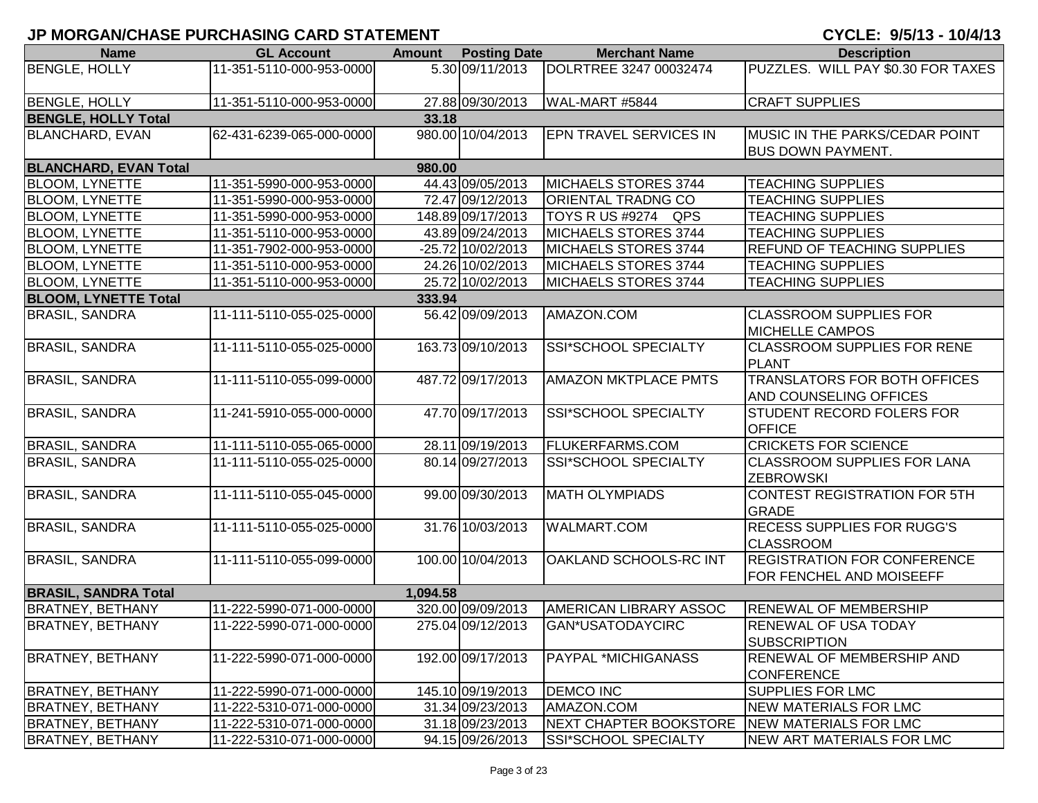| <b>Name</b>                  | <b>GL Account</b>        |          | <b>Amount Posting Date</b> | <b>Merchant Name</b>                         | <b>Description</b>                    |
|------------------------------|--------------------------|----------|----------------------------|----------------------------------------------|---------------------------------------|
| <b>BENGLE, HOLLY</b>         | 11-351-5110-000-953-0000 |          | 5.30 09/11/2013            | DOLRTREE 3247 00032474                       | PUZZLES. WILL PAY \$0.30 FOR TAXES    |
|                              |                          |          |                            |                                              |                                       |
| <b>BENGLE, HOLLY</b>         | 11-351-5110-000-953-0000 |          | 27.88 09/30/2013           | WAL-MART #5844                               | <b>CRAFT SUPPLIES</b>                 |
| <b>BENGLE, HOLLY Total</b>   |                          | 33.18    |                            |                                              |                                       |
| <b>BLANCHARD, EVAN</b>       | 62-431-6239-065-000-0000 |          | 980.00 10/04/2013          | <b>EPN TRAVEL SERVICES IN</b>                | <b>MUSIC IN THE PARKS/CEDAR POINT</b> |
|                              |                          |          |                            |                                              | <b>BUS DOWN PAYMENT.</b>              |
| <b>BLANCHARD, EVAN Total</b> |                          | 980.00   |                            |                                              |                                       |
| <b>BLOOM, LYNETTE</b>        | 11-351-5990-000-953-0000 |          | 44.43 09/05/2013           | MICHAELS STORES 3744                         | <b>TEACHING SUPPLIES</b>              |
| <b>BLOOM, LYNETTE</b>        | 11-351-5990-000-953-0000 |          | 72.47 09/12/2013           | <b>ORIENTAL TRADNG CO</b>                    | <b>TEACHING SUPPLIES</b>              |
| <b>BLOOM, LYNETTE</b>        | 11-351-5990-000-953-0000 |          | 148.89 09/17/2013          | TOYS R US #9274 QPS                          | <b>TEACHING SUPPLIES</b>              |
| <b>BLOOM, LYNETTE</b>        | 11-351-5110-000-953-0000 |          | 43.89 09/24/2013           | MICHAELS STORES 3744                         | <b>TEACHING SUPPLIES</b>              |
| <b>BLOOM, LYNETTE</b>        | 11-351-7902-000-953-0000 |          | -25.72 10/02/2013          | MICHAELS STORES 3744                         | REFUND OF TEACHING SUPPLIES           |
| <b>BLOOM, LYNETTE</b>        | 11-351-5110-000-953-0000 |          | 24.26 10/02/2013           | MICHAELS STORES 3744                         | <b>TEACHING SUPPLIES</b>              |
| <b>BLOOM, LYNETTE</b>        | 11-351-5110-000-953-0000 |          | 25.72 10/02/2013           | MICHAELS STORES 3744                         | <b>TEACHING SUPPLIES</b>              |
| <b>BLOOM, LYNETTE Total</b>  |                          | 333.94   |                            |                                              |                                       |
| <b>BRASIL, SANDRA</b>        | 11-111-5110-055-025-0000 |          | 56.42 09/09/2013           | AMAZON.COM                                   | <b>CLASSROOM SUPPLIES FOR</b>         |
|                              |                          |          |                            |                                              | <b>MICHELLE CAMPOS</b>                |
| <b>BRASIL, SANDRA</b>        | 11-111-5110-055-025-0000 |          | 163.73 09/10/2013          | SSI*SCHOOL SPECIALTY                         | <b>CLASSROOM SUPPLIES FOR RENE</b>    |
|                              |                          |          |                            |                                              | <b>PLANT</b>                          |
| <b>BRASIL, SANDRA</b>        | 11-111-5110-055-099-0000 |          | 487.72 09/17/2013          | <b>AMAZON MKTPLACE PMTS</b>                  | <b>TRANSLATORS FOR BOTH OFFICES</b>   |
|                              |                          |          |                            |                                              | <b>AND COUNSELING OFFICES</b>         |
| <b>BRASIL, SANDRA</b>        | 11-241-5910-055-000-0000 |          | 47.70 09/17/2013           | SSI*SCHOOL SPECIALTY                         | <b>STUDENT RECORD FOLERS FOR</b>      |
|                              |                          |          |                            |                                              | <b>OFFICE</b>                         |
| <b>BRASIL, SANDRA</b>        | 11-111-5110-055-065-0000 |          | 28.11 09/19/2013           | <b>FLUKERFARMS.COM</b>                       | <b>CRICKETS FOR SCIENCE</b>           |
| <b>BRASIL, SANDRA</b>        | 11-111-5110-055-025-0000 |          | 80.14 09/27/2013           | SSI*SCHOOL SPECIALTY                         | <b>CLASSROOM SUPPLIES FOR LANA</b>    |
|                              |                          |          |                            |                                              | <b>ZEBROWSKI</b>                      |
| <b>BRASIL, SANDRA</b>        | 11-111-5110-055-045-0000 |          | 99.00 09/30/2013           | <b>MATH OLYMPIADS</b>                        | CONTEST REGISTRATION FOR 5TH          |
|                              |                          |          |                            |                                              | <b>GRADE</b>                          |
| <b>BRASIL, SANDRA</b>        | 11-111-5110-055-025-0000 |          | 31.76 10/03/2013           | <b>WALMART.COM</b>                           | <b>RECESS SUPPLIES FOR RUGG'S</b>     |
|                              |                          |          |                            |                                              | <b>CLASSROOM</b>                      |
| <b>BRASIL, SANDRA</b>        | 11-111-5110-055-099-0000 |          | 100.00 10/04/2013          | OAKLAND SCHOOLS-RC INT                       | <b>REGISTRATION FOR CONFERENCE</b>    |
|                              |                          |          |                            |                                              | FOR FENCHEL AND MOISEEFF              |
| <b>BRASIL, SANDRA Total</b>  |                          | 1,094.58 |                            |                                              |                                       |
| <b>BRATNEY, BETHANY</b>      | 11-222-5990-071-000-0000 |          | 320.00 09/09/2013          | <b>AMERICAN LIBRARY ASSOC</b>                | <b>RENEWAL OF MEMBERSHIP</b>          |
| <b>BRATNEY, BETHANY</b>      | 11-222-5990-071-000-0000 |          | 275.04 09/12/2013          | GAN*USATODAYCIRC                             | <b>RENEWAL OF USA TODAY</b>           |
|                              |                          |          |                            |                                              | <b>SUBSCRIPTION</b>                   |
| <b>BRATNEY, BETHANY</b>      | 11-222-5990-071-000-0000 |          | 192.00 09/17/2013          | <b>PAYPAL *MICHIGANASS</b>                   | <b>RENEWAL OF MEMBERSHIP AND</b>      |
|                              |                          |          |                            |                                              | <b>CONFERENCE</b>                     |
| <b>BRATNEY, BETHANY</b>      | 11-222-5990-071-000-0000 |          | 145.10 09/19/2013          | <b>DEMCO INC</b>                             | <b>SUPPLIES FOR LMC</b>               |
| <b>BRATNEY, BETHANY</b>      | 11-222-5310-071-000-0000 |          | 31.34 09/23/2013           | AMAZON.COM                                   | <b>NEW MATERIALS FOR LMC</b>          |
| <b>BRATNEY, BETHANY</b>      | 11-222-5310-071-000-0000 |          | 31.18 09/23/2013           | NEXT CHAPTER BOOKSTORE NEW MATERIALS FOR LMC |                                       |
| <b>BRATNEY, BETHANY</b>      | 11-222-5310-071-000-0000 |          | 94.15 09/26/2013           | SSI*SCHOOL SPECIALTY                         | NEW ART MATERIALS FOR LMC             |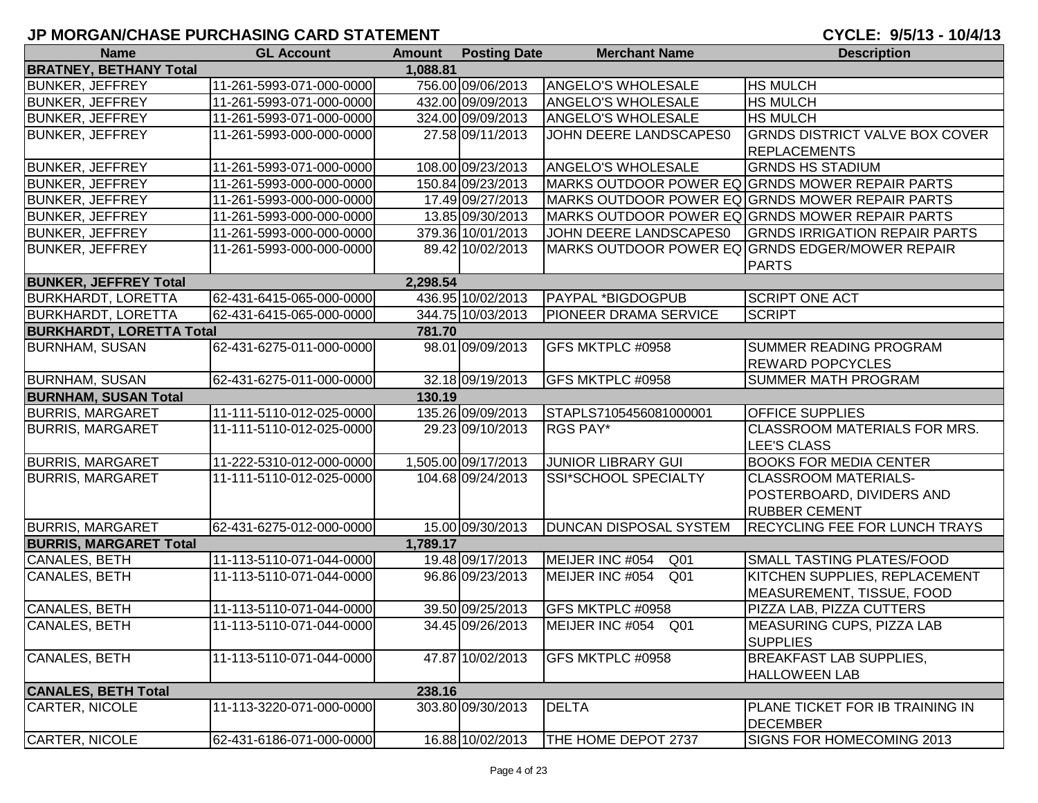| <b>Name</b>                     | <b>GL Account</b>        | <b>Amount</b> | <b>Posting Date</b> | <b>Merchant Name</b>               | <b>Description</b>                              |
|---------------------------------|--------------------------|---------------|---------------------|------------------------------------|-------------------------------------------------|
| <b>BRATNEY, BETHANY Total</b>   |                          | 1,088.81      |                     |                                    |                                                 |
| <b>BUNKER, JEFFREY</b>          | 11-261-5993-071-000-0000 |               | 756.00 09/06/2013   | <b>ANGELO'S WHOLESALE</b>          | <b>HS MULCH</b>                                 |
| <b>BUNKER, JEFFREY</b>          | 11-261-5993-071-000-0000 |               | 432.00 09/09/2013   | ANGELO'S WHOLESALE                 | <b>HS MULCH</b>                                 |
| <b>BUNKER, JEFFREY</b>          | 11-261-5993-071-000-0000 |               | 324.00 09/09/2013   | ANGELO'S WHOLESALE                 | <b>HS MULCH</b>                                 |
| <b>BUNKER, JEFFREY</b>          | 11-261-5993-000-000-0000 |               | 27.58 09/11/2013    | JOHN DEERE LANDSCAPES0             | <b>GRNDS DISTRICT VALVE BOX COVER</b>           |
|                                 |                          |               |                     |                                    | <b>REPLACEMENTS</b>                             |
| <b>BUNKER, JEFFREY</b>          | 11-261-5993-071-000-0000 |               | 108.00 09/23/2013   | ANGELO'S WHOLESALE                 | <b>GRNDS HS STADIUM</b>                         |
| <b>BUNKER, JEFFREY</b>          | 11-261-5993-000-000-0000 |               | 150.84 09/23/2013   |                                    | MARKS OUTDOOR POWER EQ GRNDS MOWER REPAIR PARTS |
| <b>BUNKER, JEFFREY</b>          | 11-261-5993-000-000-0000 |               | 17.49 09/27/2013    |                                    | MARKS OUTDOOR POWER EQ GRNDS MOWER REPAIR PARTS |
| <b>BUNKER, JEFFREY</b>          | 11-261-5993-000-000-0000 |               | 13.85 09/30/2013    |                                    | MARKS OUTDOOR POWER EQ GRNDS MOWER REPAIR PARTS |
| <b>BUNKER, JEFFREY</b>          | 11-261-5993-000-000-0000 |               | 379.36 10/01/2013   | JOHN DEERE LANDSCAPES0             | <b>GRNDS IRRIGATION REPAIR PARTS</b>            |
| <b>BUNKER, JEFFREY</b>          | 11-261-5993-000-000-0000 |               | 89.42 10/02/2013    |                                    | MARKS OUTDOOR POWER EQ GRNDS EDGER/MOWER REPAIR |
|                                 |                          |               |                     |                                    | <b>PARTS</b>                                    |
| <b>BUNKER, JEFFREY Total</b>    |                          | 2,298.54      |                     |                                    |                                                 |
| <b>BURKHARDT, LORETTA</b>       | 62-431-6415-065-000-0000 |               | 436.95 10/02/2013   | <b>PAYPAL *BIGDOGPUB</b>           | <b>SCRIPT ONE ACT</b>                           |
| <b>BURKHARDT, LORETTA</b>       | 62-431-6415-065-000-0000 |               | 344.75 10/03/2013   | <b>PIONEER DRAMA SERVICE</b>       | <b>SCRIPT</b>                                   |
| <b>BURKHARDT, LORETTA Total</b> |                          | 781.70        |                     |                                    |                                                 |
| <b>BURNHAM, SUSAN</b>           | 62-431-6275-011-000-0000 |               | 98.01 09/09/2013    | GFS MKTPLC #0958                   | <b>SUMMER READING PROGRAM</b>                   |
|                                 |                          |               |                     |                                    | <b>REWARD POPCYCLES</b>                         |
| <b>BURNHAM, SUSAN</b>           | 62-431-6275-011-000-0000 |               | 32.18 09/19/2013    | GFS MKTPLC #0958                   | <b>SUMMER MATH PROGRAM</b>                      |
| <b>BURNHAM, SUSAN Total</b>     |                          | 130.19        |                     |                                    |                                                 |
| <b>BURRIS, MARGARET</b>         | 11-111-5110-012-025-0000 |               | 135.26 09/09/2013   | STAPLS7105456081000001             | <b>OFFICE SUPPLIES</b>                          |
| <b>BURRIS, MARGARET</b>         | 11-111-5110-012-025-0000 |               | 29.23 09/10/2013    | RGS PAY*                           | <b>CLASSROOM MATERIALS FOR MRS.</b>             |
|                                 |                          |               |                     |                                    | LEE'S CLASS                                     |
| <b>BURRIS, MARGARET</b>         | 11-222-5310-012-000-0000 |               | 1,505.00 09/17/2013 | <b>JUNIOR LIBRARY GUI</b>          | <b>BOOKS FOR MEDIA CENTER</b>                   |
| <b>BURRIS, MARGARET</b>         | 11-111-5110-012-025-0000 |               | 104.68 09/24/2013   | SSI*SCHOOL SPECIALTY               | <b>CLASSROOM MATERIALS-</b>                     |
|                                 |                          |               |                     |                                    | POSTERBOARD, DIVIDERS AND                       |
|                                 |                          |               |                     |                                    | <b>RUBBER CEMENT</b>                            |
| <b>BURRIS, MARGARET</b>         | 62-431-6275-012-000-0000 |               | 15.00 09/30/2013    | <b>DUNCAN DISPOSAL SYSTEM</b>      | <b>RECYCLING FEE FOR LUNCH TRAYS</b>            |
| <b>BURRIS, MARGARET Total</b>   |                          | 1,789.17      |                     |                                    |                                                 |
| CANALES, BETH                   | 11-113-5110-071-044-0000 |               | 19.48 09/17/2013    | MEIJER INC #054<br>Q <sub>01</sub> | <b>SMALL TASTING PLATES/FOOD</b>                |
| CANALES, BETH                   | 11-113-5110-071-044-0000 |               | 96.86 09/23/2013    | MEIJER INC #054<br>Q <sub>01</sub> | KITCHEN SUPPLIES, REPLACEMENT                   |
|                                 |                          |               |                     |                                    | MEASUREMENT, TISSUE, FOOD                       |
| CANALES, BETH                   | 11-113-5110-071-044-0000 |               | 39.50 09/25/2013    | GFS MKTPLC #0958                   | PIZZA LAB, PIZZA CUTTERS                        |
| <b>CANALES, BETH</b>            | 11-113-5110-071-044-0000 |               | 34.45 09/26/2013    | MEIJER INC #054 Q01                | <b>MEASURING CUPS, PIZZA LAB</b>                |
|                                 |                          |               |                     |                                    | <b>SUPPLIES</b>                                 |
| CANALES, BETH                   | 11-113-5110-071-044-0000 |               | 47.87 10/02/2013    | GFS MKTPLC #0958                   | <b>BREAKFAST LAB SUPPLIES,</b>                  |
|                                 |                          |               |                     |                                    | <b>HALLOWEEN LAB</b>                            |
| <b>CANALES, BETH Total</b>      |                          | 238.16        |                     |                                    |                                                 |
| CARTER, NICOLE                  | 11-113-3220-071-000-0000 |               | 303.80 09/30/2013   | <b>DELTA</b>                       | PLANE TICKET FOR IB TRAINING IN                 |
|                                 |                          |               |                     |                                    | <b>DECEMBER</b>                                 |
| CARTER, NICOLE                  | 62-431-6186-071-000-0000 |               | 16.88 10/02/2013    | THE HOME DEPOT 2737                | SIGNS FOR HOMECOMING 2013                       |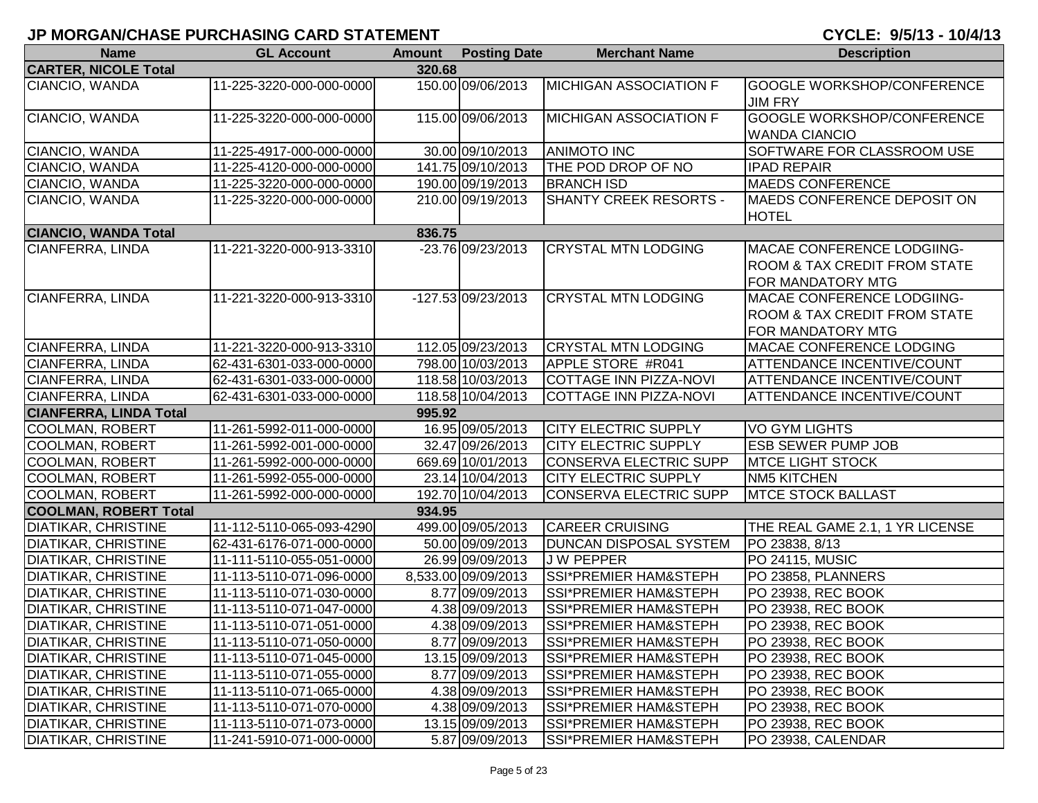| <b>Name</b>                   | <b>GL Account</b>        | <b>Amount</b> | <b>Posting Date</b> | <b>Merchant Name</b>             | <b>Description</b>                                                                                |
|-------------------------------|--------------------------|---------------|---------------------|----------------------------------|---------------------------------------------------------------------------------------------------|
| <b>CARTER, NICOLE Total</b>   |                          | 320.68        |                     |                                  |                                                                                                   |
| CIANCIO, WANDA                | 11-225-3220-000-000-0000 |               | 150.00 09/06/2013   | <b>MICHIGAN ASSOCIATION F</b>    | <b>GOOGLE WORKSHOP/CONFERENCE</b><br><b>JIM FRY</b>                                               |
| CIANCIO, WANDA                | 11-225-3220-000-000-0000 |               | 115.00 09/06/2013   | <b>MICHIGAN ASSOCIATION F</b>    | <b>GOOGLE WORKSHOP/CONFERENCE</b><br><b>WANDA CIANCIO</b>                                         |
| CIANCIO, WANDA                | 11-225-4917-000-000-0000 |               | 30.00 09/10/2013    | <b>ANIMOTO INC</b>               | SOFTWARE FOR CLASSROOM USE                                                                        |
| CIANCIO, WANDA                | 11-225-4120-000-000-0000 |               | 141.75 09/10/2013   | THE POD DROP OF NO               | <b>IPAD REPAIR</b>                                                                                |
| CIANCIO, WANDA                | 11-225-3220-000-000-0000 |               | 190.00 09/19/2013   | <b>BRANCH ISD</b>                | <b>MAEDS CONFERENCE</b>                                                                           |
| CIANCIO, WANDA                | 11-225-3220-000-000-0000 |               | 210.00 09/19/2013   | <b>SHANTY CREEK RESORTS -</b>    | <b>IMAEDS CONFERENCE DEPOSIT ON</b><br><b>HOTEL</b>                                               |
| <b>CIANCIO, WANDA Total</b>   |                          | 836.75        |                     |                                  |                                                                                                   |
| <b>CIANFERRA, LINDA</b>       | 11-221-3220-000-913-3310 |               | -23.76 09/23/2013   | <b>CRYSTAL MTN LODGING</b>       | MACAE CONFERENCE LODGIING-<br><b>ROOM &amp; TAX CREDIT FROM STATE</b><br>FOR MANDATORY MTG        |
| CIANFERRA, LINDA              | 11-221-3220-000-913-3310 |               | $-127.5309/23/2013$ | <b>CRYSTAL MTN LODGING</b>       | <b>MACAE CONFERENCE LODGIING-</b><br><b>ROOM &amp; TAX CREDIT FROM STATE</b><br>FOR MANDATORY MTG |
| <b>CIANFERRA, LINDA</b>       | 11-221-3220-000-913-3310 |               | 112.05 09/23/2013   | <b>CRYSTAL MTN LODGING</b>       | MACAE CONFERENCE LODGING                                                                          |
| <b>CIANFERRA, LINDA</b>       | 62-431-6301-033-000-0000 |               | 798.00 10/03/2013   | APPLE STORE #R041                | <b>ATTENDANCE INCENTIVE/COUNT</b>                                                                 |
| <b>CIANFERRA, LINDA</b>       | 62-431-6301-033-000-0000 |               | 118.58 10/03/2013   | <b>COTTAGE INN PIZZA-NOVI</b>    | <b>ATTENDANCE INCENTIVE/COUNT</b>                                                                 |
| <b>CIANFERRA, LINDA</b>       | 62-431-6301-033-000-0000 |               | 118.58 10/04/2013   | <b>COTTAGE INN PIZZA-NOVI</b>    | <b>ATTENDANCE INCENTIVE/COUNT</b>                                                                 |
| <b>CIANFERRA, LINDA Total</b> |                          | 995.92        |                     |                                  |                                                                                                   |
| <b>COOLMAN, ROBERT</b>        | 11-261-5992-011-000-0000 |               | 16.95 09/05/2013    | <b>CITY ELECTRIC SUPPLY</b>      | <b>VO GYM LIGHTS</b>                                                                              |
| <b>COOLMAN, ROBERT</b>        | 11-261-5992-001-000-0000 |               | 32.47 09/26/2013    | <b>CITY ELECTRIC SUPPLY</b>      | <b>ESB SEWER PUMP JOB</b>                                                                         |
| <b>COOLMAN, ROBERT</b>        | 11-261-5992-000-000-0000 |               | 669.69 10/01/2013   | <b>CONSERVA ELECTRIC SUPP</b>    | <b>IMTCE LIGHT STOCK</b>                                                                          |
| <b>COOLMAN, ROBERT</b>        | 11-261-5992-055-000-0000 |               | 23.14 10/04/2013    | <b>CITY ELECTRIC SUPPLY</b>      | <b>NM5 KITCHEN</b>                                                                                |
| <b>COOLMAN, ROBERT</b>        | 11-261-5992-000-000-0000 |               | 192.70 10/04/2013   | CONSERVA ELECTRIC SUPP           | <b>MTCE STOCK BALLAST</b>                                                                         |
| <b>COOLMAN, ROBERT Total</b>  |                          | 934.95        |                     |                                  |                                                                                                   |
| <b>DIATIKAR, CHRISTINE</b>    | 11-112-5110-065-093-4290 |               | 499.00 09/05/2013   | <b>CAREER CRUISING</b>           | THE REAL GAME 2.1, 1 YR LICENSE                                                                   |
| <b>DIATIKAR, CHRISTINE</b>    | 62-431-6176-071-000-0000 |               | 50.00 09/09/2013    | <b>DUNCAN DISPOSAL SYSTEM</b>    | PO 23838, 8/13                                                                                    |
| <b>DIATIKAR, CHRISTINE</b>    | 11-111-5110-055-051-0000 |               | 26.99 09/09/2013    | <b>JW PEPPER</b>                 | PO 24115, MUSIC                                                                                   |
| <b>DIATIKAR, CHRISTINE</b>    | 11-113-5110-071-096-0000 |               | 8,533.00 09/09/2013 | SSI*PREMIER HAM&STEPH            | PO 23858, PLANNERS                                                                                |
| <b>DIATIKAR, CHRISTINE</b>    | 11-113-5110-071-030-0000 |               | 8.77 09/09/2013     | SSI*PREMIER HAM&STEPH            | PO 23938, REC BOOK                                                                                |
| <b>DIATIKAR, CHRISTINE</b>    | 11-113-5110-071-047-0000 |               | 4.38 09/09/2013     | SSI*PREMIER HAM&STEPH            | PO 23938, REC BOOK                                                                                |
| <b>DIATIKAR, CHRISTINE</b>    | 11-113-5110-071-051-0000 |               | 4.38 09/09/2013     | <b>SSI*PREMIER HAM&amp;STEPH</b> | PO 23938, REC BOOK                                                                                |
| <b>DIATIKAR, CHRISTINE</b>    | 11-113-5110-071-050-0000 |               | 8.77 09/09/2013     | SSI*PREMIER HAM&STEPH            | PO 23938, REC BOOK                                                                                |
| <b>DIATIKAR, CHRISTINE</b>    | 11-113-5110-071-045-0000 |               | 13.15 09/09/2013    | SSI*PREMIER HAM&STEPH            | PO 23938, REC BOOK                                                                                |
| <b>DIATIKAR, CHRISTINE</b>    | 11-113-5110-071-055-0000 |               | 8.77 09/09/2013     | <b>SSI*PREMIER HAM&amp;STEPH</b> | PO 23938, REC BOOK                                                                                |
| <b>DIATIKAR, CHRISTINE</b>    | 11-113-5110-071-065-0000 |               | 4.38 09/09/2013     | SSI*PREMIER HAM&STEPH            | PO 23938, REC BOOK                                                                                |
| <b>DIATIKAR, CHRISTINE</b>    | 11-113-5110-071-070-0000 |               | 4.38 09/09/2013     | SSI*PREMIER HAM&STEPH            | PO 23938, REC BOOK                                                                                |
| <b>DIATIKAR, CHRISTINE</b>    | 11-113-5110-071-073-0000 |               | 13.15 09/09/2013    | <b>SSI*PREMIER HAM&amp;STEPH</b> | PO 23938, REC BOOK                                                                                |
| <b>DIATIKAR, CHRISTINE</b>    | 11-241-5910-071-000-0000 |               | 5.87 09/09/2013     | SSI*PREMIER HAM&STEPH            | PO 23938, CALENDAR                                                                                |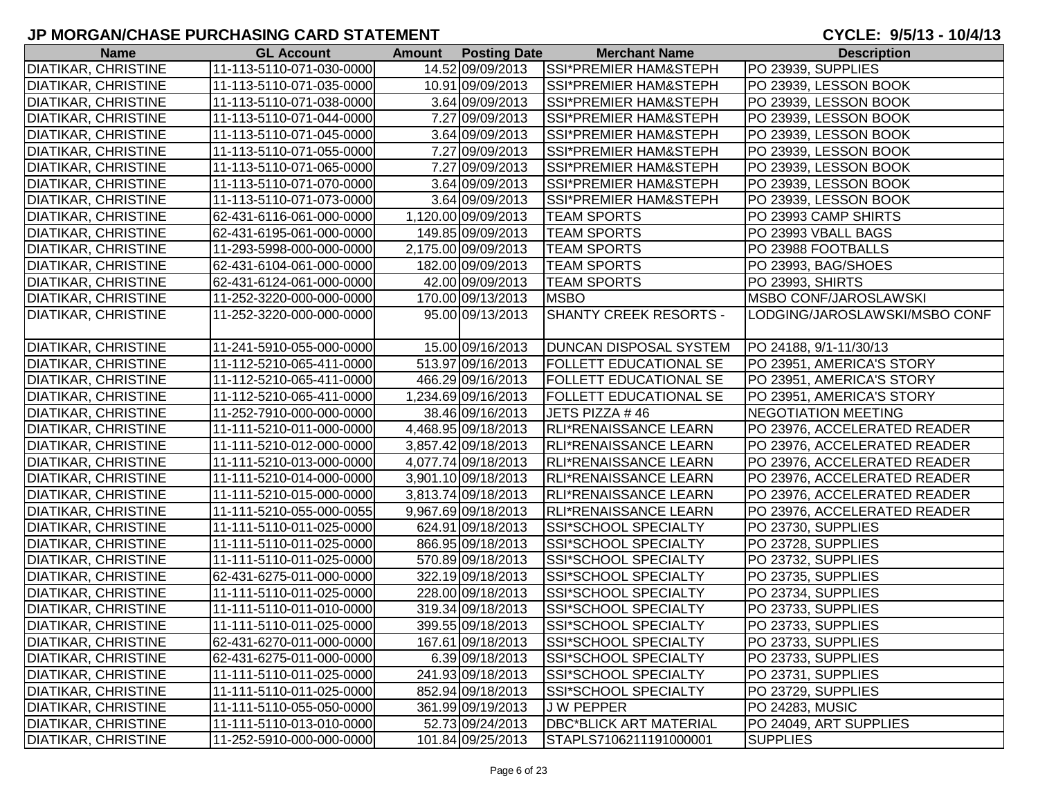| <b>Name</b>                | <b>GL Account</b>        | <b>Amount Posting Date</b> | <b>Merchant Name</b>             | <b>Description</b>            |
|----------------------------|--------------------------|----------------------------|----------------------------------|-------------------------------|
| <b>DIATIKAR, CHRISTINE</b> | 11-113-5110-071-030-0000 | 14.52 09/09/2013           | <b>SSI*PREMIER HAM&amp;STEPH</b> | PO 23939, SUPPLIES            |
| <b>DIATIKAR, CHRISTINE</b> | 11-113-5110-071-035-0000 | 10.91 09/09/2013           | SSI*PREMIER HAM&STEPH            | PO 23939, LESSON BOOK         |
| <b>DIATIKAR, CHRISTINE</b> | 11-113-5110-071-038-0000 | 3.64 09/09/2013            | <b>SSI*PREMIER HAM&amp;STEPH</b> | PO 23939, LESSON BOOK         |
| <b>DIATIKAR, CHRISTINE</b> | 11-113-5110-071-044-0000 | 7.27 09/09/2013            | <b>SSI*PREMIER HAM&amp;STEPH</b> | PO 23939, LESSON BOOK         |
| <b>DIATIKAR, CHRISTINE</b> | 11-113-5110-071-045-0000 | 3.64 09/09/2013            | <b>SSI*PREMIER HAM&amp;STEPH</b> | PO 23939, LESSON BOOK         |
| <b>DIATIKAR, CHRISTINE</b> | 11-113-5110-071-055-0000 | 7.27 09/09/2013            | <b>SSI*PREMIER HAM&amp;STEPH</b> | PO 23939, LESSON BOOK         |
| <b>DIATIKAR, CHRISTINE</b> | 11-113-5110-071-065-0000 | 7.27 09/09/2013            | SSI*PREMIER HAM&STEPH            | PO 23939, LESSON BOOK         |
| <b>DIATIKAR, CHRISTINE</b> | 11-113-5110-071-070-0000 | 3.64 09/09/2013            | SSI*PREMIER HAM&STEPH            | PO 23939, LESSON BOOK         |
| <b>DIATIKAR, CHRISTINE</b> | 11-113-5110-071-073-0000 | 3.64 09/09/2013            | SSI*PREMIER HAM&STEPH            | PO 23939, LESSON BOOK         |
| <b>DIATIKAR, CHRISTINE</b> | 62-431-6116-061-000-0000 | 1,120.00 09/09/2013        | <b>TEAM SPORTS</b>               | PO 23993 CAMP SHIRTS          |
| DIATIKAR, CHRISTINE        | 62-431-6195-061-000-0000 | 149.85 09/09/2013          | <b>TEAM SPORTS</b>               | PO 23993 VBALL BAGS           |
| DIATIKAR, CHRISTINE        | 11-293-5998-000-000-0000 | 2,175.00 09/09/2013        | <b>TEAM SPORTS</b>               | PO 23988 FOOTBALLS            |
| DIATIKAR, CHRISTINE        | 62-431-6104-061-000-0000 | 182.00 09/09/2013          | <b>TEAM SPORTS</b>               | PO 23993, BAG/SHOES           |
| <b>DIATIKAR, CHRISTINE</b> | 62-431-6124-061-000-0000 | 42.00 09/09/2013           | <b>TEAM SPORTS</b>               | PO 23993, SHIRTS              |
| <b>DIATIKAR, CHRISTINE</b> | 11-252-3220-000-000-0000 | 170.00 09/13/2013          | <b>MSBO</b>                      | <b>MSBO CONF/JAROSLAWSKI</b>  |
| <b>DIATIKAR, CHRISTINE</b> | 11-252-3220-000-000-0000 | 95.00 09/13/2013           | <b>SHANTY CREEK RESORTS -</b>    | LODGING/JAROSLAWSKI/MSBO CONF |
|                            |                          |                            |                                  |                               |
| <b>DIATIKAR, CHRISTINE</b> | 11-241-5910-055-000-0000 | 15.00 09/16/2013           | <b>DUNCAN DISPOSAL SYSTEM</b>    | PO 24188, 9/1-11/30/13        |
| <b>DIATIKAR, CHRISTINE</b> | 11-112-5210-065-411-0000 | 513.97 09/16/2013          | <b>FOLLETT EDUCATIONAL SE</b>    | PO 23951, AMERICA'S STORY     |
| <b>DIATIKAR, CHRISTINE</b> | 11-112-5210-065-411-0000 | 466.29 09/16/2013          | <b>FOLLETT EDUCATIONAL SE</b>    | PO 23951, AMERICA'S STORY     |
| <b>DIATIKAR, CHRISTINE</b> | 11-112-5210-065-411-0000 | 1,234.69 09/16/2013        | <b>FOLLETT EDUCATIONAL SE</b>    | PO 23951, AMERICA'S STORY     |
| DIATIKAR, CHRISTINE        | 11-252-7910-000-000-0000 | 38.46 09/16/2013           | JETS PIZZA #46                   | NEGOTIATION MEETING           |
| <b>DIATIKAR, CHRISTINE</b> | 11-111-5210-011-000-0000 | 4,468.95 09/18/2013        | <b>RLI*RENAISSANCE LEARN</b>     | PO 23976, ACCELERATED READER  |
| DIATIKAR, CHRISTINE        | 11-111-5210-012-000-0000 | 3,857.42 09/18/2013        | <b>RLI*RENAISSANCE LEARN</b>     | PO 23976, ACCELERATED READER  |
| DIATIKAR, CHRISTINE        | 11-111-5210-013-000-0000 | 4,077.74 09/18/2013        | <b>RLI*RENAISSANCE LEARN</b>     | PO 23976, ACCELERATED READER  |
| DIATIKAR, CHRISTINE        | 11-111-5210-014-000-0000 | 3,901.10 09/18/2013        | <b>RLI*RENAISSANCE LEARN</b>     | PO 23976, ACCELERATED READER  |
| <b>DIATIKAR, CHRISTINE</b> | 11-111-5210-015-000-0000 | 3,813.74 09/18/2013        | <b>RLI*RENAISSANCE LEARN</b>     | PO 23976, ACCELERATED READER  |
| <b>DIATIKAR, CHRISTINE</b> | 11-111-5210-055-000-0055 | 9,967.69 09/18/2013        | RLI*RENAISSANCE LEARN            | PO 23976, ACCELERATED READER  |
| <b>DIATIKAR, CHRISTINE</b> | 11-111-5110-011-025-0000 | 624.91 09/18/2013          | <b>SSI*SCHOOL SPECIALTY</b>      | PO 23730, SUPPLIES            |
| <b>DIATIKAR, CHRISTINE</b> | 11-111-5110-011-025-0000 | 866.95 09/18/2013          | <b>SSI*SCHOOL SPECIALTY</b>      | PO 23728, SUPPLIES            |
| <b>DIATIKAR, CHRISTINE</b> | 11-111-5110-011-025-0000 | 570.89 09/18/2013          | <b>SSI*SCHOOL SPECIALTY</b>      | PO 23732, SUPPLIES            |
| DIATIKAR, CHRISTINE        | 62-431-6275-011-000-0000 | 322.19 09/18/2013          | SSI*SCHOOL SPECIALTY             | PO 23735, SUPPLIES            |
| DIATIKAR, CHRISTINE        | 11-111-5110-011-025-0000 | 228.00 09/18/2013          | <b>SSI*SCHOOL SPECIALTY</b>      | PO 23734, SUPPLIES            |
| <b>DIATIKAR, CHRISTINE</b> | 11-111-5110-011-010-0000 | 319.34 09/18/2013          | SSI*SCHOOL SPECIALTY             | PO 23733, SUPPLIES            |
| <b>DIATIKAR, CHRISTINE</b> | 11-111-5110-011-025-0000 | 399.55 09/18/2013          | SSI*SCHOOL SPECIALTY             | PO 23733, SUPPLIES            |
| <b>DIATIKAR, CHRISTINE</b> | 62-431-6270-011-000-0000 | 167.61 09/18/2013          | <b>SSI*SCHOOL SPECIALTY</b>      | PO 23733, SUPPLIES            |
| DIATIKAR, CHRISTINE        | 62-431-6275-011-000-0000 | 6.39 09/18/2013            | SSI*SCHOOL SPECIALTY             | PO 23733, SUPPLIES            |
| <b>DIATIKAR, CHRISTINE</b> | 11-111-5110-011-025-0000 | 241.93 09/18/2013          | <b>SSI*SCHOOL SPECIALTY</b>      | PO 23731, SUPPLIES            |
| <b>DIATIKAR, CHRISTINE</b> | 11-111-5110-011-025-0000 | 852.94 09/18/2013          | <b>SSI*SCHOOL SPECIALTY</b>      | PO 23729, SUPPLIES            |
| <b>DIATIKAR, CHRISTINE</b> | 11-111-5110-055-050-0000 | 361.99 09/19/2013          | <b>JW PEPPER</b>                 | PO 24283, MUSIC               |
| <b>DIATIKAR, CHRISTINE</b> | 11-111-5110-013-010-0000 | 52.73 09/24/2013           | <b>DBC*BLICK ART MATERIAL</b>    | PO 24049, ART SUPPLIES        |
| <b>DIATIKAR, CHRISTINE</b> | 11-252-5910-000-000-0000 | 101.84 09/25/2013          | STAPLS7106211191000001           | <b>SUPPLIES</b>               |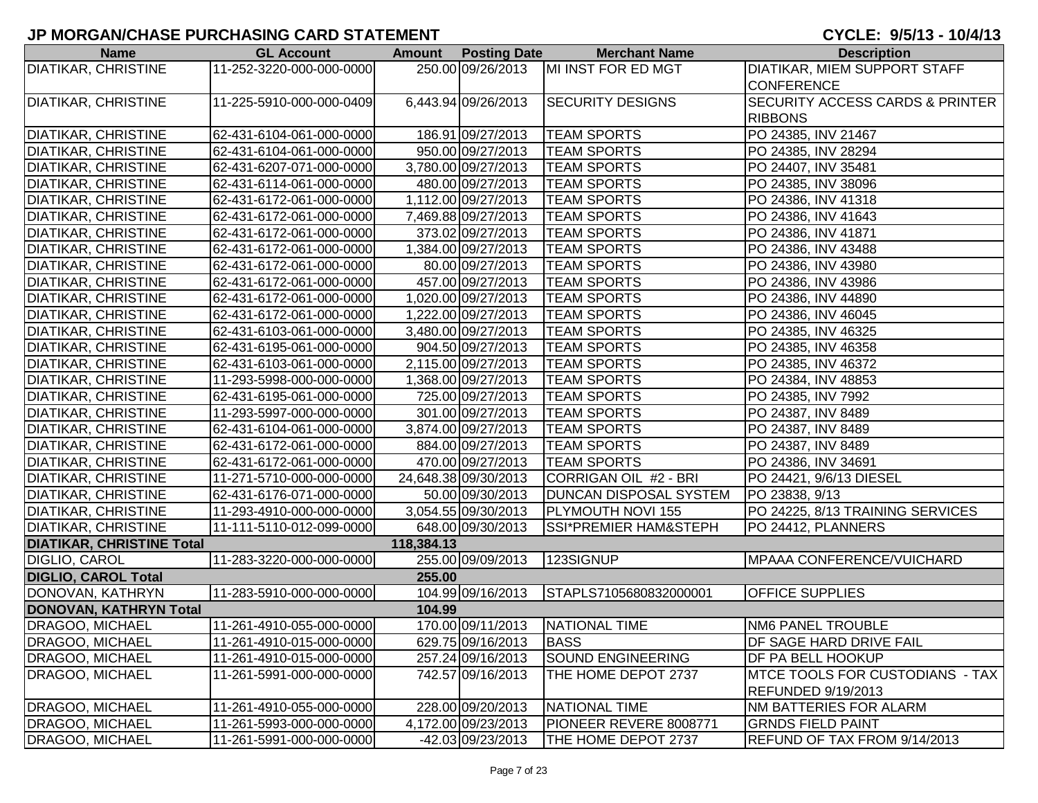| <b>Name</b>                      | <b>GL Account</b>        | <b>Amount</b> | <b>Posting Date</b>  | <b>Merchant Name</b>             | <b>Description</b>                         |
|----------------------------------|--------------------------|---------------|----------------------|----------------------------------|--------------------------------------------|
| <b>DIATIKAR, CHRISTINE</b>       | 11-252-3220-000-000-0000 |               | 250.00 09/26/2013    | MI INST FOR ED MGT               | <b>DIATIKAR, MIEM SUPPORT STAFF</b>        |
|                                  |                          |               |                      |                                  | <b>CONFERENCE</b>                          |
| <b>DIATIKAR, CHRISTINE</b>       | 11-225-5910-000-000-0409 |               | 6,443.94 09/26/2013  | <b>SECURITY DESIGNS</b>          | <b>SECURITY ACCESS CARDS &amp; PRINTER</b> |
|                                  |                          |               |                      |                                  | <b>RIBBONS</b>                             |
| <b>DIATIKAR, CHRISTINE</b>       | 62-431-6104-061-000-0000 |               | 186.91 09/27/2013    | <b>TEAM SPORTS</b>               | PO 24385, INV 21467                        |
| <b>DIATIKAR, CHRISTINE</b>       | 62-431-6104-061-000-0000 |               | 950.00 09/27/2013    | <b>TEAM SPORTS</b>               | PO 24385, INV 28294                        |
| <b>DIATIKAR, CHRISTINE</b>       | 62-431-6207-071-000-0000 |               | 3,780.00 09/27/2013  | <b>TEAM SPORTS</b>               | PO 24407, INV 35481                        |
| <b>DIATIKAR, CHRISTINE</b>       | 62-431-6114-061-000-0000 |               | 480.00 09/27/2013    | <b>TEAM SPORTS</b>               | PO 24385, INV 38096                        |
| <b>DIATIKAR, CHRISTINE</b>       | 62-431-6172-061-000-0000 |               | 1,112.00 09/27/2013  | <b>TEAM SPORTS</b>               | PO 24386, INV 41318                        |
| <b>DIATIKAR, CHRISTINE</b>       | 62-431-6172-061-000-0000 |               | 7,469.88 09/27/2013  | <b>TEAM SPORTS</b>               | PO 24386, INV 41643                        |
| <b>DIATIKAR, CHRISTINE</b>       | 62-431-6172-061-000-0000 |               | 373.02 09/27/2013    | <b>TEAM SPORTS</b>               | PO 24386, INV 41871                        |
| DIATIKAR, CHRISTINE              | 62-431-6172-061-000-0000 |               | 1,384.00 09/27/2013  | <b>TEAM SPORTS</b>               | PO 24386, INV 43488                        |
| <b>DIATIKAR, CHRISTINE</b>       | 62-431-6172-061-000-0000 |               | 80.00 09/27/2013     | <b>TEAM SPORTS</b>               | PO 24386, INV 43980                        |
| <b>DIATIKAR, CHRISTINE</b>       | 62-431-6172-061-000-0000 |               | 457.00 09/27/2013    | <b>TEAM SPORTS</b>               | PO 24386, INV 43986                        |
| <b>DIATIKAR, CHRISTINE</b>       | 62-431-6172-061-000-0000 |               | 1,020.00 09/27/2013  | <b>TEAM SPORTS</b>               | PO 24386, INV 44890                        |
| <b>DIATIKAR, CHRISTINE</b>       | 62-431-6172-061-000-0000 |               | 1,222.00 09/27/2013  | <b>TEAM SPORTS</b>               | PO 24386, INV 46045                        |
| <b>DIATIKAR, CHRISTINE</b>       | 62-431-6103-061-000-0000 |               | 3,480.00 09/27/2013  | <b>TEAM SPORTS</b>               | PO 24385, INV 46325                        |
| <b>DIATIKAR, CHRISTINE</b>       | 62-431-6195-061-000-0000 |               | 904.50 09/27/2013    | <b>TEAM SPORTS</b>               | PO 24385, INV 46358                        |
| <b>DIATIKAR, CHRISTINE</b>       | 62-431-6103-061-000-0000 |               | 2,115.00 09/27/2013  | <b>TEAM SPORTS</b>               | PO 24385, INV 46372                        |
| <b>DIATIKAR, CHRISTINE</b>       | 11-293-5998-000-000-0000 |               | 1,368.00 09/27/2013  | <b>TEAM SPORTS</b>               | PO 24384, INV 48853                        |
| <b>DIATIKAR, CHRISTINE</b>       | 62-431-6195-061-000-0000 |               | 725.00 09/27/2013    | <b>TEAM SPORTS</b>               | PO 24385, INV 7992                         |
| <b>DIATIKAR, CHRISTINE</b>       | 11-293-5997-000-000-0000 |               | 301.00 09/27/2013    | <b>TEAM SPORTS</b>               | PO 24387, INV 8489                         |
| <b>DIATIKAR, CHRISTINE</b>       | 62-431-6104-061-000-0000 |               | 3,874.00 09/27/2013  | <b>TEAM SPORTS</b>               | PO 24387, INV 8489                         |
| <b>DIATIKAR, CHRISTINE</b>       | 62-431-6172-061-000-0000 |               | 884.00 09/27/2013    | <b>TEAM SPORTS</b>               | PO 24387, INV 8489                         |
| <b>DIATIKAR, CHRISTINE</b>       | 62-431-6172-061-000-0000 |               | 470.00 09/27/2013    | <b>TEAM SPORTS</b>               | PO 24386, INV 34691                        |
| <b>DIATIKAR, CHRISTINE</b>       | 11-271-5710-000-000-0000 |               | 24,648.38 09/30/2013 | CORRIGAN OIL #2 - BRI            | PO 24421, 9/6/13 DIESEL                    |
| <b>DIATIKAR, CHRISTINE</b>       | 62-431-6176-071-000-0000 |               | 50.00 09/30/2013     | DUNCAN DISPOSAL SYSTEM           | PO 23838, 9/13                             |
| <b>DIATIKAR, CHRISTINE</b>       | 11-293-4910-000-000-0000 |               | 3,054.55 09/30/2013  | PLYMOUTH NOVI 155                | PO 24225, 8/13 TRAINING SERVICES           |
| <b>DIATIKAR, CHRISTINE</b>       | 11-111-5110-012-099-0000 |               | 648.00 09/30/2013    | <b>SSI*PREMIER HAM&amp;STEPH</b> | PO 24412, PLANNERS                         |
| <b>DIATIKAR, CHRISTINE Total</b> |                          | 118,384.13    |                      |                                  |                                            |
| DIGLIO, CAROL                    | 11-283-3220-000-000-0000 |               | 255.00 09/09/2013    | 123SIGNUP                        | MPAAA CONFERENCE/VUICHARD                  |
| <b>DIGLIO, CAROL Total</b>       |                          | 255.00        |                      |                                  |                                            |
| DONOVAN, KATHRYN                 | 11-283-5910-000-000-0000 |               | 104.99 09/16/2013    | STAPLS7105680832000001           | <b>OFFICE SUPPLIES</b>                     |
| DONOVAN, KATHRYN Total           |                          | 104.99        |                      |                                  |                                            |
| <b>DRAGOO, MICHAEL</b>           | 11-261-4910-055-000-0000 |               | 170.00 09/11/2013    | NATIONAL TIME                    | <b>NM6 PANEL TROUBLE</b>                   |
| DRAGOO, MICHAEL                  | 11-261-4910-015-000-0000 |               | 629.75 09/16/2013    | <b>BASS</b>                      | <b>DF SAGE HARD DRIVE FAIL</b>             |
| <b>DRAGOO, MICHAEL</b>           | 11-261-4910-015-000-0000 |               | 257.24 09/16/2013    | <b>SOUND ENGINEERING</b>         | DF PA BELL HOOKUP                          |
| <b>DRAGOO, MICHAEL</b>           | 11-261-5991-000-000-0000 |               | 742.57 09/16/2013    | THE HOME DEPOT 2737              | MTCE TOOLS FOR CUSTODIANS - TAX            |
|                                  |                          |               |                      |                                  | <b>REFUNDED 9/19/2013</b>                  |
| <b>DRAGOO, MICHAEL</b>           | 11-261-4910-055-000-0000 |               | 228.00 09/20/2013    | NATIONAL TIME                    | <b>NM BATTERIES FOR ALARM</b>              |
| <b>DRAGOO, MICHAEL</b>           | 11-261-5993-000-000-0000 |               | 4,172.00 09/23/2013  | PIONEER REVERE 8008771           | <b>GRNDS FIELD PAINT</b>                   |
| DRAGOO, MICHAEL                  | 11-261-5991-000-000-0000 |               | -42.03 09/23/2013    | THE HOME DEPOT 2737              | REFUND OF TAX FROM 9/14/2013               |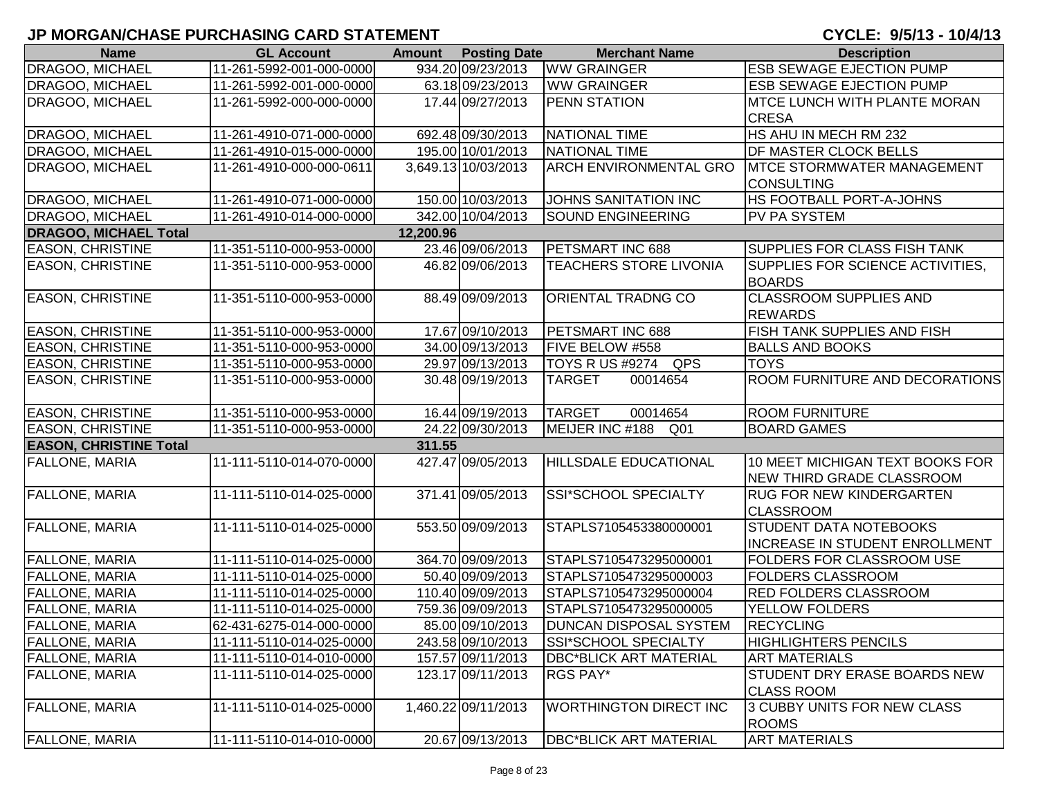| <b>Name</b>                   | <b>GL Account</b>        |           | <b>Amount</b> Posting Date | <b>Merchant Name</b>               | <b>Description</b>                    |
|-------------------------------|--------------------------|-----------|----------------------------|------------------------------------|---------------------------------------|
| DRAGOO, MICHAEL               | 11-261-5992-001-000-0000 |           | 934.20 09/23/2013          | <b>WW GRAINGER</b>                 | <b>ESB SEWAGE EJECTION PUMP</b>       |
| DRAGOO, MICHAEL               | 11-261-5992-001-000-0000 |           | 63.18 09/23/2013           | <b>WW GRAINGER</b>                 | <b>ESB SEWAGE EJECTION PUMP</b>       |
| DRAGOO, MICHAEL               | 11-261-5992-000-000-0000 |           | 17.44 09/27/2013           | <b>PENN STATION</b>                | <b>MTCE LUNCH WITH PLANTE MORAN</b>   |
|                               |                          |           |                            |                                    | <b>CRESA</b>                          |
| DRAGOO, MICHAEL               | 11-261-4910-071-000-0000 |           | 692.48 09/30/2013          | NATIONAL TIME                      | HS AHU IN MECH RM 232                 |
| <b>DRAGOO, MICHAEL</b>        | 11-261-4910-015-000-0000 |           | 195.00 10/01/2013          | NATIONAL TIME                      | <b>DF MASTER CLOCK BELLS</b>          |
| DRAGOO, MICHAEL               | 11-261-4910-000-000-0611 |           | 3,649.13 10/03/2013        | <b>ARCH ENVIRONMENTAL GRO</b>      | <b>IMTCE STORMWATER MANAGEMENT</b>    |
|                               |                          |           |                            |                                    | <b>CONSULTING</b>                     |
| DRAGOO, MICHAEL               | 11-261-4910-071-000-0000 |           | 150.00 10/03/2013          | JOHNS SANITATION INC               | HS FOOTBALL PORT-A-JOHNS              |
| <b>DRAGOO, MICHAEL</b>        | 11-261-4910-014-000-0000 |           | 342.00 10/04/2013          | <b>SOUND ENGINEERING</b>           | PV PA SYSTEM                          |
| <b>DRAGOO, MICHAEL Total</b>  |                          | 12,200.96 |                            |                                    |                                       |
| <b>EASON, CHRISTINE</b>       | 11-351-5110-000-953-0000 |           | 23.46 09/06/2013           | PETSMART INC 688                   | SUPPLIES FOR CLASS FISH TANK          |
| <b>EASON, CHRISTINE</b>       | 11-351-5110-000-953-0000 |           | 46.82 09/06/2013           | <b>TEACHERS STORE LIVONIA</b>      | SUPPLIES FOR SCIENCE ACTIVITIES,      |
|                               |                          |           |                            |                                    | <b>BOARDS</b>                         |
| <b>EASON, CHRISTINE</b>       | 11-351-5110-000-953-0000 |           | 88.49 09/09/2013           | ORIENTAL TRADNG CO                 | <b>CLASSROOM SUPPLIES AND</b>         |
|                               |                          |           |                            |                                    | <b>REWARDS</b>                        |
| <b>EASON, CHRISTINE</b>       | 11-351-5110-000-953-0000 |           | 17.67 09/10/2013           | PETSMART INC 688                   | FISH TANK SUPPLIES AND FISH           |
| <b>EASON, CHRISTINE</b>       | 11-351-5110-000-953-0000 |           | 34.00 09/13/2013           | FIVE BELOW #558                    | <b>BALLS AND BOOKS</b>                |
| <b>EASON, CHRISTINE</b>       | 11-351-5110-000-953-0000 |           | 29.97 09/13/2013           | QPS<br><b>TOYS R US #9274</b>      | <b>TOYS</b>                           |
| <b>EASON, CHRISTINE</b>       | 11-351-5110-000-953-0000 |           | 30.48 09/19/2013           | <b>TARGET</b><br>00014654          | ROOM FURNITURE AND DECORATIONS        |
|                               |                          |           |                            |                                    |                                       |
| <b>EASON, CHRISTINE</b>       | 11-351-5110-000-953-0000 |           | 16.44 09/19/2013           | <b>TARGET</b><br>00014654          | <b>ROOM FURNITURE</b>                 |
| <b>EASON, CHRISTINE</b>       | 11-351-5110-000-953-0000 |           | 24.22 09/30/2013           | MEIJER INC #188<br>Q <sub>01</sub> | <b>BOARD GAMES</b>                    |
| <b>EASON, CHRISTINE Total</b> |                          | 311.55    |                            |                                    |                                       |
| <b>FALLONE, MARIA</b>         | 11-111-5110-014-070-0000 |           | 427.47 09/05/2013          | <b>HILLSDALE EDUCATIONAL</b>       | 10 MEET MICHIGAN TEXT BOOKS FOR       |
|                               |                          |           |                            |                                    | <b>NEW THIRD GRADE CLASSROOM</b>      |
| <b>FALLONE, MARIA</b>         | 11-111-5110-014-025-0000 |           | 371.41 09/05/2013          | SSI*SCHOOL SPECIALTY               | <b>RUG FOR NEW KINDERGARTEN</b>       |
|                               |                          |           |                            |                                    | <b>CLASSROOM</b>                      |
| FALLONE, MARIA                | 11-111-5110-014-025-0000 |           | 553.50 09/09/2013          | STAPLS7105453380000001             | <b>STUDENT DATA NOTEBOOKS</b>         |
|                               |                          |           |                            |                                    | <b>INCREASE IN STUDENT ENROLLMENT</b> |
| <b>FALLONE, MARIA</b>         | 11-111-5110-014-025-0000 |           | 364.70 09/09/2013          | STAPLS7105473295000001             | <b>FOLDERS FOR CLASSROOM USE</b>      |
| <b>FALLONE, MARIA</b>         | 11-111-5110-014-025-0000 |           | 50.40 09/09/2013           | STAPLS7105473295000003             | FOLDERS CLASSROOM                     |
| <b>FALLONE, MARIA</b>         | 11-111-5110-014-025-0000 |           | 110.40 09/09/2013          | STAPLS7105473295000004             | <b>RED FOLDERS CLASSROOM</b>          |
| <b>FALLONE, MARIA</b>         | 11-111-5110-014-025-0000 |           | 759.36 09/09/2013          | STAPLS7105473295000005             | YELLOW FOLDERS                        |
| <b>FALLONE, MARIA</b>         | 62-431-6275-014-000-0000 |           | 85.00 09/10/2013           | <b>DUNCAN DISPOSAL SYSTEM</b>      | <b>RECYCLING</b>                      |
| <b>FALLONE, MARIA</b>         | 11-111-5110-014-025-0000 |           | 243.58 09/10/2013          | <b>SSI*SCHOOL SPECIALTY</b>        | <b>HIGHLIGHTERS PENCILS</b>           |
| FALLONE, MARIA                | 11-111-5110-014-010-0000 |           | 157.57 09/11/2013          | <b>DBC*BLICK ART MATERIAL</b>      | <b>ART MATERIALS</b>                  |
| <b>FALLONE, MARIA</b>         | 11-111-5110-014-025-0000 |           | 123.17 09/11/2013          | RGS PAY*                           | STUDENT DRY ERASE BOARDS NEW          |
|                               |                          |           |                            |                                    | <b>CLASS ROOM</b>                     |
| <b>FALLONE, MARIA</b>         | 11-111-5110-014-025-0000 |           | 1,460.22 09/11/2013        | <b>WORTHINGTON DIRECT INC</b>      | 3 CUBBY UNITS FOR NEW CLASS           |
|                               |                          |           |                            |                                    | <b>ROOMS</b>                          |
| <b>FALLONE, MARIA</b>         | 11-111-5110-014-010-0000 |           | 20.67 09/13/2013           | <b>DBC*BLICK ART MATERIAL</b>      | <b>ART MATERIALS</b>                  |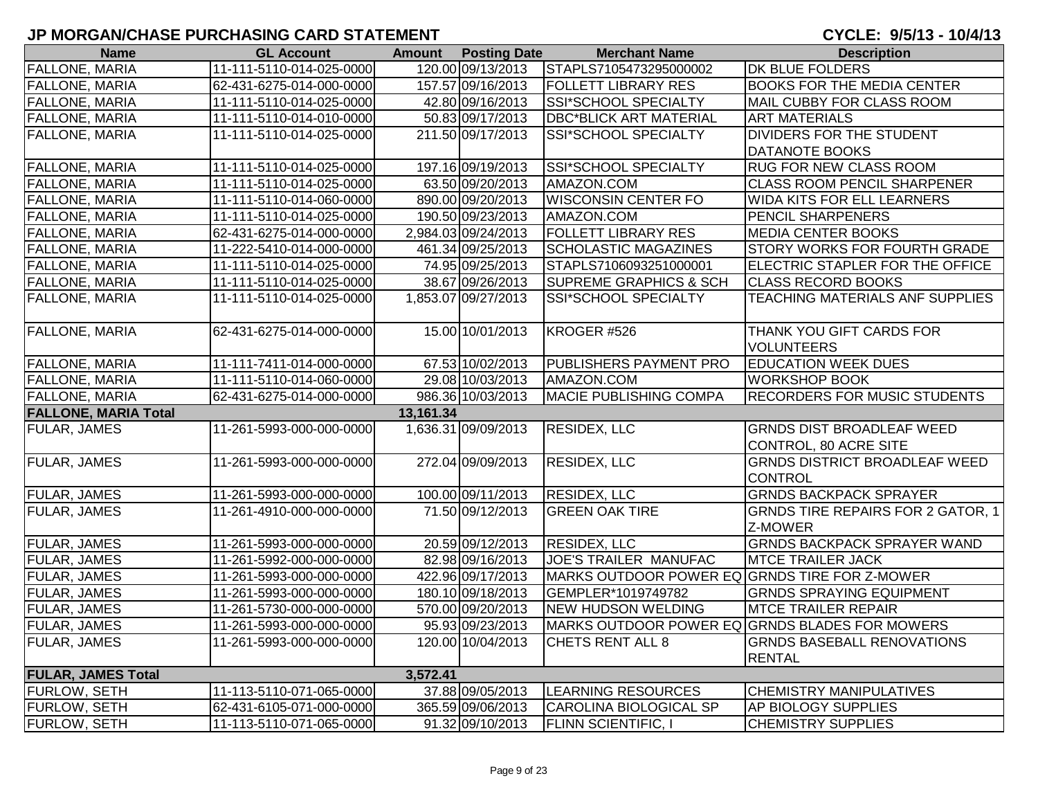| <b>Name</b>                 | <b>GL Account</b>        |           | <b>Amount</b> Posting Date | <b>Merchant Name</b>                          | <b>Description</b>                             |
|-----------------------------|--------------------------|-----------|----------------------------|-----------------------------------------------|------------------------------------------------|
| <b>FALLONE, MARIA</b>       | 11-111-5110-014-025-0000 |           | 120.00 09/13/2013          | STAPLS7105473295000002                        | <b>DK BLUE FOLDERS</b>                         |
| <b>FALLONE, MARIA</b>       | 62-431-6275-014-000-0000 |           | 157.57 09/16/2013          | <b>FOLLETT LIBRARY RES</b>                    | <b>BOOKS FOR THE MEDIA CENTER</b>              |
| <b>FALLONE, MARIA</b>       | 11-111-5110-014-025-0000 |           | 42.80 09/16/2013           | SSI*SCHOOL SPECIALTY                          | MAIL CUBBY FOR CLASS ROOM                      |
| <b>FALLONE, MARIA</b>       | 11-111-5110-014-010-0000 |           | 50.83 09/17/2013           | <b>DBC*BLICK ART MATERIAL</b>                 | <b>ART MATERIALS</b>                           |
| <b>FALLONE, MARIA</b>       | 11-111-5110-014-025-0000 |           | 211.50 09/17/2013          | SSI*SCHOOL SPECIALTY                          | <b>DIVIDERS FOR THE STUDENT</b>                |
|                             |                          |           |                            |                                               | <b>DATANOTE BOOKS</b>                          |
| <b>FALLONE, MARIA</b>       | 11-111-5110-014-025-0000 |           | 197.16 09/19/2013          | SSI*SCHOOL SPECIALTY                          | <b>RUG FOR NEW CLASS ROOM</b>                  |
| <b>FALLONE, MARIA</b>       | 11-111-5110-014-025-0000 |           | 63.50 09/20/2013           | AMAZON.COM                                    | <b>CLASS ROOM PENCIL SHARPENER</b>             |
| <b>FALLONE, MARIA</b>       | 11-111-5110-014-060-0000 |           | 890.00 09/20/2013          | <b>WISCONSIN CENTER FO</b>                    | <b>WIDA KITS FOR ELL LEARNERS</b>              |
| <b>FALLONE, MARIA</b>       | 11-111-5110-014-025-0000 |           | 190.50 09/23/2013          | AMAZON.COM                                    | <b>PENCIL SHARPENERS</b>                       |
| <b>FALLONE, MARIA</b>       | 62-431-6275-014-000-0000 |           | 2,984.03 09/24/2013        | <b>FOLLETT LIBRARY RES</b>                    | <b>MEDIA CENTER BOOKS</b>                      |
| <b>FALLONE, MARIA</b>       | 11-222-5410-014-000-0000 |           | 461.34 09/25/2013          | SCHOLASTIC MAGAZINES                          | <b>STORY WORKS FOR FOURTH GRADE</b>            |
| <b>FALLONE, MARIA</b>       | 11-111-5110-014-025-0000 |           | 74.95 09/25/2013           | STAPLS7106093251000001                        | ELECTRIC STAPLER FOR THE OFFICE                |
| <b>FALLONE, MARIA</b>       | 11-111-5110-014-025-0000 |           | 38.67 09/26/2013           | <b>SUPREME GRAPHICS &amp; SCH</b>             | <b>CLASS RECORD BOOKS</b>                      |
| <b>FALLONE, MARIA</b>       | 11-111-5110-014-025-0000 |           | 1,853.07 09/27/2013        | SSI*SCHOOL SPECIALTY                          | <b>TEACHING MATERIALS ANF SUPPLIES</b>         |
|                             |                          |           |                            |                                               |                                                |
| <b>FALLONE, MARIA</b>       | 62-431-6275-014-000-0000 |           | 15.00 10/01/2013           | KROGER #526                                   | THANK YOU GIFT CARDS FOR                       |
|                             |                          |           |                            |                                               | <b>VOLUNTEERS</b>                              |
| <b>FALLONE, MARIA</b>       | 11-111-7411-014-000-0000 |           | 67.53 10/02/2013           | PUBLISHERS PAYMENT PRO                        | <b>EDUCATION WEEK DUES</b>                     |
| <b>FALLONE, MARIA</b>       | 11-111-5110-014-060-0000 |           | 29.08 10/03/2013           | AMAZON.COM                                    | <b>WORKSHOP BOOK</b>                           |
| <b>FALLONE, MARIA</b>       | 62-431-6275-014-000-0000 |           | 986.36 10/03/2013          | <b>MACIE PUBLISHING COMPA</b>                 | <b>RECORDERS FOR MUSIC STUDENTS</b>            |
| <b>FALLONE, MARIA Total</b> |                          | 13,161.34 |                            |                                               |                                                |
| <b>FULAR, JAMES</b>         | 11-261-5993-000-000-0000 |           | 1,636.31 09/09/2013        | <b>RESIDEX, LLC</b>                           | <b>GRNDS DIST BROADLEAF WEED</b>               |
|                             |                          |           |                            |                                               | CONTROL, 80 ACRE SITE                          |
| <b>FULAR, JAMES</b>         | 11-261-5993-000-000-0000 |           | 272.04 09/09/2013          | <b>RESIDEX, LLC</b>                           | <b>GRNDS DISTRICT BROADLEAF WEED</b>           |
|                             |                          |           |                            |                                               | <b>CONTROL</b>                                 |
| <b>FULAR, JAMES</b>         | 11-261-5993-000-000-0000 |           | 100.00 09/11/2013          | <b>RESIDEX, LLC</b>                           | <b>GRNDS BACKPACK SPRAYER</b>                  |
| <b>FULAR, JAMES</b>         | 11-261-4910-000-000-0000 |           | 71.50 09/12/2013           | <b>GREEN OAK TIRE</b>                         | <b>GRNDS TIRE REPAIRS FOR 2 GATOR, 1</b>       |
|                             |                          |           |                            |                                               | Z-MOWER                                        |
| <b>FULAR, JAMES</b>         | 11-261-5993-000-000-0000 |           | 20.59 09/12/2013           | <b>RESIDEX, LLC</b>                           | <b>GRNDS BACKPACK SPRAYER WAND</b>             |
| <b>FULAR, JAMES</b>         | 11-261-5992-000-000-0000 |           | 82.98 09/16/2013           | JOE'S TRAILER MANUFAC                         | <b>MTCE TRAILER JACK</b>                       |
| <b>FULAR, JAMES</b>         | 11-261-5993-000-000-0000 |           | 422.96 09/17/2013          | MARKS OUTDOOR POWER EQ GRNDS TIRE FOR Z-MOWER |                                                |
| <b>FULAR, JAMES</b>         | 11-261-5993-000-000-0000 |           | 180.10 09/18/2013          | GEMPLER*1019749782                            | <b>GRNDS SPRAYING EQUIPMENT</b>                |
| <b>FULAR, JAMES</b>         | 11-261-5730-000-000-0000 |           | 570.00 09/20/2013          | <b>NEW HUDSON WELDING</b>                     | <b>MTCE TRAILER REPAIR</b>                     |
| <b>FULAR, JAMES</b>         | 11-261-5993-000-000-0000 |           | 95.93 09/23/2013           |                                               | MARKS OUTDOOR POWER EQ GRNDS BLADES FOR MOWERS |
| <b>FULAR, JAMES</b>         | 11-261-5993-000-000-0000 |           | 120.00 10/04/2013          | CHETS RENT ALL 8                              | <b>GRNDS BASEBALL RENOVATIONS</b>              |
|                             |                          |           |                            |                                               | <b>RENTAL</b>                                  |
| <b>FULAR, JAMES Total</b>   |                          | 3,572.41  |                            |                                               |                                                |
| <b>FURLOW, SETH</b>         | 11-113-5110-071-065-0000 |           | 37.88 09/05/2013           | <b>LEARNING RESOURCES</b>                     | <b>CHEMISTRY MANIPULATIVES</b>                 |
| <b>FURLOW, SETH</b>         | 62-431-6105-071-000-0000 |           | 365.59 09/06/2013          | <b>CAROLINA BIOLOGICAL SP</b>                 | AP BIOLOGY SUPPLIES                            |
| <b>FURLOW, SETH</b>         | 11-113-5110-071-065-0000 |           | 91.32 09/10/2013           | <b>FLINN SCIENTIFIC, I</b>                    | <b>CHEMISTRY SUPPLIES</b>                      |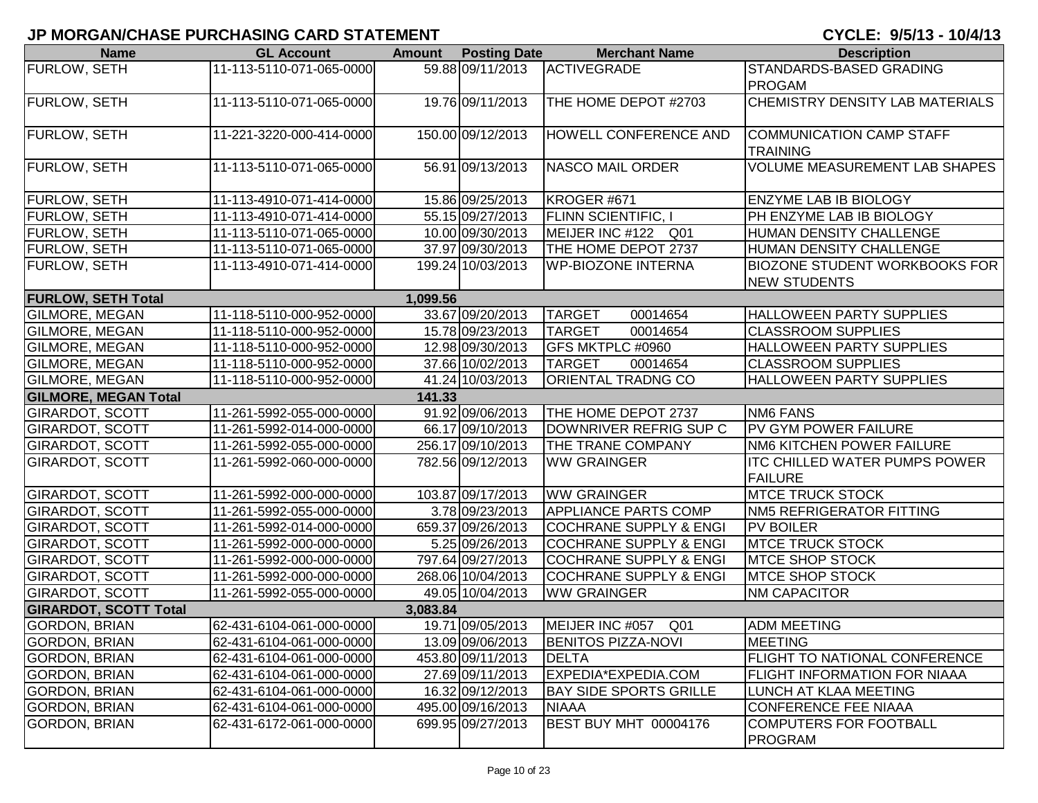| <b>Name</b>                  | <b>GL Account</b>        | <b>Amount</b> | <b>Posting Date</b> | <b>Merchant Name</b>              | <b>Description</b>                   |
|------------------------------|--------------------------|---------------|---------------------|-----------------------------------|--------------------------------------|
| <b>FURLOW, SETH</b>          | 11-113-5110-071-065-0000 |               | 59.88 09/11/2013    | <b>ACTIVEGRADE</b>                | STANDARDS-BASED GRADING              |
|                              |                          |               |                     |                                   | <b>PROGAM</b>                        |
| <b>FURLOW, SETH</b>          | 11-113-5110-071-065-0000 |               | 19.76 09/11/2013    | THE HOME DEPOT #2703              | CHEMISTRY DENSITY LAB MATERIALS      |
|                              |                          |               |                     |                                   |                                      |
| FURLOW, SETH                 | 11-221-3220-000-414-0000 |               | 150.00 09/12/2013   | HOWELL CONFERENCE AND             | COMMUNICATION CAMP STAFF             |
|                              |                          |               |                     |                                   | <b>TRAINING</b>                      |
| <b>FURLOW, SETH</b>          | 11-113-5110-071-065-0000 |               | 56.91 09/13/2013    | <b>NASCO MAIL ORDER</b>           | <b>VOLUME MEASUREMENT LAB SHAPES</b> |
|                              |                          |               |                     |                                   |                                      |
| <b>FURLOW, SETH</b>          | 11-113-4910-071-414-0000 |               | 15.86 09/25/2013    | KROGER #671                       | <b>ENZYME LAB IB BIOLOGY</b>         |
| <b>FURLOW, SETH</b>          | 11-113-4910-071-414-0000 |               | 55.15 09/27/2013    | <b>FLINN SCIENTIFIC, I</b>        | PH ENZYME LAB IB BIOLOGY             |
| <b>FURLOW, SETH</b>          | 11-113-5110-071-065-0000 |               | 10.00 09/30/2013    | MEIJER INC #122 Q01               | HUMAN DENSITY CHALLENGE              |
| FURLOW, SETH                 | 11-113-5110-071-065-0000 |               | 37.97 09/30/2013    | THE HOME DEPOT 2737               | <b>HUMAN DENSITY CHALLENGE</b>       |
| FURLOW, SETH                 | 11-113-4910-071-414-0000 |               | 199.24 10/03/2013   | <b>WP-BIOZONE INTERNA</b>         | BIOZONE STUDENT WORKBOOKS FOR        |
|                              |                          |               |                     |                                   | <b>NEW STUDENTS</b>                  |
| <b>FURLOW, SETH Total</b>    |                          | 1,099.56      |                     |                                   |                                      |
| GILMORE, MEGAN               | 11-118-5110-000-952-0000 |               | 33.67 09/20/2013    | <b>TARGET</b><br>00014654         | HALLOWEEN PARTY SUPPLIES             |
| GILMORE, MEGAN               | 11-118-5110-000-952-0000 |               | 15.78 09/23/2013    | <b>TARGET</b><br>00014654         | <b>CLASSROOM SUPPLIES</b>            |
| GILMORE, MEGAN               | 11-118-5110-000-952-0000 |               | 12.98 09/30/2013    | GFS MKTPLC #0960                  | HALLOWEEN PARTY SUPPLIES             |
| GILMORE, MEGAN               | 11-118-5110-000-952-0000 |               | 37.66 10/02/2013    | <b>TARGET</b><br>00014654         | <b>CLASSROOM SUPPLIES</b>            |
| <b>GILMORE, MEGAN</b>        | 11-118-5110-000-952-0000 |               | 41.24 10/03/2013    | <b>ORIENTAL TRADNG CO</b>         | <b>HALLOWEEN PARTY SUPPLIES</b>      |
| <b>GILMORE, MEGAN Total</b>  |                          | 141.33        |                     |                                   |                                      |
| <b>GIRARDOT, SCOTT</b>       | 11-261-5992-055-000-0000 |               | 91.92 09/06/2013    | THE HOME DEPOT 2737               | <b>NM6 FANS</b>                      |
| <b>GIRARDOT, SCOTT</b>       | 11-261-5992-014-000-0000 |               | 66.17 09/10/2013    | DOWNRIVER REFRIG SUP C            | PV GYM POWER FAILURE                 |
| <b>GIRARDOT, SCOTT</b>       | 11-261-5992-055-000-0000 |               | 256.17 09/10/2013   | THE TRANE COMPANY                 | NM6 KITCHEN POWER FAILURE            |
| <b>GIRARDOT, SCOTT</b>       | 11-261-5992-060-000-0000 |               | 782.56 09/12/2013   | <b>WW GRAINGER</b>                | <b>ITC CHILLED WATER PUMPS POWER</b> |
|                              |                          |               |                     |                                   | <b>FAILURE</b>                       |
| <b>GIRARDOT, SCOTT</b>       | 11-261-5992-000-000-0000 |               | 103.87 09/17/2013   | <b>WW GRAINGER</b>                | <b>MTCE TRUCK STOCK</b>              |
| <b>GIRARDOT, SCOTT</b>       | 11-261-5992-055-000-0000 |               | 3.78 09/23/2013     | <b>APPLIANCE PARTS COMP</b>       | NM5 REFRIGERATOR FITTING             |
| <b>GIRARDOT, SCOTT</b>       | 11-261-5992-014-000-0000 |               | 659.37 09/26/2013   | <b>COCHRANE SUPPLY &amp; ENGI</b> | <b>PV BOILER</b>                     |
| <b>GIRARDOT, SCOTT</b>       | 11-261-5992-000-000-0000 |               | 5.25 09/26/2013     | <b>COCHRANE SUPPLY &amp; ENGI</b> | <b>MTCE TRUCK STOCK</b>              |
| <b>GIRARDOT, SCOTT</b>       | 11-261-5992-000-000-0000 |               | 797.64 09/27/2013   | <b>COCHRANE SUPPLY &amp; ENGI</b> | <b>MTCE SHOP STOCK</b>               |
| <b>GIRARDOT, SCOTT</b>       | 11-261-5992-000-000-0000 |               | 268.06 10/04/2013   | <b>COCHRANE SUPPLY &amp; ENGI</b> | <b>MTCE SHOP STOCK</b>               |
| <b>GIRARDOT, SCOTT</b>       | 11-261-5992-055-000-0000 |               | 49.05 10/04/2013    | <b>WW GRAINGER</b>                | <b>NM CAPACITOR</b>                  |
| <b>GIRARDOT, SCOTT Total</b> |                          | 3,083.84      |                     |                                   |                                      |
| <b>GORDON, BRIAN</b>         | 62-431-6104-061-000-0000 |               | 19.71 09/05/2013    | MEIJER INC #057<br>Q01            | <b>ADM MEETING</b>                   |
| <b>GORDON, BRIAN</b>         | 62-431-6104-061-000-0000 |               | 13.09 09/06/2013    | <b>BENITOS PIZZA-NOVI</b>         | <b>MEETING</b>                       |
| <b>GORDON, BRIAN</b>         | 62-431-6104-061-000-0000 |               | 453.80 09/11/2013   | <b>DELTA</b>                      | FLIGHT TO NATIONAL CONFERENCE        |
| <b>GORDON, BRIAN</b>         | 62-431-6104-061-000-0000 |               | 27.69 09/11/2013    | EXPEDIA*EXPEDIA.COM               | FLIGHT INFORMATION FOR NIAAA         |
| <b>GORDON, BRIAN</b>         | 62-431-6104-061-000-0000 |               | 16.32 09/12/2013    | <b>BAY SIDE SPORTS GRILLE</b>     | LUNCH AT KLAA MEETING                |
| <b>GORDON, BRIAN</b>         | 62-431-6104-061-000-0000 |               | 495.00 09/16/2013   | <b>NIAAA</b>                      | CONFERENCE FEE NIAAA                 |
| <b>GORDON, BRIAN</b>         | 62-431-6172-061-000-0000 |               | 699.95 09/27/2013   | BEST BUY MHT 00004176             | <b>COMPUTERS FOR FOOTBALL</b>        |
|                              |                          |               |                     |                                   | PROGRAM                              |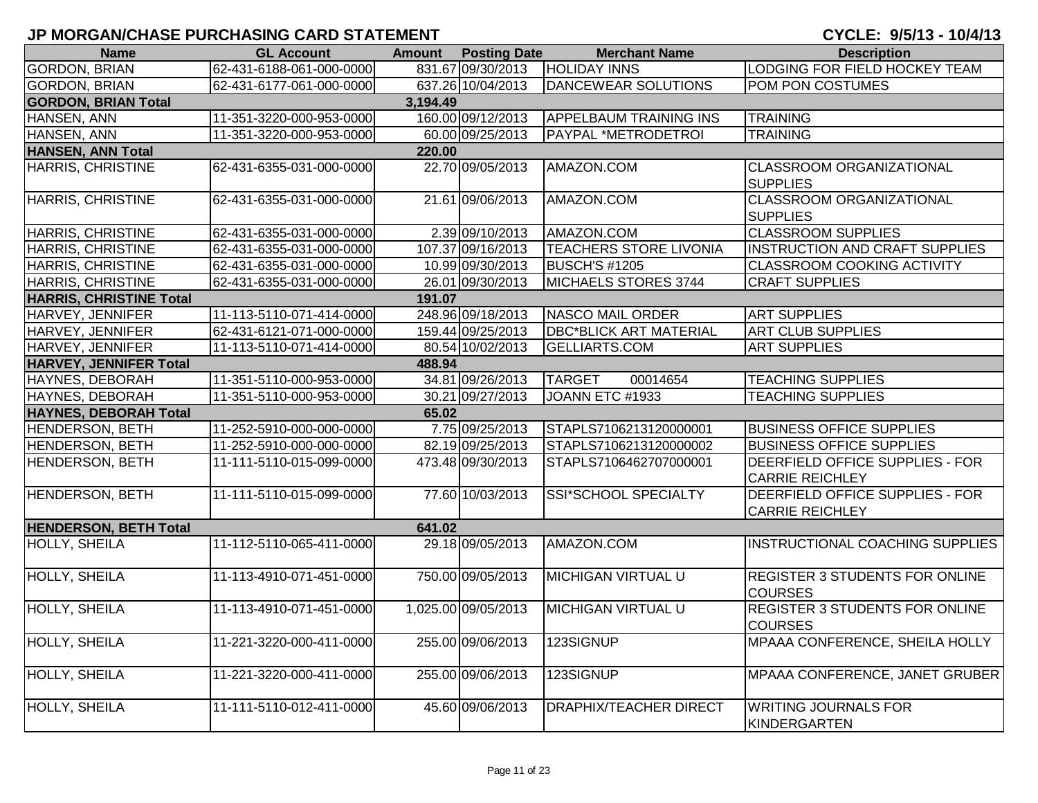| <b>Name</b>                    | <b>GL Account</b>        | <b>Amount</b> | <b>Posting Date</b> | <b>Merchant Name</b>          | <b>Description</b>                                        |
|--------------------------------|--------------------------|---------------|---------------------|-------------------------------|-----------------------------------------------------------|
| <b>GORDON, BRIAN</b>           | 62-431-6188-061-000-0000 |               | 831.67 09/30/2013   | <b>HOLIDAY INNS</b>           | LODGING FOR FIELD HOCKEY TEAM                             |
| <b>GORDON, BRIAN</b>           | 62-431-6177-061-000-0000 |               | 637.26 10/04/2013   | DANCEWEAR SOLUTIONS           | POM PON COSTUMES                                          |
| <b>GORDON, BRIAN Total</b>     |                          | 3,194.49      |                     |                               |                                                           |
| HANSEN, ANN                    | 11-351-3220-000-953-0000 |               | 160.00 09/12/2013   | <b>APPELBAUM TRAINING INS</b> | <b>TRAINING</b>                                           |
| HANSEN, ANN                    | 11-351-3220-000-953-0000 |               | 60.00 09/25/2013    | PAYPAL *METRODETROI           | <b>TRAINING</b>                                           |
| <b>HANSEN, ANN Total</b>       |                          | 220.00        |                     |                               |                                                           |
| <b>HARRIS, CHRISTINE</b>       | 62-431-6355-031-000-0000 |               | 22.70 09/05/2013    | AMAZON.COM                    | CLASSROOM ORGANIZATIONAL<br><b>SUPPLIES</b>               |
| <b>HARRIS, CHRISTINE</b>       | 62-431-6355-031-000-0000 |               | 21.61 09/06/2013    | AMAZON.COM                    | <b>CLASSROOM ORGANIZATIONAL</b><br><b>SUPPLIES</b>        |
| <b>HARRIS, CHRISTINE</b>       | 62-431-6355-031-000-0000 |               | 2.39 09/10/2013     | AMAZON.COM                    | <b>CLASSROOM SUPPLIES</b>                                 |
| <b>HARRIS, CHRISTINE</b>       | 62-431-6355-031-000-0000 |               | 107.37 09/16/2013   | <b>TEACHERS STORE LIVONIA</b> | INSTRUCTION AND CRAFT SUPPLIES                            |
| HARRIS, CHRISTINE              | 62-431-6355-031-000-0000 |               | 10.99 09/30/2013    | <b>BUSCH'S #1205</b>          | CLASSROOM COOKING ACTIVITY                                |
| HARRIS, CHRISTINE              | 62-431-6355-031-000-0000 |               | 26.01 09/30/2013    | MICHAELS STORES 3744          | <b>CRAFT SUPPLIES</b>                                     |
| <b>HARRIS, CHRISTINE Total</b> |                          | 191.07        |                     |                               |                                                           |
| HARVEY, JENNIFER               | 11-113-5110-071-414-0000 |               | 248.96 09/18/2013   | <b>NASCO MAIL ORDER</b>       | <b>ART SUPPLIES</b>                                       |
| HARVEY, JENNIFER               | 62-431-6121-071-000-0000 |               | 159.44 09/25/2013   | <b>DBC*BLICK ART MATERIAL</b> | <b>ART CLUB SUPPLIES</b>                                  |
| HARVEY, JENNIFER               | 11-113-5110-071-414-0000 |               | 80.54 10/02/2013    | <b>GELLIARTS.COM</b>          | <b>ART SUPPLIES</b>                                       |
| HARVEY, JENNIFER Total         |                          | 488.94        |                     |                               |                                                           |
| HAYNES, DEBORAH                | 11-351-5110-000-953-0000 |               | 34.81 09/26/2013    | <b>TARGET</b><br>00014654     | <b>TEACHING SUPPLIES</b>                                  |
| HAYNES, DEBORAH                | 11-351-5110-000-953-0000 |               | 30.21 09/27/2013    | JOANN ETC #1933               | <b>TEACHING SUPPLIES</b>                                  |
| <b>HAYNES, DEBORAH Total</b>   |                          | 65.02         |                     |                               |                                                           |
| <b>HENDERSON, BETH</b>         | 11-252-5910-000-000-0000 |               | 7.75 09/25/2013     | STAPLS7106213120000001        | <b>BUSINESS OFFICE SUPPLIES</b>                           |
| HENDERSON, BETH                | 11-252-5910-000-000-0000 |               | 82.19 09/25/2013    | STAPLS7106213120000002        | <b>BUSINESS OFFICE SUPPLIES</b>                           |
| <b>HENDERSON, BETH</b>         | 11-111-5110-015-099-0000 |               | 473.48 09/30/2013   | STAPLS7106462707000001        | DEERFIELD OFFICE SUPPLIES - FOR<br><b>CARRIE REICHLEY</b> |
| HENDERSON, BETH                | 11-111-5110-015-099-0000 |               | 77.60 10/03/2013    | SSI*SCHOOL SPECIALTY          | DEERFIELD OFFICE SUPPLIES - FOR<br><b>CARRIE REICHLEY</b> |
| <b>HENDERSON, BETH Total</b>   |                          | 641.02        |                     |                               |                                                           |
| <b>HOLLY, SHEILA</b>           | 11-112-5110-065-411-0000 |               | 29.18 09/05/2013    | AMAZON.COM                    | INSTRUCTIONAL COACHING SUPPLIES                           |
| HOLLY, SHEILA                  | 11-113-4910-071-451-0000 |               | 750.00 09/05/2013   | <b>MICHIGAN VIRTUAL U</b>     | <b>REGISTER 3 STUDENTS FOR ONLINE</b><br><b>COURSES</b>   |
| <b>HOLLY, SHEILA</b>           | 11-113-4910-071-451-0000 |               | 1,025.00 09/05/2013 | <b>MICHIGAN VIRTUAL U</b>     | <b>REGISTER 3 STUDENTS FOR ONLINE</b><br><b>COURSES</b>   |
| <b>HOLLY, SHEILA</b>           | 11-221-3220-000-411-0000 |               | 255.00 09/06/2013   | 123SIGNUP                     | MPAAA CONFERENCE, SHEILA HOLLY                            |
| <b>HOLLY, SHEILA</b>           | 11-221-3220-000-411-0000 |               | 255.00 09/06/2013   | 123SIGNUP                     | MPAAA CONFERENCE, JANET GRUBER                            |
| <b>HOLLY, SHEILA</b>           | 11-111-5110-012-411-0000 |               | 45.60 09/06/2013    | <b>DRAPHIX/TEACHER DIRECT</b> | <b>WRITING JOURNALS FOR</b><br>KINDERGARTEN               |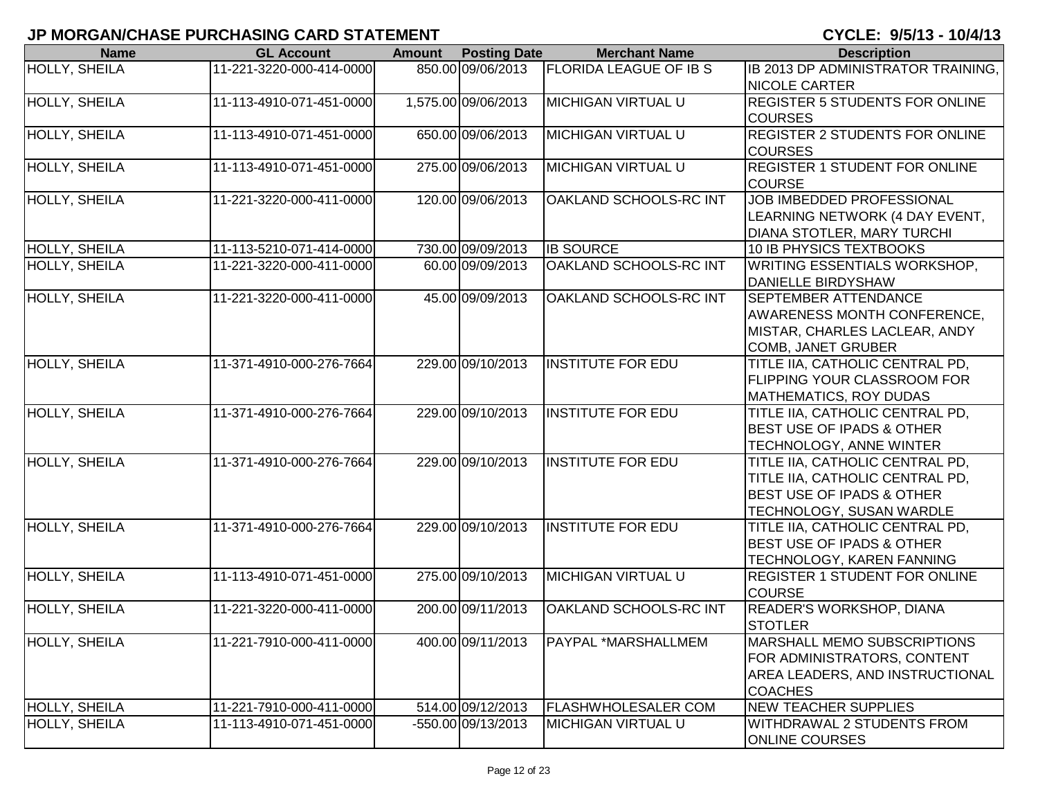| <b>Name</b>          | <b>GL Account</b>        | <b>Amount</b> | <b>Posting Date</b> | <b>Merchant Name</b>          | <b>Description</b>                     |
|----------------------|--------------------------|---------------|---------------------|-------------------------------|----------------------------------------|
| <b>HOLLY, SHEILA</b> | 11-221-3220-000-414-0000 |               | 850.00 09/06/2013   | <b>FLORIDA LEAGUE OF IB S</b> | IB 2013 DP ADMINISTRATOR TRAINING,     |
|                      |                          |               |                     |                               | <b>NICOLE CARTER</b>                   |
| HOLLY, SHEILA        | 11-113-4910-071-451-0000 |               | 1,575.00 09/06/2013 | <b>MICHIGAN VIRTUAL U</b>     | <b>REGISTER 5 STUDENTS FOR ONLINE</b>  |
|                      |                          |               |                     |                               | <b>COURSES</b>                         |
| <b>HOLLY, SHEILA</b> | 11-113-4910-071-451-0000 |               | 650.00 09/06/2013   | <b>MICHIGAN VIRTUAL U</b>     | <b>REGISTER 2 STUDENTS FOR ONLINE</b>  |
|                      |                          |               |                     |                               | <b>COURSES</b>                         |
| HOLLY, SHEILA        | 11-113-4910-071-451-0000 |               | 275.00 09/06/2013   | <b>MICHIGAN VIRTUAL U</b>     | <b>REGISTER 1 STUDENT FOR ONLINE</b>   |
|                      |                          |               |                     |                               | <b>COURSE</b>                          |
| HOLLY, SHEILA        | 11-221-3220-000-411-0000 |               | 120.00 09/06/2013   | OAKLAND SCHOOLS-RC INT        | JOB IMBEDDED PROFESSIONAL              |
|                      |                          |               |                     |                               | LEARNING NETWORK (4 DAY EVENT,         |
|                      |                          |               |                     |                               | DIANA STOTLER, MARY TURCHI             |
| HOLLY, SHEILA        | 11-113-5210-071-414-0000 |               | 730.00 09/09/2013   | <b>IB SOURCE</b>              | 10 IB PHYSICS TEXTBOOKS                |
| HOLLY, SHEILA        | 11-221-3220-000-411-0000 |               | 60.00 09/09/2013    | OAKLAND SCHOOLS-RC INT        | <b>WRITING ESSENTIALS WORKSHOP,</b>    |
|                      |                          |               |                     |                               | <b>DANIELLE BIRDYSHAW</b>              |
| <b>HOLLY, SHEILA</b> | 11-221-3220-000-411-0000 |               | 45.00 09/09/2013    | OAKLAND SCHOOLS-RC INT        | <b>SEPTEMBER ATTENDANCE</b>            |
|                      |                          |               |                     |                               | <b>AWARENESS MONTH CONFERENCE,</b>     |
|                      |                          |               |                     |                               | MISTAR, CHARLES LACLEAR, ANDY          |
|                      |                          |               |                     |                               | <b>COMB, JANET GRUBER</b>              |
| <b>HOLLY, SHEILA</b> | 11-371-4910-000-276-7664 |               | 229.00 09/10/2013   | <b>INSTITUTE FOR EDU</b>      | TITLE IIA, CATHOLIC CENTRAL PD,        |
|                      |                          |               |                     |                               | <b>FLIPPING YOUR CLASSROOM FOR</b>     |
|                      |                          |               |                     |                               | <b>MATHEMATICS, ROY DUDAS</b>          |
| <b>HOLLY, SHEILA</b> | 11-371-4910-000-276-7664 |               | 229.00 09/10/2013   | <b>INSTITUTE FOR EDU</b>      | TITLE IIA, CATHOLIC CENTRAL PD,        |
|                      |                          |               |                     |                               | <b>BEST USE OF IPADS &amp; OTHER</b>   |
|                      |                          |               |                     |                               | TECHNOLOGY, ANNE WINTER                |
| HOLLY, SHEILA        | 11-371-4910-000-276-7664 |               | 229.00 09/10/2013   | <b>INSTITUTE FOR EDU</b>      | TITLE IIA, CATHOLIC CENTRAL PD,        |
|                      |                          |               |                     |                               | TITLE IIA, CATHOLIC CENTRAL PD,        |
|                      |                          |               |                     |                               | <b>BEST USE OF IPADS &amp; OTHER</b>   |
|                      |                          |               |                     |                               | TECHNOLOGY, SUSAN WARDLE               |
| HOLLY, SHEILA        | 11-371-4910-000-276-7664 |               | 229.00 09/10/2013   | <b>INSTITUTE FOR EDU</b>      | TITLE IIA, CATHOLIC CENTRAL PD,        |
|                      |                          |               |                     |                               | <b>BEST USE OF IPADS &amp; OTHER</b>   |
|                      |                          |               |                     |                               | TECHNOLOGY, KAREN FANNING              |
| HOLLY, SHEILA        | 11-113-4910-071-451-0000 |               | 275.00 09/10/2013   | <b>MICHIGAN VIRTUAL U</b>     | <b>REGISTER 1 STUDENT FOR ONLINE</b>   |
|                      |                          |               |                     |                               | <b>COURSE</b>                          |
| HOLLY, SHEILA        | 11-221-3220-000-411-0000 |               | 200.00 09/11/2013   | OAKLAND SCHOOLS-RC INT        | <b>READER'S WORKSHOP, DIANA</b>        |
|                      |                          |               |                     |                               | <b>STOTLER</b>                         |
| HOLLY, SHEILA        | 11-221-7910-000-411-0000 |               | 400.00 09/11/2013   | PAYPAL *MARSHALLMEM           | MARSHALL MEMO SUBSCRIPTIONS            |
|                      |                          |               |                     |                               | FOR ADMINISTRATORS, CONTENT            |
|                      |                          |               |                     |                               | <b>AREA LEADERS, AND INSTRUCTIONAL</b> |
|                      |                          |               |                     |                               | <b>COACHES</b>                         |
| HOLLY, SHEILA        | 11-221-7910-000-411-0000 |               | 514.00 09/12/2013   | <b>FLASHWHOLESALER COM</b>    | <b>NEW TEACHER SUPPLIES</b>            |
| HOLLY, SHEILA        | 11-113-4910-071-451-0000 |               | -550.00 09/13/2013  | <b>MICHIGAN VIRTUAL U</b>     | WITHDRAWAL 2 STUDENTS FROM             |
|                      |                          |               |                     |                               | <b>ONLINE COURSES</b>                  |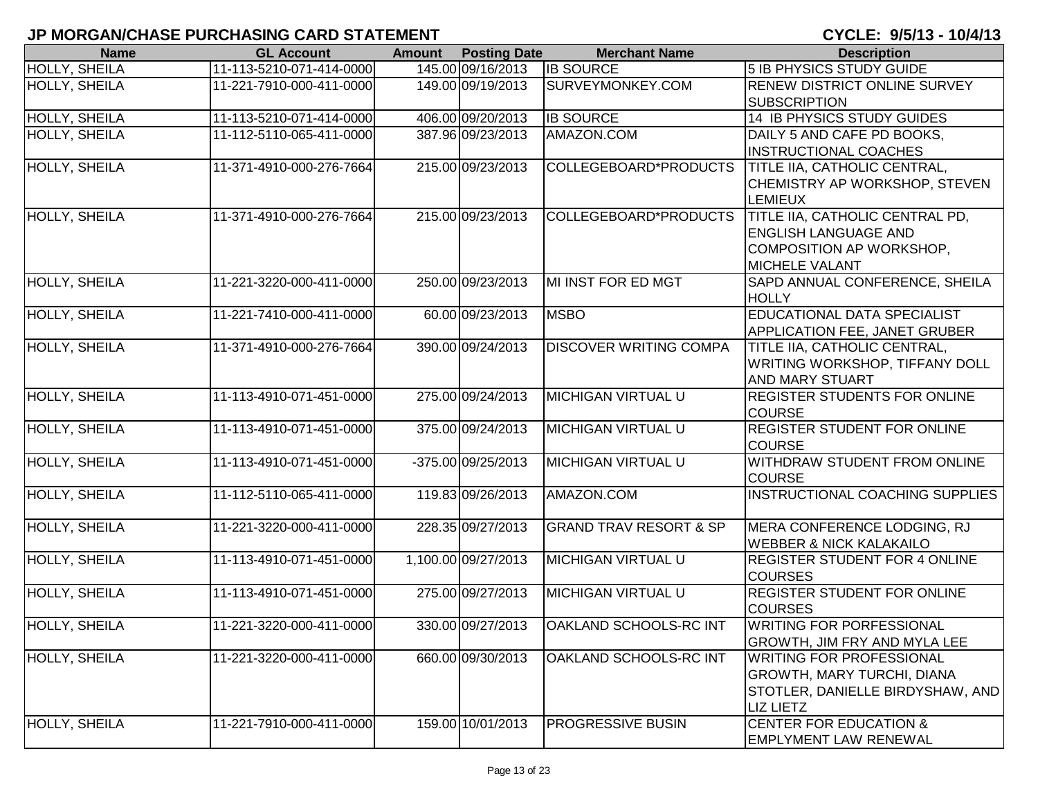| <b>Name</b>          | <b>GL Account</b>        | <b>Amount</b> | <b>Posting Date</b>  | <b>Merchant Name</b>              | <b>Description</b>                                                                                                           |
|----------------------|--------------------------|---------------|----------------------|-----------------------------------|------------------------------------------------------------------------------------------------------------------------------|
| <b>HOLLY, SHEILA</b> | 11-113-5210-071-414-0000 |               | 145.00 09/16/2013    | <b>IB SOURCE</b>                  | <b>5 IB PHYSICS STUDY GUIDE</b>                                                                                              |
| HOLLY, SHEILA        | 11-221-7910-000-411-0000 |               | 149.00 09/19/2013    | SURVEYMONKEY.COM                  | <b>RENEW DISTRICT ONLINE SURVEY</b><br><b>SUBSCRIPTION</b>                                                                   |
| <b>HOLLY, SHEILA</b> | 11-113-5210-071-414-0000 |               | 406.00 09/20/2013    | <b>IB SOURCE</b>                  | <b>14 IB PHYSICS STUDY GUIDES</b>                                                                                            |
| <b>HOLLY, SHEILA</b> | 11-112-5110-065-411-0000 |               | 387.96 09/23/2013    | AMAZON.COM                        | DAILY 5 AND CAFE PD BOOKS,<br><b>INSTRUCTIONAL COACHES</b>                                                                   |
| HOLLY, SHEILA        | 11-371-4910-000-276-7664 |               | 215.00 09/23/2013    | COLLEGEBOARD*PRODUCTS             | TITLE IIA, CATHOLIC CENTRAL,<br>CHEMISTRY AP WORKSHOP, STEVEN<br><b>LEMIEUX</b>                                              |
| <b>HOLLY, SHEILA</b> | 11-371-4910-000-276-7664 |               | 215.00 09/23/2013    | COLLEGEBOARD*PRODUCTS             | TITLE IIA, CATHOLIC CENTRAL PD,<br><b>ENGLISH LANGUAGE AND</b><br>COMPOSITION AP WORKSHOP,<br><b>MICHELE VALANT</b>          |
| HOLLY, SHEILA        | 11-221-3220-000-411-0000 |               | 250.00 09/23/2013    | <b>MI INST FOR ED MGT</b>         | SAPD ANNUAL CONFERENCE, SHEILA<br><b>HOLLY</b>                                                                               |
| HOLLY, SHEILA        | 11-221-7410-000-411-0000 |               | 60.00 09/23/2013     | <b>MSBO</b>                       | EDUCATIONAL DATA SPECIALIST<br><b>APPLICATION FEE, JANET GRUBER</b>                                                          |
| HOLLY, SHEILA        | 11-371-4910-000-276-7664 |               | 390.00 09/24/2013    | DISCOVER WRITING COMPA            | TITLE IIA, CATHOLIC CENTRAL,<br><b>WRITING WORKSHOP, TIFFANY DOLL</b><br><b>AND MARY STUART</b>                              |
| <b>HOLLY, SHEILA</b> | 11-113-4910-071-451-0000 |               | 275.00 09/24/2013    | MICHIGAN VIRTUAL U                | <b>REGISTER STUDENTS FOR ONLINE</b><br><b>COURSE</b>                                                                         |
| HOLLY, SHEILA        | 11-113-4910-071-451-0000 |               | 375.00 09/24/2013    | MICHIGAN VIRTUAL U                | REGISTER STUDENT FOR ONLINE<br><b>COURSE</b>                                                                                 |
| HOLLY, SHEILA        | 11-113-4910-071-451-0000 |               | $-375.00$ 09/25/2013 | MICHIGAN VIRTUAL U                | WITHDRAW STUDENT FROM ONLINE<br><b>COURSE</b>                                                                                |
| HOLLY, SHEILA        | 11-112-5110-065-411-0000 |               | 119.83 09/26/2013    | AMAZON.COM                        | INSTRUCTIONAL COACHING SUPPLIES                                                                                              |
| HOLLY, SHEILA        | 11-221-3220-000-411-0000 |               | 228.35 09/27/2013    | <b>GRAND TRAV RESORT &amp; SP</b> | MERA CONFERENCE LODGING, RJ<br><b>WEBBER &amp; NICK KALAKAILO</b>                                                            |
| <b>HOLLY, SHEILA</b> | 11-113-4910-071-451-0000 |               | 1,100.00 09/27/2013  | <b>MICHIGAN VIRTUAL U</b>         | <b>REGISTER STUDENT FOR 4 ONLINE</b><br><b>COURSES</b>                                                                       |
| <b>HOLLY, SHEILA</b> | 11-113-4910-071-451-0000 |               | 275.00 09/27/2013    | <b>MICHIGAN VIRTUAL U</b>         | <b>REGISTER STUDENT FOR ONLINE</b><br><b>COURSES</b>                                                                         |
| HOLLY, SHEILA        | 11-221-3220-000-411-0000 |               | 330.00 09/27/2013    | OAKLAND SCHOOLS-RC INT            | <b>WRITING FOR PORFESSIONAL</b><br><b>GROWTH, JIM FRY AND MYLA LEE</b>                                                       |
| HOLLY, SHEILA        | 11-221-3220-000-411-0000 |               | 660.00 09/30/2013    | OAKLAND SCHOOLS-RC INT            | <b>WRITING FOR PROFESSIONAL</b><br><b>GROWTH, MARY TURCHI, DIANA</b><br>STOTLER, DANIELLE BIRDYSHAW, AND<br><b>LIZ LIETZ</b> |
| HOLLY, SHEILA        | 11-221-7910-000-411-0000 |               | 159.00 10/01/2013    | PROGRESSIVE BUSIN                 | <b>CENTER FOR EDUCATION &amp;</b><br><b>EMPLYMENT LAW RENEWAL</b>                                                            |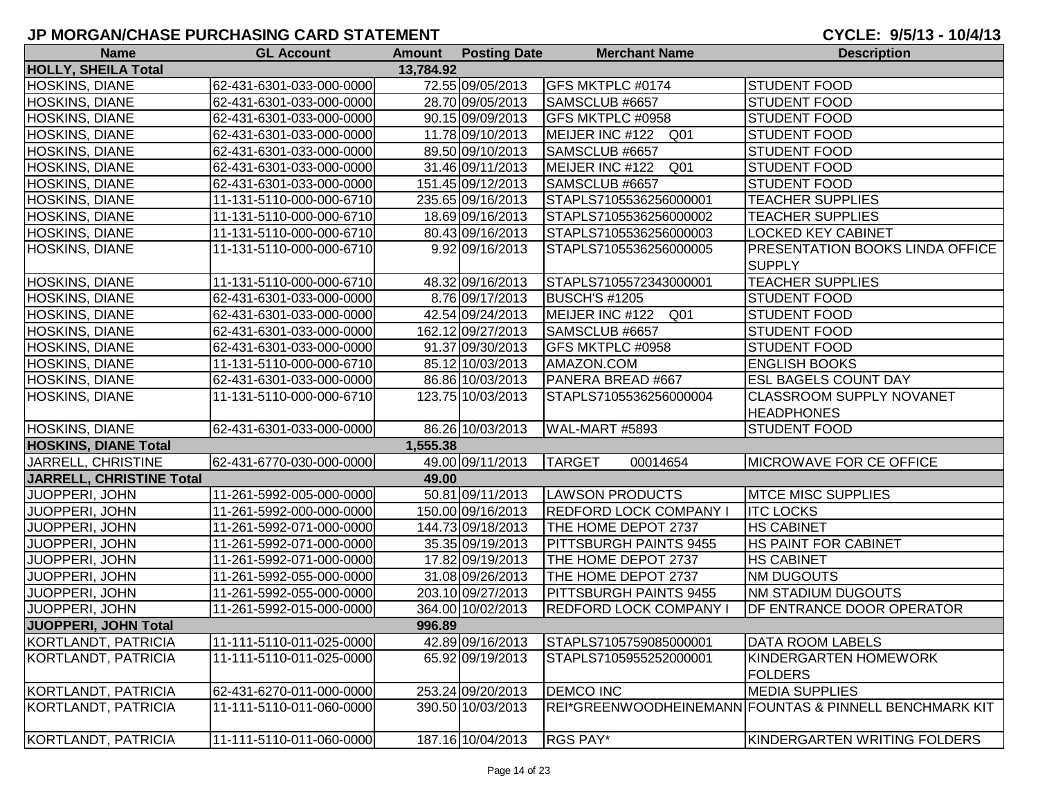| <b>Name</b>                     | <b>GL Account</b>        |           | <b>Amount Posting Date</b> | <b>Merchant Name</b>               | <b>Description</b>                                     |
|---------------------------------|--------------------------|-----------|----------------------------|------------------------------------|--------------------------------------------------------|
| <b>HOLLY, SHEILA Total</b>      |                          | 13,784.92 |                            |                                    |                                                        |
| HOSKINS, DIANE                  | 62-431-6301-033-000-0000 |           | 72.55 09/05/2013           | <b>GFS MKTPLC #0174</b>            | <b>STUDENT FOOD</b>                                    |
| HOSKINS, DIANE                  | 62-431-6301-033-000-0000 |           | 28.70 09/05/2013           | SAMSCLUB #6657                     | <b>STUDENT FOOD</b>                                    |
| HOSKINS, DIANE                  | 62-431-6301-033-000-0000 |           | 90.15 09/09/2013           | GFS MKTPLC #0958                   | <b>STUDENT FOOD</b>                                    |
| HOSKINS, DIANE                  | 62-431-6301-033-000-0000 |           | 11.78 09/10/2013           | MEIJER INC #122 Q01                | <b>STUDENT FOOD</b>                                    |
| HOSKINS, DIANE                  | 62-431-6301-033-000-0000 |           | 89.50 09/10/2013           | SAMSCLUB #6657                     | <b>STUDENT FOOD</b>                                    |
| HOSKINS, DIANE                  | 62-431-6301-033-000-0000 |           | 31.46 09/11/2013           | MEIJER INC #122 Q01                | <b>STUDENT FOOD</b>                                    |
| HOSKINS, DIANE                  | 62-431-6301-033-000-0000 |           | 151.45 09/12/2013          | SAMSCLUB #6657                     | <b>STUDENT FOOD</b>                                    |
| HOSKINS, DIANE                  | 11-131-5110-000-000-6710 |           | 235.65 09/16/2013          | STAPLS7105536256000001             | <b>TEACHER SUPPLIES</b>                                |
| HOSKINS, DIANE                  | 11-131-5110-000-000-6710 |           | 18.69 09/16/2013           | STAPLS7105536256000002             | <b>TEACHER SUPPLIES</b>                                |
| HOSKINS, DIANE                  | 11-131-5110-000-000-6710 |           | 80.43 09/16/2013           | STAPLS7105536256000003             | <b>LOCKED KEY CABINET</b>                              |
| HOSKINS, DIANE                  | 11-131-5110-000-000-6710 |           | 9.92 09/16/2013            | STAPLS7105536256000005             | PRESENTATION BOOKS LINDA OFFICE                        |
|                                 |                          |           |                            |                                    | <b>SUPPLY</b>                                          |
| HOSKINS, DIANE                  | 11-131-5110-000-000-6710 |           | 48.32 09/16/2013           | STAPLS7105572343000001             | <b>TEACHER SUPPLIES</b>                                |
| HOSKINS, DIANE                  | 62-431-6301-033-000-0000 |           | 8.76 09/17/2013            | <b>BUSCH'S #1205</b>               | <b>STUDENT FOOD</b>                                    |
| HOSKINS, DIANE                  | 62-431-6301-033-000-0000 |           | 42.54 09/24/2013           | MEIJER INC #122<br>Q <sub>01</sub> | <b>STUDENT FOOD</b>                                    |
| HOSKINS, DIANE                  | 62-431-6301-033-000-0000 |           | 162.12 09/27/2013          | SAMSCLUB #6657                     | <b>STUDENT FOOD</b>                                    |
| HOSKINS, DIANE                  | 62-431-6301-033-000-0000 |           | 91.37 09/30/2013           | GFS MKTPLC #0958                   | <b>STUDENT FOOD</b>                                    |
| HOSKINS, DIANE                  | 11-131-5110-000-000-6710 |           | 85.12 10/03/2013           | AMAZON.COM                         | <b>ENGLISH BOOKS</b>                                   |
| HOSKINS, DIANE                  | 62-431-6301-033-000-0000 |           | 86.86 10/03/2013           | PANERA BREAD #667                  | <b>ESL BAGELS COUNT DAY</b>                            |
| HOSKINS, DIANE                  | 11-131-5110-000-000-6710 |           | 123.75 10/03/2013          | STAPLS7105536256000004             | <b>CLASSROOM SUPPLY NOVANET</b>                        |
|                                 |                          |           |                            |                                    | <b>HEADPHONES</b>                                      |
| HOSKINS, DIANE                  | 62-431-6301-033-000-0000 |           | 86.26 10/03/2013           | WAL-MART #5893                     | STUDENT FOOD                                           |
| <b>HOSKINS, DIANE Total</b>     |                          | 1,555.38  |                            |                                    |                                                        |
| JARRELL, CHRISTINE              | 62-431-6770-030-000-0000 |           | 49.00 09/11/2013           | <b>TARGET</b><br>00014654          | <b>MICROWAVE FOR CE OFFICE</b>                         |
| <b>JARRELL, CHRISTINE Total</b> |                          | 49.00     |                            |                                    |                                                        |
| JUOPPERI, JOHN                  | 11-261-5992-005-000-0000 |           | 50.81 09/11/2013           | <b>LAWSON PRODUCTS</b>             | <b>MTCE MISC SUPPLIES</b>                              |
| JUOPPERI, JOHN                  | 11-261-5992-000-000-0000 |           | 150.00 09/16/2013          | <b>REDFORD LOCK COMPANY I</b>      | <b>ITC LOCKS</b>                                       |
| JUOPPERI, JOHN                  | 11-261-5992-071-000-0000 |           | 144.73 09/18/2013          | THE HOME DEPOT 2737                | <b>HS CABINET</b>                                      |
| JUOPPERI, JOHN                  | 11-261-5992-071-000-0000 |           | 35.35 09/19/2013           | PITTSBURGH PAINTS 9455             | HS PAINT FOR CABINET                                   |
| JUOPPERI, JOHN                  | 11-261-5992-071-000-0000 |           | 17.82 09/19/2013           | THE HOME DEPOT 2737                | <b>HS CABINET</b>                                      |
| JUOPPERI, JOHN                  | 11-261-5992-055-000-0000 |           | 31.08 09/26/2013           | THE HOME DEPOT 2737                | <b>NM DUGOUTS</b>                                      |
| JUOPPERI, JOHN                  | 11-261-5992-055-000-0000 |           | 203.10 09/27/2013          | PITTSBURGH PAINTS 9455             | <b>NM STADIUM DUGOUTS</b>                              |
| JUOPPERI, JOHN                  | 11-261-5992-015-000-0000 |           | 364.00 10/02/2013          | <b>REDFORD LOCK COMPANY</b>        | DF ENTRANCE DOOR OPERATOR                              |
| JUOPPERI, JOHN Total            |                          | 996.89    |                            |                                    |                                                        |
| KORTLANDT, PATRICIA             | 11-111-5110-011-025-0000 |           | 42.89 09/16/2013           | STAPLS7105759085000001             | DATA ROOM LABELS                                       |
| KORTLANDT, PATRICIA             | 11-111-5110-011-025-0000 |           | 65.92 09/19/2013           | STAPLS7105955252000001             | KINDERGARTEN HOMEWORK                                  |
|                                 |                          |           |                            |                                    | <b>FOLDERS</b>                                         |
| KORTLANDT, PATRICIA             | 62-431-6270-011-000-0000 |           | 253.24 09/20/2013          | <b>DEMCO INC</b>                   | <b>MEDIA SUPPLIES</b>                                  |
| KORTLANDT, PATRICIA             | 11-111-5110-011-060-0000 |           | 390.50 10/03/2013          |                                    | REI*GREENWOODHEINEMANN FOUNTAS & PINNELL BENCHMARK KIT |
| KORTLANDT, PATRICIA             | 11-111-5110-011-060-0000 |           | 187.16 10/04/2013          | RGS PAY*                           | KINDERGARTEN WRITING FOLDERS                           |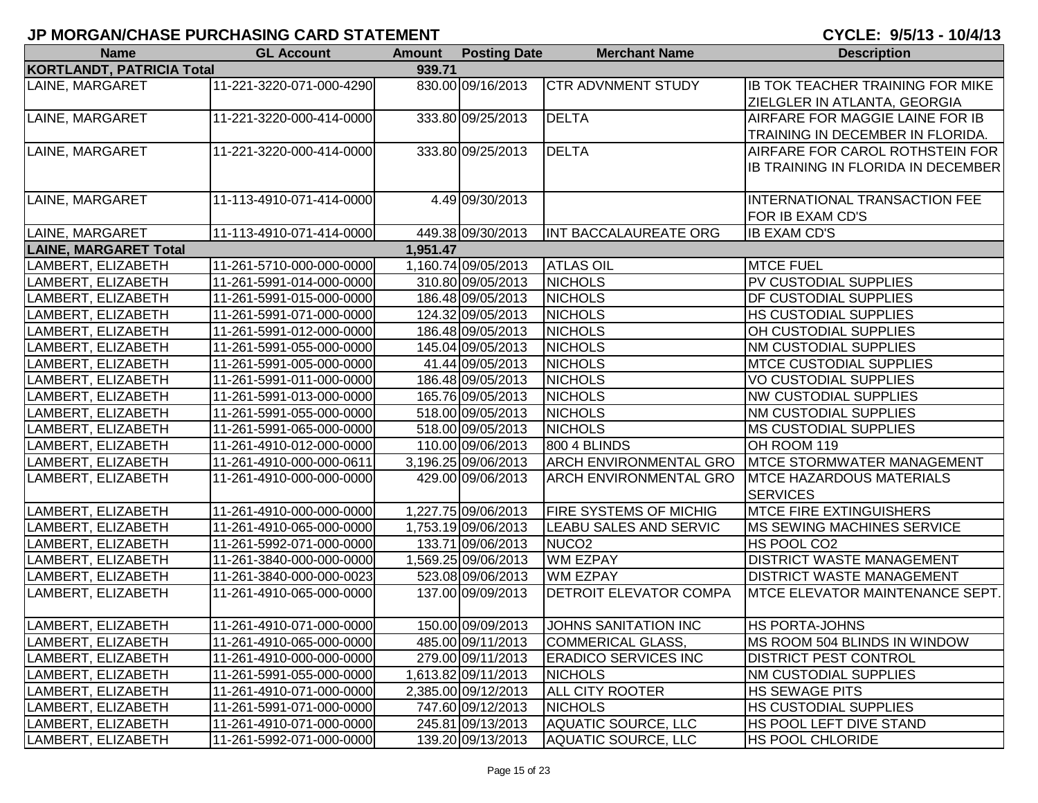| <b>Name</b>                  | <b>GL Account</b>        | <b>Amount</b> | <b>Posting Date</b> | <b>Merchant Name</b>          | <b>Description</b>                      |
|------------------------------|--------------------------|---------------|---------------------|-------------------------------|-----------------------------------------|
| KORTLANDT, PATRICIA Total    |                          | 939.71        |                     |                               |                                         |
| LAINE, MARGARET              | 11-221-3220-071-000-4290 |               | 830.00 09/16/2013   | <b>CTR ADVNMENT STUDY</b>     | <b>IB TOK TEACHER TRAINING FOR MIKE</b> |
|                              |                          |               |                     |                               | ZIELGLER IN ATLANTA, GEORGIA            |
| LAINE, MARGARET              | 11-221-3220-000-414-0000 |               | 333.80 09/25/2013   | <b>DELTA</b>                  | AIRFARE FOR MAGGIE LAINE FOR IB         |
|                              |                          |               |                     |                               | TRAINING IN DECEMBER IN FLORIDA.        |
| LAINE, MARGARET              | 11-221-3220-000-414-0000 |               | 333.80 09/25/2013   | <b>DELTA</b>                  | AIRFARE FOR CAROL ROTHSTEIN FOR         |
|                              |                          |               |                     |                               | IB TRAINING IN FLORIDA IN DECEMBER      |
|                              |                          |               |                     |                               |                                         |
| LAINE, MARGARET              | 11-113-4910-071-414-0000 |               | 4.49 09/30/2013     |                               | INTERNATIONAL TRANSACTION FEE           |
|                              |                          |               |                     |                               | FOR IB EXAM CD'S                        |
| LAINE, MARGARET              | 11-113-4910-071-414-0000 |               | 449.38 09/30/2013   | INT BACCALAUREATE ORG         | <b>IB EXAM CD'S</b>                     |
| <b>LAINE, MARGARET Total</b> |                          | 1,951.47      |                     |                               |                                         |
| LAMBERT, ELIZABETH           | 11-261-5710-000-000-0000 |               | 1,160.74 09/05/2013 | <b>ATLAS OIL</b>              | <b>MTCE FUEL</b>                        |
| LAMBERT, ELIZABETH           | 11-261-5991-014-000-0000 |               | 310.80 09/05/2013   | <b>NICHOLS</b>                | PV CUSTODIAL SUPPLIES                   |
| LAMBERT, ELIZABETH           | 11-261-5991-015-000-0000 |               | 186.48 09/05/2013   | <b>NICHOLS</b>                | <b>DF CUSTODIAL SUPPLIES</b>            |
| LAMBERT, ELIZABETH           | 11-261-5991-071-000-0000 |               | 124.32 09/05/2013   | <b>NICHOLS</b>                | HS CUSTODIAL SUPPLIES                   |
| LAMBERT, ELIZABETH           | 11-261-5991-012-000-0000 |               | 186.48 09/05/2013   | <b>NICHOLS</b>                | OH CUSTODIAL SUPPLIES                   |
| LAMBERT, ELIZABETH           | 11-261-5991-055-000-0000 |               | 145.04 09/05/2013   | <b>NICHOLS</b>                | NM CUSTODIAL SUPPLIES                   |
| LAMBERT, ELIZABETH           | 11-261-5991-005-000-0000 |               | 41.44 09/05/2013    | <b>NICHOLS</b>                | <b>MTCE CUSTODIAL SUPPLIES</b>          |
| LAMBERT, ELIZABETH           | 11-261-5991-011-000-0000 |               | 186.48 09/05/2013   | <b>NICHOLS</b>                | VO CUSTODIAL SUPPLIES                   |
| LAMBERT, ELIZABETH           | 11-261-5991-013-000-0000 |               | 165.76 09/05/2013   | <b>NICHOLS</b>                | <b>NW CUSTODIAL SUPPLIES</b>            |
| LAMBERT, ELIZABETH           | 11-261-5991-055-000-0000 |               | 518.00 09/05/2013   | <b>NICHOLS</b>                | NM CUSTODIAL SUPPLIES                   |
| LAMBERT, ELIZABETH           | 11-261-5991-065-000-0000 |               | 518.00 09/05/2013   | <b>NICHOLS</b>                | <b>MS CUSTODIAL SUPPLIES</b>            |
| LAMBERT, ELIZABETH           | 11-261-4910-012-000-0000 |               | 110.00 09/06/2013   | <b>800 4 BLINDS</b>           | OH ROOM 119                             |
| LAMBERT, ELIZABETH           | 11-261-4910-000-000-0611 |               | 3,196.25 09/06/2013 | <b>ARCH ENVIRONMENTAL GRO</b> | <b>IMTCE STORMWATER MANAGEMENT</b>      |
| LAMBERT, ELIZABETH           | 11-261-4910-000-000-0000 |               | 429.00 09/06/2013   | ARCH ENVIRONMENTAL GRO        | <b>MTCE HAZARDOUS MATERIALS</b>         |
|                              |                          |               |                     |                               | <b>SERVICES</b>                         |
| LAMBERT, ELIZABETH           | 11-261-4910-000-000-0000 |               | 1,227.75 09/06/2013 | FIRE SYSTEMS OF MICHIG        | <b>MTCE FIRE EXTINGUISHERS</b>          |
| LAMBERT, ELIZABETH           | 11-261-4910-065-000-0000 |               | 1,753.19 09/06/2013 | LEABU SALES AND SERVIC        | <b>MS SEWING MACHINES SERVICE</b>       |
| LAMBERT, ELIZABETH           | 11-261-5992-071-000-0000 |               | 133.71 09/06/2013   | NUCO <sub>2</sub>             | HS POOL CO2                             |
| LAMBERT, ELIZABETH           | 11-261-3840-000-000-0000 |               | 1,569.25 09/06/2013 | <b>WM EZPAY</b>               | DISTRICT WASTE MANAGEMENT               |
| LAMBERT, ELIZABETH           | 11-261-3840-000-000-0023 |               | 523.08 09/06/2013   | WM EZPAY                      | DISTRICT WASTE MANAGEMENT               |
| LAMBERT, ELIZABETH           | 11-261-4910-065-000-0000 |               | 137.00 09/09/2013   | <b>DETROIT ELEVATOR COMPA</b> | <b>IMTCE ELEVATOR MAINTENANCE SEPT.</b> |
|                              |                          |               |                     |                               |                                         |
| LAMBERT, ELIZABETH           | 11-261-4910-071-000-0000 |               | 150.00 09/09/2013   | JOHNS SANITATION INC          | <b>HS PORTA-JOHNS</b>                   |
| LAMBERT, ELIZABETH           | 11-261-4910-065-000-0000 |               | 485.00 09/11/2013   | <b>COMMERICAL GLASS,</b>      | MS ROOM 504 BLINDS IN WINDOW            |
| LAMBERT, ELIZABETH           | 11-261-4910-000-000-0000 |               | 279.00 09/11/2013   | <b>ERADICO SERVICES INC</b>   | <b>DISTRICT PEST CONTROL</b>            |
| LAMBERT, ELIZABETH           | 11-261-5991-055-000-0000 |               | 1,613.82 09/11/2013 | <b>NICHOLS</b>                | NM CUSTODIAL SUPPLIES                   |
| LAMBERT, ELIZABETH           | 11-261-4910-071-000-0000 |               | 2,385.00 09/12/2013 | <b>ALL CITY ROOTER</b>        | <b>HS SEWAGE PITS</b>                   |
| LAMBERT, ELIZABETH           | 11-261-5991-071-000-0000 |               | 747.60 09/12/2013   | <b>NICHOLS</b>                | HS CUSTODIAL SUPPLIES                   |
| LAMBERT, ELIZABETH           | 11-261-4910-071-000-0000 |               | 245.81 09/13/2013   | <b>AQUATIC SOURCE, LLC</b>    | HS POOL LEFT DIVE STAND                 |
| LAMBERT, ELIZABETH           | 11-261-5992-071-000-0000 |               | 139.20 09/13/2013   | AQUATIC SOURCE, LLC           | <b>HS POOL CHLORIDE</b>                 |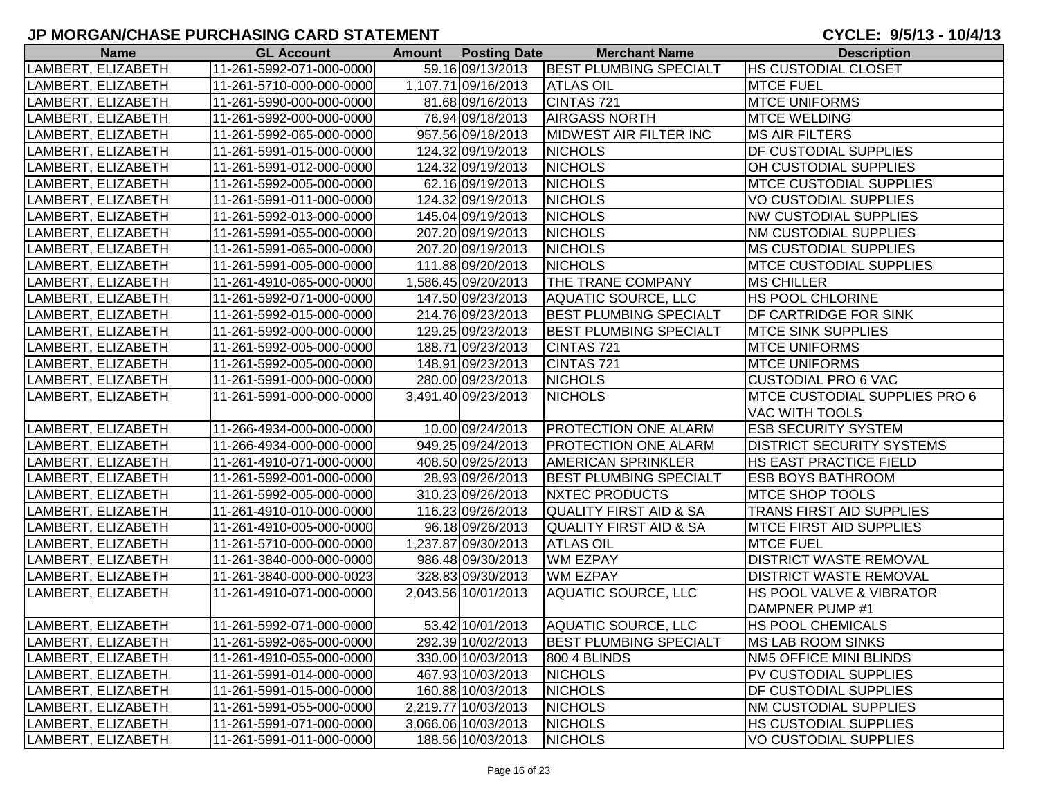| <b>Name</b>        | <b>GL Account</b>        | <b>Amount</b> Posting Date | <b>Merchant Name</b>              | <b>Description</b>                   |
|--------------------|--------------------------|----------------------------|-----------------------------------|--------------------------------------|
| LAMBERT, ELIZABETH | 11-261-5992-071-000-0000 | 59.16 09/13/2013           | <b>BEST PLUMBING SPECIALT</b>     | <b>HS CUSTODIAL CLOSET</b>           |
| LAMBERT, ELIZABETH | 11-261-5710-000-000-0000 | 1,107.71 09/16/2013        | <b>ATLAS OIL</b>                  | <b>MTCE FUEL</b>                     |
| LAMBERT, ELIZABETH | 11-261-5990-000-000-0000 | 81.68 09/16/2013           | CINTAS 721                        | <b>MTCE UNIFORMS</b>                 |
| LAMBERT, ELIZABETH | 11-261-5992-000-000-0000 | 76.94 09/18/2013           | <b>AIRGASS NORTH</b>              | <b>MTCE WELDING</b>                  |
| LAMBERT, ELIZABETH | 11-261-5992-065-000-0000 | 957.56 09/18/2013          | <b>MIDWEST AIR FILTER INC</b>     | <b>MS AIR FILTERS</b>                |
| LAMBERT, ELIZABETH | 11-261-5991-015-000-0000 | 124.32 09/19/2013          | <b>NICHOLS</b>                    | <b>DF CUSTODIAL SUPPLIES</b>         |
| LAMBERT, ELIZABETH | 11-261-5991-012-000-0000 | 124.32 09/19/2013          | <b>NICHOLS</b>                    | OH CUSTODIAL SUPPLIES                |
| LAMBERT, ELIZABETH | 11-261-5992-005-000-0000 | 62.16 09/19/2013           | <b>NICHOLS</b>                    | <b>MTCE CUSTODIAL SUPPLIES</b>       |
| LAMBERT, ELIZABETH | 11-261-5991-011-000-0000 | 124.32 09/19/2013          | <b>NICHOLS</b>                    | <b>VO CUSTODIAL SUPPLIES</b>         |
| LAMBERT, ELIZABETH | 11-261-5992-013-000-0000 | 145.04 09/19/2013          | <b>NICHOLS</b>                    | <b>NW CUSTODIAL SUPPLIES</b>         |
| LAMBERT, ELIZABETH | 11-261-5991-055-000-0000 | 207.20 09/19/2013          | <b>NICHOLS</b>                    | <b>NM CUSTODIAL SUPPLIES</b>         |
| LAMBERT, ELIZABETH | 11-261-5991-065-000-0000 | 207.20 09/19/2013          | <b>NICHOLS</b>                    | <b>MS CUSTODIAL SUPPLIES</b>         |
| LAMBERT, ELIZABETH | 11-261-5991-005-000-0000 | 111.88 09/20/2013          | <b>NICHOLS</b>                    | <b>IMTCE CUSTODIAL SUPPLIES</b>      |
| LAMBERT, ELIZABETH | 11-261-4910-065-000-0000 | 1,586.45 09/20/2013        | <b>THE TRANE COMPANY</b>          | <b>MS CHILLER</b>                    |
| LAMBERT, ELIZABETH | 11-261-5992-071-000-0000 | 147.50 09/23/2013          | <b>AQUATIC SOURCE, LLC</b>        | <b>HS POOL CHLORINE</b>              |
| LAMBERT, ELIZABETH | 11-261-5992-015-000-0000 | 214.76 09/23/2013          | <b>BEST PLUMBING SPECIALT</b>     | DF CARTRIDGE FOR SINK                |
| LAMBERT, ELIZABETH | 11-261-5992-000-000-0000 | 129.25 09/23/2013          | <b>BEST PLUMBING SPECIALT</b>     | <b>MTCE SINK SUPPLIES</b>            |
| LAMBERT, ELIZABETH | 11-261-5992-005-000-0000 | 188.71 09/23/2013          | CINTAS 721                        | <b>IMTCE UNIFORMS</b>                |
| LAMBERT, ELIZABETH | 11-261-5992-005-000-0000 | 148.91 09/23/2013          | CINTAS 721                        | <b>MTCE UNIFORMS</b>                 |
| LAMBERT, ELIZABETH | 11-261-5991-000-000-0000 | 280.00 09/23/2013          | <b>NICHOLS</b>                    | <b>CUSTODIAL PRO 6 VAC</b>           |
| LAMBERT, ELIZABETH | 11-261-5991-000-000-0000 | 3,491.40 09/23/2013        | <b>NICHOLS</b>                    | <b>MTCE CUSTODIAL SUPPLIES PRO 6</b> |
|                    |                          |                            |                                   | <b>VAC WITH TOOLS</b>                |
| LAMBERT, ELIZABETH | 11-266-4934-000-000-0000 | 10.00 09/24/2013           | <b>PROTECTION ONE ALARM</b>       | <b>ESB SECURITY SYSTEM</b>           |
| LAMBERT, ELIZABETH | 11-266-4934-000-000-0000 | 949.25 09/24/2013          | <b>PROTECTION ONE ALARM</b>       | <b>DISTRICT SECURITY SYSTEMS</b>     |
| LAMBERT, ELIZABETH | 11-261-4910-071-000-0000 | 408.50 09/25/2013          | <b>AMERICAN SPRINKLER</b>         | <b>HS EAST PRACTICE FIELD</b>        |
| LAMBERT, ELIZABETH | 11-261-5992-001-000-0000 | 28.93 09/26/2013           | <b>BEST PLUMBING SPECIALT</b>     | <b>ESB BOYS BATHROOM</b>             |
| LAMBERT, ELIZABETH | 11-261-5992-005-000-0000 | 310.23 09/26/2013          | <b>NXTEC PRODUCTS</b>             | <b>MTCE SHOP TOOLS</b>               |
| LAMBERT, ELIZABETH | 11-261-4910-010-000-0000 | 116.23 09/26/2013          | <b>QUALITY FIRST AID &amp; SA</b> | TRANS FIRST AID SUPPLIES             |
| LAMBERT, ELIZABETH | 11-261-4910-005-000-0000 | 96.18 09/26/2013           | <b>QUALITY FIRST AID &amp; SA</b> | <b>MTCE FIRST AID SUPPLIES</b>       |
| LAMBERT, ELIZABETH | 11-261-5710-000-000-0000 | 1,237.87 09/30/2013        | <b>ATLAS OIL</b>                  | <b>MTCE FUEL</b>                     |
| LAMBERT, ELIZABETH | 11-261-3840-000-000-0000 | 986.48 09/30/2013          | WM EZPAY                          | <b>DISTRICT WASTE REMOVAL</b>        |
| LAMBERT, ELIZABETH | 11-261-3840-000-000-0023 | 328.83 09/30/2013          | <b>WM EZPAY</b>                   | <b>DISTRICT WASTE REMOVAL</b>        |
| LAMBERT, ELIZABETH | 11-261-4910-071-000-0000 | 2,043.56 10/01/2013        | <b>AQUATIC SOURCE, LLC</b>        | <b>HS POOL VALVE &amp; VIBRATOR</b>  |
|                    |                          |                            |                                   | DAMPNER PUMP #1                      |
| LAMBERT, ELIZABETH | 11-261-5992-071-000-0000 | 53.42 10/01/2013           | AQUATIC SOURCE, LLC               | <b>HS POOL CHEMICALS</b>             |
| LAMBERT, ELIZABETH | 11-261-5992-065-000-0000 | 292.39 10/02/2013          | <b>BEST PLUMBING SPECIALT</b>     | <b>MS LAB ROOM SINKS</b>             |
| LAMBERT, ELIZABETH | 11-261-4910-055-000-0000 | 330.00 10/03/2013          | 800 4 BLINDS                      | NM5 OFFICE MINI BLINDS               |
| LAMBERT, ELIZABETH | 11-261-5991-014-000-0000 | 467.93 10/03/2013          | <b>NICHOLS</b>                    | PV CUSTODIAL SUPPLIES                |
| LAMBERT, ELIZABETH | 11-261-5991-015-000-0000 | 160.88 10/03/2013          | <b>NICHOLS</b>                    | <b>DF CUSTODIAL SUPPLIES</b>         |
| LAMBERT, ELIZABETH | 11-261-5991-055-000-0000 | 2,219.77 10/03/2013        | <b>NICHOLS</b>                    | <b>INM CUSTODIAL SUPPLIES</b>        |
| LAMBERT, ELIZABETH | 11-261-5991-071-000-0000 | 3,066.06 10/03/2013        | <b>NICHOLS</b>                    | <b>HS CUSTODIAL SUPPLIES</b>         |
| LAMBERT, ELIZABETH | 11-261-5991-011-000-0000 | 188.56 10/03/2013          | <b>NICHOLS</b>                    | <b>VO CUSTODIAL SUPPLIES</b>         |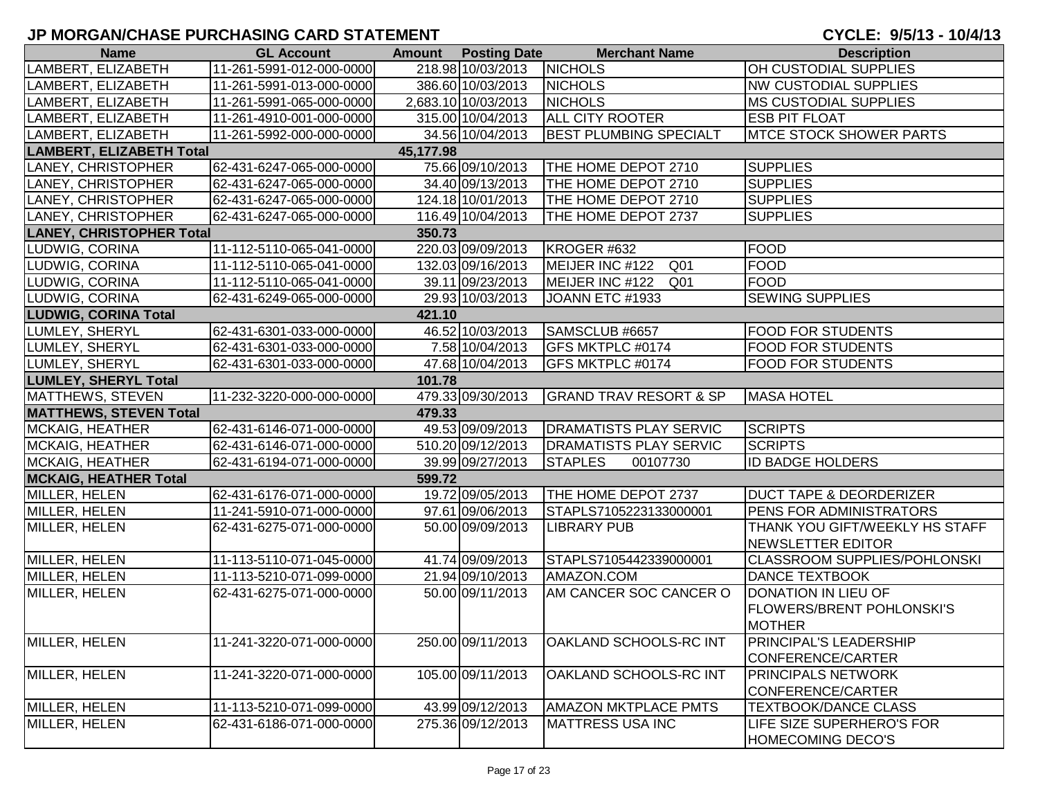| <b>Name</b>                     | <b>GL Account</b>        |           | <b>Amount Posting Date</b> | <b>Merchant Name</b>               | <b>Description</b>                  |
|---------------------------------|--------------------------|-----------|----------------------------|------------------------------------|-------------------------------------|
| LAMBERT, ELIZABETH              | 11-261-5991-012-000-0000 |           | 218.98 10/03/2013          | <b>NICHOLS</b>                     | OH CUSTODIAL SUPPLIES               |
| LAMBERT, ELIZABETH              | 11-261-5991-013-000-0000 |           | 386.60 10/03/2013          | <b>NICHOLS</b>                     | <b>NW CUSTODIAL SUPPLIES</b>        |
| LAMBERT, ELIZABETH              | 11-261-5991-065-000-0000 |           | 2,683.10 10/03/2013        | <b>NICHOLS</b>                     | <b>MS CUSTODIAL SUPPLIES</b>        |
| LAMBERT, ELIZABETH              | 11-261-4910-001-000-0000 |           | 315.00 10/04/2013          | <b>ALL CITY ROOTER</b>             | <b>ESB PIT FLOAT</b>                |
| LAMBERT, ELIZABETH              | 11-261-5992-000-000-0000 |           | 34.56 10/04/2013           | <b>BEST PLUMBING SPECIALT</b>      | <b>IMTCE STOCK SHOWER PARTS</b>     |
| <b>LAMBERT, ELIZABETH Total</b> |                          | 45,177.98 |                            |                                    |                                     |
| LANEY, CHRISTOPHER              | 62-431-6247-065-000-0000 |           | 75.66 09/10/2013           | THE HOME DEPOT 2710                | <b>SUPPLIES</b>                     |
| LANEY, CHRISTOPHER              | 62-431-6247-065-000-0000 |           | 34.40 09/13/2013           | THE HOME DEPOT 2710                | <b>SUPPLIES</b>                     |
| LANEY, CHRISTOPHER              | 62-431-6247-065-000-0000 |           | 124.18 10/01/2013          | THE HOME DEPOT 2710                | <b>SUPPLIES</b>                     |
| LANEY, CHRISTOPHER              | 62-431-6247-065-000-0000 |           | 116.49 10/04/2013          | THE HOME DEPOT 2737                | <b>SUPPLIES</b>                     |
| <b>LANEY, CHRISTOPHER Total</b> |                          | 350.73    |                            |                                    |                                     |
| LUDWIG, CORINA                  | 11-112-5110-065-041-0000 |           | 220.03 09/09/2013          | KROGER #632                        | FOOD                                |
| LUDWIG, CORINA                  | 11-112-5110-065-041-0000 |           | 132.03 09/16/2013          | Q <sub>01</sub><br>MEIJER INC #122 | <b>FOOD</b>                         |
| LUDWIG, CORINA                  | 11-112-5110-065-041-0000 |           | 39.11 09/23/2013           | MEIJER INC #122<br>Q <sub>01</sub> | <b>FOOD</b>                         |
| LUDWIG, CORINA                  | 62-431-6249-065-000-0000 |           | 29.93 10/03/2013           | JOANN ETC #1933                    | <b>SEWING SUPPLIES</b>              |
| <b>LUDWIG, CORINA Total</b>     |                          | 421.10    |                            |                                    |                                     |
| LUMLEY, SHERYL                  | 62-431-6301-033-000-0000 |           | 46.52 10/03/2013           | SAMSCLUB #6657                     | <b>FOOD FOR STUDENTS</b>            |
| LUMLEY, SHERYL                  | 62-431-6301-033-000-0000 |           | 7.58 10/04/2013            | GFS MKTPLC #0174                   | <b>FOOD FOR STUDENTS</b>            |
| LUMLEY, SHERYL                  | 62-431-6301-033-000-0000 |           | 47.68 10/04/2013           | GFS MKTPLC #0174                   | <b>FOOD FOR STUDENTS</b>            |
| <b>LUMLEY, SHERYL Total</b>     |                          | 101.78    |                            |                                    |                                     |
| MATTHEWS, STEVEN                | 11-232-3220-000-000-0000 |           | 479.33 09/30/2013          | <b>GRAND TRAV RESORT &amp; SP</b>  | <b>MASA HOTEL</b>                   |
| <b>MATTHEWS, STEVEN Total</b>   |                          | 479.33    |                            |                                    |                                     |
| MCKAIG, HEATHER                 | 62-431-6146-071-000-0000 |           | 49.53 09/09/2013           | <b>DRAMATISTS PLAY SERVIC</b>      | <b>SCRIPTS</b>                      |
| MCKAIG, HEATHER                 | 62-431-6146-071-000-0000 |           | 510.20 09/12/2013          | <b>DRAMATISTS PLAY SERVIC</b>      | <b>SCRIPTS</b>                      |
| MCKAIG, HEATHER                 | 62-431-6194-071-000-0000 |           | 39.99 09/27/2013           | <b>STAPLES</b><br>00107730         | <b>ID BADGE HOLDERS</b>             |
| <b>MCKAIG, HEATHER Total</b>    |                          | 599.72    |                            |                                    |                                     |
| MILLER, HELEN                   | 62-431-6176-071-000-0000 |           | 19.72 09/05/2013           | THE HOME DEPOT 2737                | <b>DUCT TAPE &amp; DEORDERIZER</b>  |
| MILLER, HELEN                   | 11-241-5910-071-000-0000 |           | 97.61 09/06/2013           | STAPLS7105223133000001             | PENS FOR ADMINISTRATORS             |
| MILLER, HELEN                   | 62-431-6275-071-000-0000 |           | 50.00 09/09/2013           | <b>LIBRARY PUB</b>                 | THANK YOU GIFT/WEEKLY HS STAFF      |
|                                 |                          |           |                            |                                    | <b>NEWSLETTER EDITOR</b>            |
| MILLER, HELEN                   | 11-113-5110-071-045-0000 |           | 41.74 09/09/2013           | STAPLS7105442339000001             | <b>CLASSROOM SUPPLIES/POHLONSKI</b> |
| MILLER, HELEN                   | 11-113-5210-071-099-0000 |           | 21.94 09/10/2013           | AMAZON.COM                         | <b>DANCE TEXTBOOK</b>               |
| MILLER, HELEN                   | 62-431-6275-071-000-0000 |           | 50.00 09/11/2013           | AM CANCER SOC CANCER O             | DONATION IN LIEU OF                 |
|                                 |                          |           |                            |                                    | <b>FLOWERS/BRENT POHLONSKI'S</b>    |
|                                 |                          |           |                            |                                    | <b>MOTHER</b>                       |
| MILLER, HELEN                   | 11-241-3220-071-000-0000 |           | 250.00 09/11/2013          | <b>OAKLAND SCHOOLS-RC INT</b>      | <b>PRINCIPAL'S LEADERSHIP</b>       |
|                                 |                          |           |                            |                                    | CONFERENCE/CARTER                   |
| MILLER, HELEN                   | 11-241-3220-071-000-0000 |           | 105.00 09/11/2013          | OAKLAND SCHOOLS-RC INT             | <b>PRINCIPALS NETWORK</b>           |
|                                 |                          |           |                            |                                    | CONFERENCE/CARTER                   |
| MILLER, HELEN                   | 11-113-5210-071-099-0000 |           | 43.99 09/12/2013           | <b>AMAZON MKTPLACE PMTS</b>        | <b>TEXTBOOK/DANCE CLASS</b>         |
| MILLER, HELEN                   | 62-431-6186-071-000-0000 |           | 275.36 09/12/2013          | <b>MATTRESS USA INC</b>            | LIFE SIZE SUPERHERO'S FOR           |
|                                 |                          |           |                            |                                    | HOMECOMING DECO'S                   |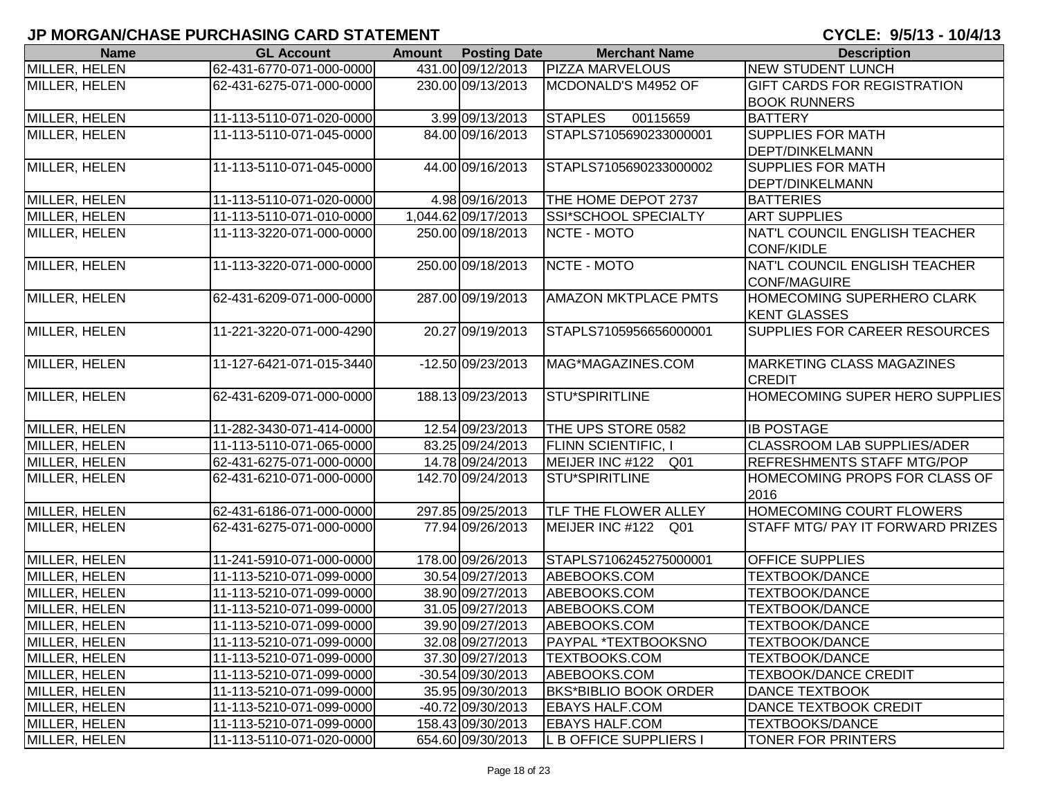| <b>Name</b>          | <b>GL Account</b>        | <b>Amount</b> Posting Date | <b>Merchant Name</b>         | <b>Description</b>                    |
|----------------------|--------------------------|----------------------------|------------------------------|---------------------------------------|
| MILLER, HELEN        | 62-431-6770-071-000-0000 | 431.00 09/12/2013          | <b>PIZZA MARVELOUS</b>       | <b>NEW STUDENT LUNCH</b>              |
| MILLER, HELEN        | 62-431-6275-071-000-0000 | 230.00 09/13/2013          | MCDONALD'S M4952 OF          | <b>GIFT CARDS FOR REGISTRATION</b>    |
|                      |                          |                            |                              | <b>BOOK RUNNERS</b>                   |
| <b>MILLER, HELEN</b> | 11-113-5110-071-020-0000 | 3.99 09/13/2013            | <b>STAPLES</b><br>00115659   | <b>BATTERY</b>                        |
| MILLER, HELEN        | 11-113-5110-071-045-0000 | 84.00 09/16/2013           | STAPLS7105690233000001       | <b>SUPPLIES FOR MATH</b>              |
|                      |                          |                            |                              | <b>DEPT/DINKELMANN</b>                |
| MILLER, HELEN        | 11-113-5110-071-045-0000 | 44.00 09/16/2013           | STAPLS7105690233000002       | <b>SUPPLIES FOR MATH</b>              |
|                      |                          |                            |                              | <b>DEPT/DINKELMANN</b>                |
| MILLER, HELEN        | 11-113-5110-071-020-0000 | 4.98 09/16/2013            | THE HOME DEPOT 2737          | <b>BATTERIES</b>                      |
| MILLER, HELEN        | 11-113-5110-071-010-0000 | 1,044.62 09/17/2013        | SSI*SCHOOL SPECIALTY         | <b>ART SUPPLIES</b>                   |
| MILLER, HELEN        | 11-113-3220-071-000-0000 | 250.00 09/18/2013          | NCTE - MOTO                  | NAT'L COUNCIL ENGLISH TEACHER         |
|                      |                          |                            |                              | <b>CONF/KIDLE</b>                     |
| MILLER, HELEN        | 11-113-3220-071-000-0000 | 250.00 09/18/2013          | NCTE - MOTO                  | NAT'L COUNCIL ENGLISH TEACHER         |
|                      |                          |                            |                              | <b>CONF/MAGUIRE</b>                   |
| MILLER, HELEN        | 62-431-6209-071-000-0000 | 287.00 09/19/2013          | <b>AMAZON MKTPLACE PMTS</b>  | HOMECOMING SUPERHERO CLARK            |
|                      |                          |                            |                              | <b>KENT GLASSES</b>                   |
| MILLER, HELEN        | 11-221-3220-071-000-4290 | 20.27 09/19/2013           | STAPLS7105956656000001       | <b>SUPPLIES FOR CAREER RESOURCES</b>  |
|                      |                          |                            |                              |                                       |
| MILLER, HELEN        | 11-127-6421-071-015-3440 | -12.50 09/23/2013          | MAG*MAGAZINES.COM            | <b>MARKETING CLASS MAGAZINES</b>      |
|                      |                          |                            |                              | <b>CREDIT</b>                         |
| MILLER, HELEN        | 62-431-6209-071-000-0000 | 188.13 09/23/2013          | <b>STU*SPIRITLINE</b>        | <b>HOMECOMING SUPER HERO SUPPLIES</b> |
|                      |                          |                            |                              |                                       |
| MILLER, HELEN        | 11-282-3430-071-414-0000 | 12.54 09/23/2013           | THE UPS STORE 0582           | <b>IB POSTAGE</b>                     |
| MILLER, HELEN        | 11-113-5110-071-065-0000 | 83.25 09/24/2013           | <b>FLINN SCIENTIFIC, I</b>   | CLASSROOM LAB SUPPLIES/ADER           |
| MILLER, HELEN        | 62-431-6275-071-000-0000 | 14.78 09/24/2013           | MEIJER INC #122<br>Q01       | <b>REFRESHMENTS STAFF MTG/POP</b>     |
| MILLER, HELEN        | 62-431-6210-071-000-0000 | 142.70 09/24/2013          | <b>STU*SPIRITLINE</b>        | HOMECOMING PROPS FOR CLASS OF         |
|                      |                          |                            |                              | 2016                                  |
| MILLER, HELEN        | 62-431-6186-071-000-0000 | 297.85 09/25/2013          | <b>TLF THE FLOWER ALLEY</b>  | HOMECOMING COURT FLOWERS              |
| MILLER, HELEN        | 62-431-6275-071-000-0000 | 77.94 09/26/2013           | MEIJER INC #122 Q01          | STAFF MTG/ PAY IT FORWARD PRIZES      |
|                      |                          |                            |                              |                                       |
| MILLER, HELEN        | 11-241-5910-071-000-0000 | 178.00 09/26/2013          | STAPLS7106245275000001       | <b>OFFICE SUPPLIES</b>                |
| MILLER, HELEN        | 11-113-5210-071-099-0000 | 30.54 09/27/2013           | ABEBOOKS.COM                 | <b>TEXTBOOK/DANCE</b>                 |
| MILLER, HELEN        | 11-113-5210-071-099-0000 | 38.90 09/27/2013           | ABEBOOKS.COM                 | TEXTBOOK/DANCE                        |
| MILLER, HELEN        | 11-113-5210-071-099-0000 | 31.05 09/27/2013           | ABEBOOKS.COM                 | <b>TEXTBOOK/DANCE</b>                 |
| MILLER, HELEN        | 11-113-5210-071-099-0000 | 39.90 09/27/2013           | ABEBOOKS.COM                 | <b>TEXTBOOK/DANCE</b>                 |
| MILLER, HELEN        | 11-113-5210-071-099-0000 | 32.08 09/27/2013           | <b>PAYPAL *TEXTBOOKSNO</b>   | <b>TEXTBOOK/DANCE</b>                 |
| MILLER, HELEN        | 11-113-5210-071-099-0000 | 37.30 09/27/2013           | <b>TEXTBOOKS.COM</b>         | <b>TEXTBOOK/DANCE</b>                 |
| MILLER, HELEN        | 11-113-5210-071-099-0000 | -30.54 09/30/2013          | ABEBOOKS.COM                 | <b>TEXBOOK/DANCE CREDIT</b>           |
| MILLER, HELEN        | 11-113-5210-071-099-0000 | 35.95 09/30/2013           | <b>BKS*BIBLIO BOOK ORDER</b> | <b>DANCE TEXTBOOK</b>                 |
| MILLER, HELEN        | 11-113-5210-071-099-0000 | -40.72 09/30/2013          | <b>EBAYS HALF.COM</b>        | DANCE TEXTBOOK CREDIT                 |
| MILLER, HELEN        | 11-113-5210-071-099-0000 | 158.43 09/30/2013          | <b>EBAYS HALF.COM</b>        | <b>TEXTBOOKS/DANCE</b>                |
| MILLER, HELEN        | 11-113-5110-071-020-0000 | 654.60 09/30/2013          | L B OFFICE SUPPLIERS I       | TONER FOR PRINTERS                    |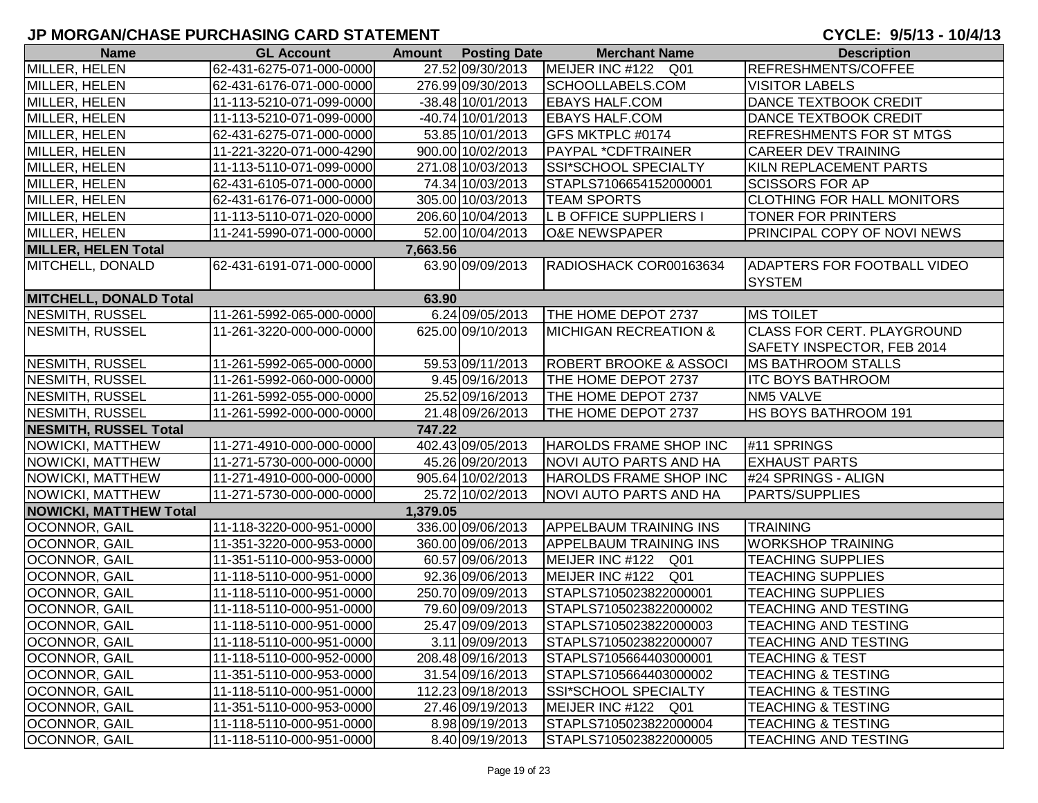| <b>Name</b>                   | <b>GL Account</b>        |          | <b>Amount</b> Posting Date | <b>Merchant Name</b>              | <b>Description</b>                 |
|-------------------------------|--------------------------|----------|----------------------------|-----------------------------------|------------------------------------|
| MILLER, HELEN                 | 62-431-6275-071-000-0000 |          | 27.52 09/30/2013           | MEIJER INC #122<br>Q01            | REFRESHMENTS/COFFEE                |
| MILLER, HELEN                 | 62-431-6176-071-000-0000 |          | 276.99 09/30/2013          | SCHOOLLABELS.COM                  | <b>VISITOR LABELS</b>              |
| MILLER, HELEN                 | 11-113-5210-071-099-0000 |          | $-38.48$ 10/01/2013        | <b>EBAYS HALF.COM</b>             | DANCE TEXTBOOK CREDIT              |
| MILLER, HELEN                 | 11-113-5210-071-099-0000 |          | -40.74 10/01/2013          | <b>EBAYS HALF.COM</b>             | DANCE TEXTBOOK CREDIT              |
| MILLER, HELEN                 | 62-431-6275-071-000-0000 |          | 53.85 10/01/2013           | GFS MKTPLC #0174                  | <b>REFRESHMENTS FOR ST MTGS</b>    |
| MILLER, HELEN                 | 11-221-3220-071-000-4290 |          | 900.00 10/02/2013          | <b>PAYPAL *CDFTRAINER</b>         | <b>CAREER DEV TRAINING</b>         |
| MILLER, HELEN                 | 11-113-5110-071-099-0000 |          | 271.08 10/03/2013          | SSI*SCHOOL SPECIALTY              | KILN REPLACEMENT PARTS             |
| MILLER, HELEN                 | 62-431-6105-071-000-0000 |          | 74.34 10/03/2013           | STAPLS7106654152000001            | <b>SCISSORS FOR AP</b>             |
| MILLER, HELEN                 | 62-431-6176-071-000-0000 |          | 305.00 10/03/2013          | <b>TEAM SPORTS</b>                | <b>CLOTHING FOR HALL MONITORS</b>  |
| MILLER, HELEN                 | 11-113-5110-071-020-0000 |          | 206.60 10/04/2013          | L B OFFICE SUPPLIERS I            | <b>TONER FOR PRINTERS</b>          |
| MILLER, HELEN                 | 11-241-5990-071-000-0000 |          | 52.00 10/04/2013           | <b>O&amp;E NEWSPAPER</b>          | <b>PRINCIPAL COPY OF NOVI NEWS</b> |
| <b>MILLER, HELEN Total</b>    |                          | 7,663.56 |                            |                                   |                                    |
| MITCHELL, DONALD              | 62-431-6191-071-000-0000 |          | 63.90 09/09/2013           | RADIOSHACK COR00163634            | <b>ADAPTERS FOR FOOTBALL VIDEO</b> |
|                               |                          |          |                            |                                   | <b>SYSTEM</b>                      |
| <b>MITCHELL, DONALD Total</b> |                          | 63.90    |                            |                                   |                                    |
| <b>NESMITH, RUSSEL</b>        | 11-261-5992-065-000-0000 |          | 6.24 09/05/2013            | THE HOME DEPOT 2737               | <b>MS TOILET</b>                   |
| <b>NESMITH, RUSSEL</b>        | 11-261-3220-000-000-0000 |          | 625.00 09/10/2013          | <b>MICHIGAN RECREATION &amp;</b>  | <b>CLASS FOR CERT. PLAYGROUND</b>  |
|                               |                          |          |                            |                                   | SAFETY INSPECTOR, FEB 2014         |
| NESMITH, RUSSEL               | 11-261-5992-065-000-0000 |          | 59.53 09/11/2013           | <b>ROBERT BROOKE &amp; ASSOCI</b> | <b>IMS BATHROOM STALLS</b>         |
| NESMITH, RUSSEL               | 11-261-5992-060-000-0000 |          | 9.45 09/16/2013            | THE HOME DEPOT 2737               | <b>ITC BOYS BATHROOM</b>           |
| NESMITH, RUSSEL               | 11-261-5992-055-000-0000 |          | 25.52 09/16/2013           | THE HOME DEPOT 2737               | NM5 VALVE                          |
| NESMITH, RUSSEL               | 11-261-5992-000-000-0000 |          | 21.48 09/26/2013           | THE HOME DEPOT 2737               | HS BOYS BATHROOM 191               |
| <b>NESMITH, RUSSEL Total</b>  |                          | 747.22   |                            |                                   |                                    |
| NOWICKI, MATTHEW              | 11-271-4910-000-000-0000 |          | 402.43 09/05/2013          | HAROLDS FRAME SHOP INC            | #11 SPRINGS                        |
| NOWICKI, MATTHEW              | 11-271-5730-000-000-0000 |          | 45.26 09/20/2013           | NOVI AUTO PARTS AND HA            | <b>EXHAUST PARTS</b>               |
| NOWICKI, MATTHEW              | 11-271-4910-000-000-0000 |          | 905.64 10/02/2013          | HAROLDS FRAME SHOP INC            | #24 SPRINGS - ALIGN                |
| NOWICKI, MATTHEW              | 11-271-5730-000-000-0000 |          | 25.72 10/02/2013           | NOVI AUTO PARTS AND HA            | <b>PARTS/SUPPLIES</b>              |
| <b>NOWICKI, MATTHEW Total</b> |                          | 1,379.05 |                            |                                   |                                    |
| OCONNOR, GAIL                 | 11-118-3220-000-951-0000 |          | 336.00 09/06/2013          | <b>APPELBAUM TRAINING INS</b>     | <b>TRAINING</b>                    |
| OCONNOR, GAIL                 | 11-351-3220-000-953-0000 |          | 360.00 09/06/2013          | <b>APPELBAUM TRAINING INS</b>     | <b>WORKSHOP TRAINING</b>           |
| OCONNOR, GAIL                 | 11-351-5110-000-953-0000 |          | 60.57 09/06/2013           | MEIJER INC #122 Q01               | <b>TEACHING SUPPLIES</b>           |
| OCONNOR, GAIL                 | 11-118-5110-000-951-0000 |          | 92.36 09/06/2013           | MEIJER INC #122 Q01               | <b>TEACHING SUPPLIES</b>           |
| OCONNOR, GAIL                 | 11-118-5110-000-951-0000 |          | 250.70 09/09/2013          | STAPLS7105023822000001            | <b>TEACHING SUPPLIES</b>           |
| OCONNOR, GAIL                 | 11-118-5110-000-951-0000 |          | 79.60 09/09/2013           | STAPLS7105023822000002            | <b>TEACHING AND TESTING</b>        |
| <b>OCONNOR, GAIL</b>          | 11-118-5110-000-951-0000 |          | 25.47 09/09/2013           | STAPLS7105023822000003            | <b>TEACHING AND TESTING</b>        |
| <b>OCONNOR, GAIL</b>          | 11-118-5110-000-951-0000 |          | 3.11 09/09/2013            | STAPLS7105023822000007            | <b>TEACHING AND TESTING</b>        |
| <b>OCONNOR, GAIL</b>          | 11-118-5110-000-952-0000 |          | 208.48 09/16/2013          | STAPLS7105664403000001            | <b>TEACHING &amp; TEST</b>         |
| <b>OCONNOR, GAIL</b>          | 11-351-5110-000-953-0000 |          | 31.54 09/16/2013           | STAPLS7105664403000002            | <b>TEACHING &amp; TESTING</b>      |
| <b>OCONNOR, GAIL</b>          | 11-118-5110-000-951-0000 |          | 112.23 09/18/2013          | <b>SSI*SCHOOL SPECIALTY</b>       | <b>TEACHING &amp; TESTING</b>      |
| OCONNOR, GAIL                 | 11-351-5110-000-953-0000 |          | 27.46 09/19/2013           | MEIJER INC #122 Q01               | <b>TEACHING &amp; TESTING</b>      |
| <b>OCONNOR, GAIL</b>          | 11-118-5110-000-951-0000 |          | 8.98 09/19/2013            | STAPLS7105023822000004            | <b>TEACHING &amp; TESTING</b>      |
| <b>OCONNOR, GAIL</b>          | 11-118-5110-000-951-0000 |          | 8.40 09/19/2013            | STAPLS7105023822000005            | <b>TEACHING AND TESTING</b>        |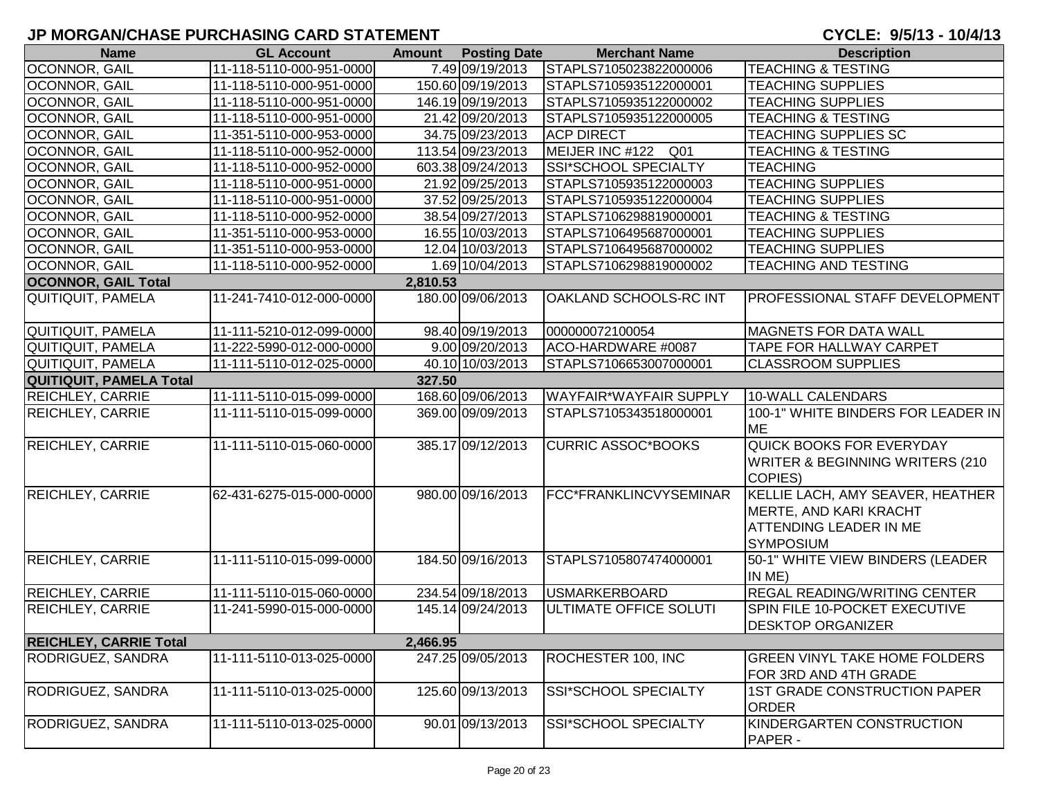| <b>Name</b>                    | <b>GL Account</b>        | <b>Amount</b> | <b>Posting Date</b> | <b>Merchant Name</b>          | <b>Description</b>                                                                                                     |
|--------------------------------|--------------------------|---------------|---------------------|-------------------------------|------------------------------------------------------------------------------------------------------------------------|
| OCONNOR, GAIL                  | 11-118-5110-000-951-0000 |               | 7.49 09/19/2013     | STAPLS7105023822000006        | <b>TEACHING &amp; TESTING</b>                                                                                          |
| OCONNOR, GAIL                  | 11-118-5110-000-951-0000 |               | 150.60 09/19/2013   | STAPLS7105935122000001        | <b>TEACHING SUPPLIES</b>                                                                                               |
| OCONNOR, GAIL                  | 11-118-5110-000-951-0000 |               | 146.19 09/19/2013   | STAPLS7105935122000002        | <b>TEACHING SUPPLIES</b>                                                                                               |
| OCONNOR, GAIL                  | 11-118-5110-000-951-0000 |               | 21.42 09/20/2013    | STAPLS7105935122000005        | <b>TEACHING &amp; TESTING</b>                                                                                          |
| OCONNOR, GAIL                  | 11-351-5110-000-953-0000 |               | 34.75 09/23/2013    | <b>ACP DIRECT</b>             | <b>TEACHING SUPPLIES SC</b>                                                                                            |
| OCONNOR, GAIL                  | 11-118-5110-000-952-0000 |               | 113.54 09/23/2013   | MEIJER INC #122 Q01           | <b>TEACHING &amp; TESTING</b>                                                                                          |
| OCONNOR, GAIL                  | 11-118-5110-000-952-0000 |               | 603.38 09/24/2013   | SSI*SCHOOL SPECIALTY          | <b>TEACHING</b>                                                                                                        |
| OCONNOR, GAIL                  | 11-118-5110-000-951-0000 |               | 21.92 09/25/2013    | STAPLS7105935122000003        | <b>TEACHING SUPPLIES</b>                                                                                               |
| <b>OCONNOR, GAIL</b>           | 11-118-5110-000-951-0000 |               | 37.52 09/25/2013    | STAPLS7105935122000004        | <b>TEACHING SUPPLIES</b>                                                                                               |
| OCONNOR, GAIL                  | 11-118-5110-000-952-0000 |               | 38.54 09/27/2013    | STAPLS7106298819000001        | <b>TEACHING &amp; TESTING</b>                                                                                          |
| OCONNOR, GAIL                  | 11-351-5110-000-953-0000 |               | 16.55 10/03/2013    | STAPLS7106495687000001        | <b>TEACHING SUPPLIES</b>                                                                                               |
| OCONNOR, GAIL                  | 11-351-5110-000-953-0000 |               | 12.04 10/03/2013    | STAPLS7106495687000002        | <b>TEACHING SUPPLIES</b>                                                                                               |
| <b>OCONNOR, GAIL</b>           | 11-118-5110-000-952-0000 |               | 1.69 10/04/2013     | STAPLS7106298819000002        | <b>TEACHING AND TESTING</b>                                                                                            |
| <b>OCONNOR, GAIL Total</b>     |                          | 2,810.53      |                     |                               |                                                                                                                        |
| QUITIQUIT, PAMELA              | 11-241-7410-012-000-0000 |               | 180.00 09/06/2013   | OAKLAND SCHOOLS-RC INT        | <b>PROFESSIONAL STAFF DEVELOPMENT</b>                                                                                  |
| QUITIQUIT, PAMELA              | 11-111-5210-012-099-0000 |               | 98.40 09/19/2013    | 000000072100054               | <b>MAGNETS FOR DATA WALL</b>                                                                                           |
| <b>QUITIQUIT, PAMELA</b>       | 11-222-5990-012-000-0000 |               | 9.00 09/20/2013     | ACO-HARDWARE #0087            | TAPE FOR HALLWAY CARPET                                                                                                |
| QUITIQUIT, PAMELA              | 11-111-5110-012-025-0000 |               | 40.10 10/03/2013    | STAPLS7106653007000001        | <b>CLASSROOM SUPPLIES</b>                                                                                              |
| <b>QUITIQUIT, PAMELA Total</b> |                          | 327.50        |                     |                               |                                                                                                                        |
| <b>REICHLEY, CARRIE</b>        | 11-111-5110-015-099-0000 |               | 168.60 09/06/2013   | <b>WAYFAIR*WAYFAIR SUPPLY</b> | 10-WALL CALENDARS                                                                                                      |
| REICHLEY, CARRIE               | 11-111-5110-015-099-0000 |               | 369.00 09/09/2013   | STAPLS7105343518000001        | 100-1" WHITE BINDERS FOR LEADER IN<br><b>ME</b>                                                                        |
| <b>REICHLEY, CARRIE</b>        | 11-111-5110-015-060-0000 |               | 385.17 09/12/2013   | <b>CURRIC ASSOC*BOOKS</b>     | <b>QUICK BOOKS FOR EVERYDAY</b><br><b>WRITER &amp; BEGINNING WRITERS (210)</b><br>COPIES)                              |
| <b>REICHLEY, CARRIE</b>        | 62-431-6275-015-000-0000 |               | 980.00 09/16/2013   | FCC*FRANKLINCVYSEMINAR        | KELLIE LACH, AMY SEAVER, HEATHER<br><b>MERTE, AND KARI KRACHT</b><br><b>ATTENDING LEADER IN ME</b><br><b>SYMPOSIUM</b> |
| <b>REICHLEY, CARRIE</b>        | 11-111-5110-015-099-0000 |               | 184.50 09/16/2013   | STAPLS7105807474000001        | 50-1" WHITE VIEW BINDERS (LEADER<br>IN ME)                                                                             |
| <b>REICHLEY, CARRIE</b>        | 11-111-5110-015-060-0000 |               | 234.54 09/18/2013   | <b>USMARKERBOARD</b>          | <b>REGAL READING/WRITING CENTER</b>                                                                                    |
| <b>REICHLEY, CARRIE</b>        | 11-241-5990-015-000-0000 |               | 145.14 09/24/2013   | ULTIMATE OFFICE SOLUTI        | SPIN FILE 10-POCKET EXECUTIVE<br><b>DESKTOP ORGANIZER</b>                                                              |
| <b>REICHLEY, CARRIE Total</b>  |                          | 2,466.95      |                     |                               |                                                                                                                        |
| RODRIGUEZ, SANDRA              | 11-111-5110-013-025-0000 |               | 247.25 09/05/2013   | ROCHESTER 100, INC            | <b>GREEN VINYL TAKE HOME FOLDERS</b><br>FOR 3RD AND 4TH GRADE                                                          |
| RODRIGUEZ, SANDRA              | 11-111-5110-013-025-0000 |               | 125.60 09/13/2013   | SSI*SCHOOL SPECIALTY          | <b>1ST GRADE CONSTRUCTION PAPER</b><br><b>ORDER</b>                                                                    |
| RODRIGUEZ, SANDRA              | 11-111-5110-013-025-0000 |               | 90.01 09/13/2013    | <b>SSI*SCHOOL SPECIALTY</b>   | KINDERGARTEN CONSTRUCTION<br><b>PAPER -</b>                                                                            |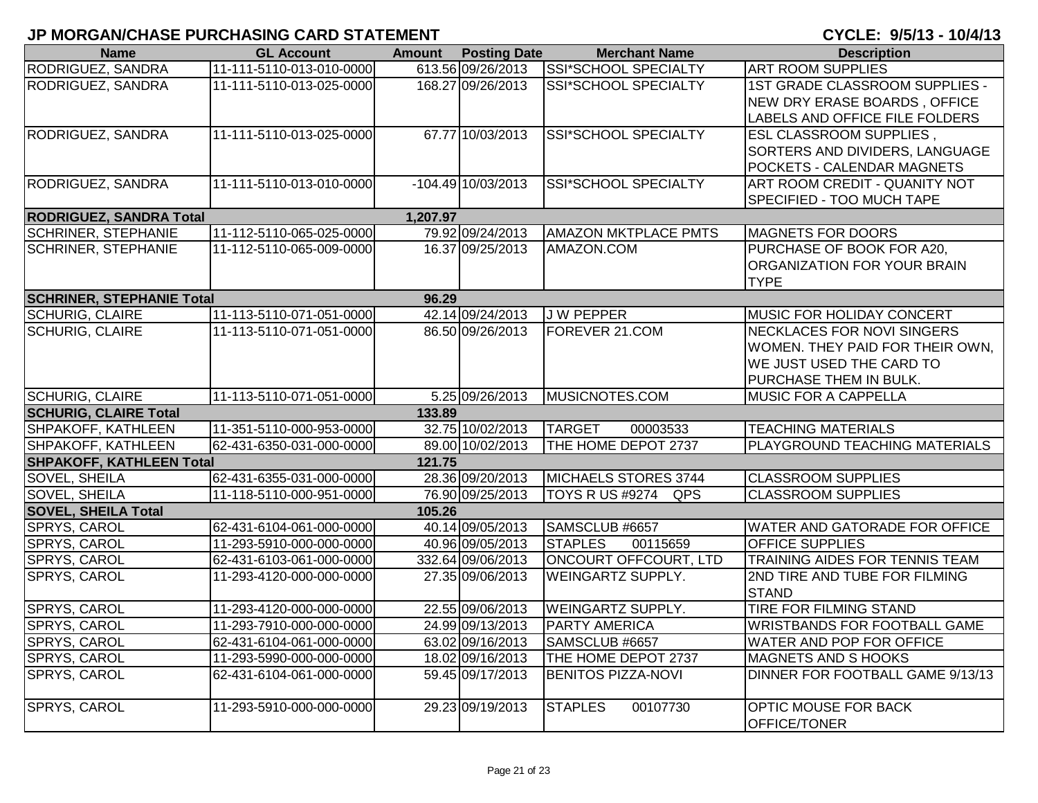| <b>Name</b>                      | <b>GL Account</b>        | <b>Amount</b> Posting Date | <b>Merchant Name</b>        | <b>Description</b>                  |
|----------------------------------|--------------------------|----------------------------|-----------------------------|-------------------------------------|
| RODRIGUEZ, SANDRA                | 11-111-5110-013-010-0000 | 613.56 09/26/2013          | <b>SSI*SCHOOL SPECIALTY</b> | <b>ART ROOM SUPPLIES</b>            |
| RODRIGUEZ, SANDRA                | 11-111-5110-013-025-0000 | 168.27 09/26/2013          | SSI*SCHOOL SPECIALTY        | 1ST GRADE CLASSROOM SUPPLIES -      |
|                                  |                          |                            |                             | NEW DRY ERASE BOARDS, OFFICE        |
|                                  |                          |                            |                             | LABELS AND OFFICE FILE FOLDERS      |
| RODRIGUEZ, SANDRA                | 11-111-5110-013-025-0000 | 67.77 10/03/2013           | SSI*SCHOOL SPECIALTY        | <b>ESL CLASSROOM SUPPLIES,</b>      |
|                                  |                          |                            |                             | SORTERS AND DIVIDERS, LANGUAGE      |
|                                  |                          |                            |                             | <b>POCKETS - CALENDAR MAGNETS</b>   |
| RODRIGUEZ, SANDRA                | 11-111-5110-013-010-0000 | $-104.49$ $10/03/2013$     | <b>SSI*SCHOOL SPECIALTY</b> | ART ROOM CREDIT - QUANITY NOT       |
|                                  |                          |                            |                             | SPECIFIED - TOO MUCH TAPE           |
| <b>RODRIGUEZ, SANDRA Total</b>   |                          | 1,207.97                   |                             |                                     |
| <b>SCHRINER, STEPHANIE</b>       | 11-112-5110-065-025-0000 | 79.92 09/24/2013           | <b>AMAZON MKTPLACE PMTS</b> | <b>MAGNETS FOR DOORS</b>            |
| <b>SCHRINER, STEPHANIE</b>       | 11-112-5110-065-009-0000 | 16.37 09/25/2013           | AMAZON.COM                  | PURCHASE OF BOOK FOR A20,           |
|                                  |                          |                            |                             | ORGANIZATION FOR YOUR BRAIN         |
|                                  |                          |                            |                             | <b>TYPE</b>                         |
| <b>SCHRINER, STEPHANIE Total</b> |                          | 96.29                      |                             |                                     |
| <b>SCHURIG, CLAIRE</b>           | 11-113-5110-071-051-0000 | 42.14 09/24/2013           | <b>JW PEPPER</b>            | <b>MUSIC FOR HOLIDAY CONCERT</b>    |
| <b>SCHURIG, CLAIRE</b>           | 11-113-5110-071-051-0000 | 86.50 09/26/2013           | FOREVER 21.COM              | NECKLACES FOR NOVI SINGERS          |
|                                  |                          |                            |                             | WOMEN. THEY PAID FOR THEIR OWN,     |
|                                  |                          |                            |                             | <b>WE JUST USED THE CARD TO</b>     |
|                                  |                          |                            |                             | PURCHASE THEM IN BULK.              |
| <b>SCHURIG, CLAIRE</b>           | 11-113-5110-071-051-0000 | 5.25 09/26/2013            | MUSICNOTES.COM              | MUSIC FOR A CAPPELLA                |
| <b>SCHURIG, CLAIRE Total</b>     |                          | 133.89                     |                             |                                     |
| SHPAKOFF, KATHLEEN               | 11-351-5110-000-953-0000 | 32.75 10/02/2013           | <b>TARGET</b><br>00003533   | <b>TEACHING MATERIALS</b>           |
| SHPAKOFF, KATHLEEN               | 62-431-6350-031-000-0000 | 89.00 10/02/2013           | THE HOME DEPOT 2737         | PLAYGROUND TEACHING MATERIALS       |
| <b>SHPAKOFF, KATHLEEN Total</b>  |                          | 121.75                     |                             |                                     |
| <b>SOVEL, SHEILA</b>             | 62-431-6355-031-000-0000 | 28.36 09/20/2013           | MICHAELS STORES 3744        | <b>CLASSROOM SUPPLIES</b>           |
| <b>SOVEL, SHEILA</b>             | 11-118-5110-000-951-0000 | 76.90 09/25/2013           | TOYS R US #9274 QPS         | <b>CLASSROOM SUPPLIES</b>           |
| <b>SOVEL, SHEILA Total</b>       |                          | 105.26                     |                             |                                     |
| SPRYS, CAROL                     | 62-431-6104-061-000-0000 | 40.14 09/05/2013           | SAMSCLUB #6657              | WATER AND GATORADE FOR OFFICE       |
| SPRYS, CAROL                     | 11-293-5910-000-000-0000 | 40.96 09/05/2013           | <b>STAPLES</b><br>00115659  | <b>OFFICE SUPPLIES</b>              |
| SPRYS, CAROL                     | 62-431-6103-061-000-0000 | 332.64 09/06/2013          | ONCOURT OFFCOURT, LTD       | TRAINING AIDES FOR TENNIS TEAM      |
| SPRYS, CAROL                     | 11-293-4120-000-000-0000 | 27.35 09/06/2013           | WEINGARTZ SUPPLY.           | 2ND TIRE AND TUBE FOR FILMING       |
|                                  |                          |                            |                             | <b>STAND</b>                        |
| SPRYS, CAROL                     | 11-293-4120-000-000-0000 | 22.55 09/06/2013           | <b>WEINGARTZ SUPPLY.</b>    | <b>TIRE FOR FILMING STAND</b>       |
| SPRYS, CAROL                     | 11-293-7910-000-000-0000 | 24.99 09/13/2013           | <b>PARTY AMERICA</b>        | <b>WRISTBANDS FOR FOOTBALL GAME</b> |
| <b>SPRYS, CAROL</b>              | 62-431-6104-061-000-0000 | 63.02 09/16/2013           | SAMSCLUB #6657              | WATER AND POP FOR OFFICE            |
| SPRYS, CAROL                     | 11-293-5990-000-000-0000 | 18.02 09/16/2013           | THE HOME DEPOT 2737         | <b>MAGNETS AND S HOOKS</b>          |
| SPRYS, CAROL                     | 62-431-6104-061-000-0000 | 59.45 09/17/2013           | <b>BENITOS PIZZA-NOVI</b>   | DINNER FOR FOOTBALL GAME 9/13/13    |
|                                  |                          |                            |                             |                                     |
| <b>SPRYS, CAROL</b>              | 11-293-5910-000-000-0000 | 29.23 09/19/2013           | <b>STAPLES</b><br>00107730  | OPTIC MOUSE FOR BACK                |
|                                  |                          |                            |                             | <b>OFFICE/TONER</b>                 |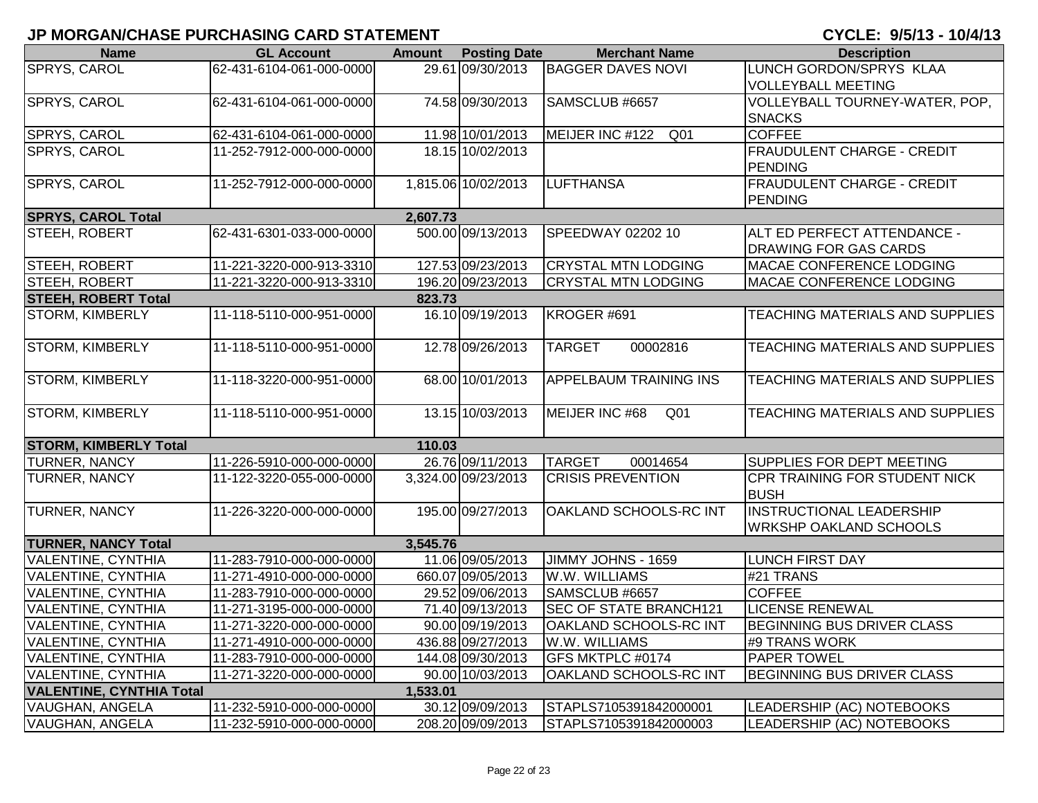| <b>Name</b>                     | <b>GL Account</b>        | <b>Amount</b> | <b>Posting Date</b> | <b>Merchant Name</b>               | <b>Description</b>                |
|---------------------------------|--------------------------|---------------|---------------------|------------------------------------|-----------------------------------|
| SPRYS, CAROL                    | 62-431-6104-061-000-0000 |               | 29.61 09/30/2013    | <b>BAGGER DAVES NOVI</b>           | LUNCH GORDON/SPRYS KLAA           |
|                                 |                          |               |                     |                                    | <b>VOLLEYBALL MEETING</b>         |
| SPRYS, CAROL                    | 62-431-6104-061-000-0000 |               | 74.58 09/30/2013    | SAMSCLUB #6657                     | VOLLEYBALL TOURNEY-WATER, POP,    |
|                                 |                          |               |                     |                                    | <b>SNACKS</b>                     |
| SPRYS, CAROL                    | 62-431-6104-061-000-0000 |               | 11.98 10/01/2013    | MEIJER INC #122<br>Q <sub>01</sub> | <b>COFFEE</b>                     |
| SPRYS, CAROL                    | 11-252-7912-000-000-0000 |               | 18.15 10/02/2013    |                                    | FRAUDULENT CHARGE - CREDIT        |
|                                 |                          |               |                     |                                    | <b>PENDING</b>                    |
| SPRYS, CAROL                    | 11-252-7912-000-000-0000 |               | 1,815.06 10/02/2013 | <b>LUFTHANSA</b>                   | FRAUDULENT CHARGE - CREDIT        |
|                                 |                          |               |                     |                                    | <b>PENDING</b>                    |
| <b>SPRYS, CAROL Total</b>       |                          | 2,607.73      |                     |                                    |                                   |
| STEEH, ROBERT                   | 62-431-6301-033-000-0000 |               | 500.00 09/13/2013   | SPEEDWAY 02202 10                  | ALT ED PERFECT ATTENDANCE -       |
|                                 |                          |               |                     |                                    | DRAWING FOR GAS CARDS             |
| STEEH, ROBERT                   | 11-221-3220-000-913-3310 |               | 127.53 09/23/2013   | <b>CRYSTAL MTN LODGING</b>         | MACAE CONFERENCE LODGING          |
| STEEH, ROBERT                   | 11-221-3220-000-913-3310 |               | 196.20 09/23/2013   | <b>CRYSTAL MTN LODGING</b>         | MACAE CONFERENCE LODGING          |
| <b>STEEH, ROBERT Total</b>      |                          | 823.73        |                     |                                    |                                   |
| <b>STORM, KIMBERLY</b>          | 11-118-5110-000-951-0000 |               | 16.10 09/19/2013    | KROGER #691                        | TEACHING MATERIALS AND SUPPLIES   |
| <b>STORM, KIMBERLY</b>          | 11-118-5110-000-951-0000 |               | 12.78 09/26/2013    | <b>TARGET</b><br>00002816          | TEACHING MATERIALS AND SUPPLIES   |
|                                 |                          |               |                     |                                    |                                   |
| <b>STORM, KIMBERLY</b>          | 11-118-3220-000-951-0000 |               | 68.00 10/01/2013    | APPELBAUM TRAINING INS             | TEACHING MATERIALS AND SUPPLIES   |
|                                 |                          |               |                     |                                    |                                   |
| <b>STORM, KIMBERLY</b>          | 11-118-5110-000-951-0000 |               | 13.15 10/03/2013    | MEIJER INC #68<br>Q <sub>01</sub>  | TEACHING MATERIALS AND SUPPLIES   |
|                                 |                          |               |                     |                                    |                                   |
| <b>STORM, KIMBERLY Total</b>    |                          | 110.03        |                     |                                    |                                   |
| TURNER, NANCY                   | 11-226-5910-000-000-0000 |               | 26.76 09/11/2013    | <b>TARGET</b><br>00014654          | SUPPLIES FOR DEPT MEETING         |
| TURNER, NANCY                   | 11-122-3220-055-000-0000 |               | 3,324.00 09/23/2013 | <b>CRISIS PREVENTION</b>           | CPR TRAINING FOR STUDENT NICK     |
|                                 |                          |               |                     |                                    | <b>BUSH</b>                       |
| <b>TURNER, NANCY</b>            | 11-226-3220-000-000-0000 |               | 195.00 09/27/2013   | OAKLAND SCHOOLS-RC INT             | <b>INSTRUCTIONAL LEADERSHIP</b>   |
|                                 |                          |               |                     |                                    | <b>WRKSHP OAKLAND SCHOOLS</b>     |
| <b>TURNER, NANCY Total</b>      |                          | 3,545.76      |                     |                                    |                                   |
| <b>VALENTINE, CYNTHIA</b>       | 11-283-7910-000-000-0000 |               | 11.06 09/05/2013    | JIMMY JOHNS - 1659                 | <b>LUNCH FIRST DAY</b>            |
| <b>VALENTINE, CYNTHIA</b>       | 11-271-4910-000-000-0000 |               | 660.07 09/05/2013   | W.W. WILLIAMS                      | #21 TRANS                         |
| <b>VALENTINE, CYNTHIA</b>       | 11-283-7910-000-000-0000 |               | 29.52 09/06/2013    | SAMSCLUB #6657                     | <b>COFFEE</b>                     |
| <b>VALENTINE, CYNTHIA</b>       | 11-271-3195-000-000-0000 |               | 71.40 09/13/2013    | <b>SEC OF STATE BRANCH121</b>      | <b>LICENSE RENEWAL</b>            |
| <b>VALENTINE, CYNTHIA</b>       | 11-271-3220-000-000-0000 |               | 90.00 09/19/2013    | <b>OAKLAND SCHOOLS-RC INT</b>      | BEGINNING BUS DRIVER CLASS        |
| <b>VALENTINE, CYNTHIA</b>       | 11-271-4910-000-000-0000 |               | 436.88 09/27/2013   | W.W. WILLIAMS                      | #9 TRANS WORK                     |
| <b>VALENTINE, CYNTHIA</b>       | 11-283-7910-000-000-0000 |               | 144.08 09/30/2013   | <b>GFS MKTPLC #0174</b>            | PAPER TOWEL                       |
| <b>VALENTINE, CYNTHIA</b>       | 11-271-3220-000-000-0000 |               | 90.00 10/03/2013    | OAKLAND SCHOOLS-RC INT             | <b>BEGINNING BUS DRIVER CLASS</b> |
| <b>VALENTINE, CYNTHIA Total</b> |                          | 1,533.01      |                     |                                    |                                   |
| VAUGHAN, ANGELA                 | 11-232-5910-000-000-0000 |               | 30.12 09/09/2013    | STAPLS7105391842000001             | LEADERSHIP (AC) NOTEBOOKS         |
| VAUGHAN, ANGELA                 | 11-232-5910-000-000-0000 |               | 208.20 09/09/2013   | STAPLS7105391842000003             | LEADERSHIP (AC) NOTEBOOKS         |